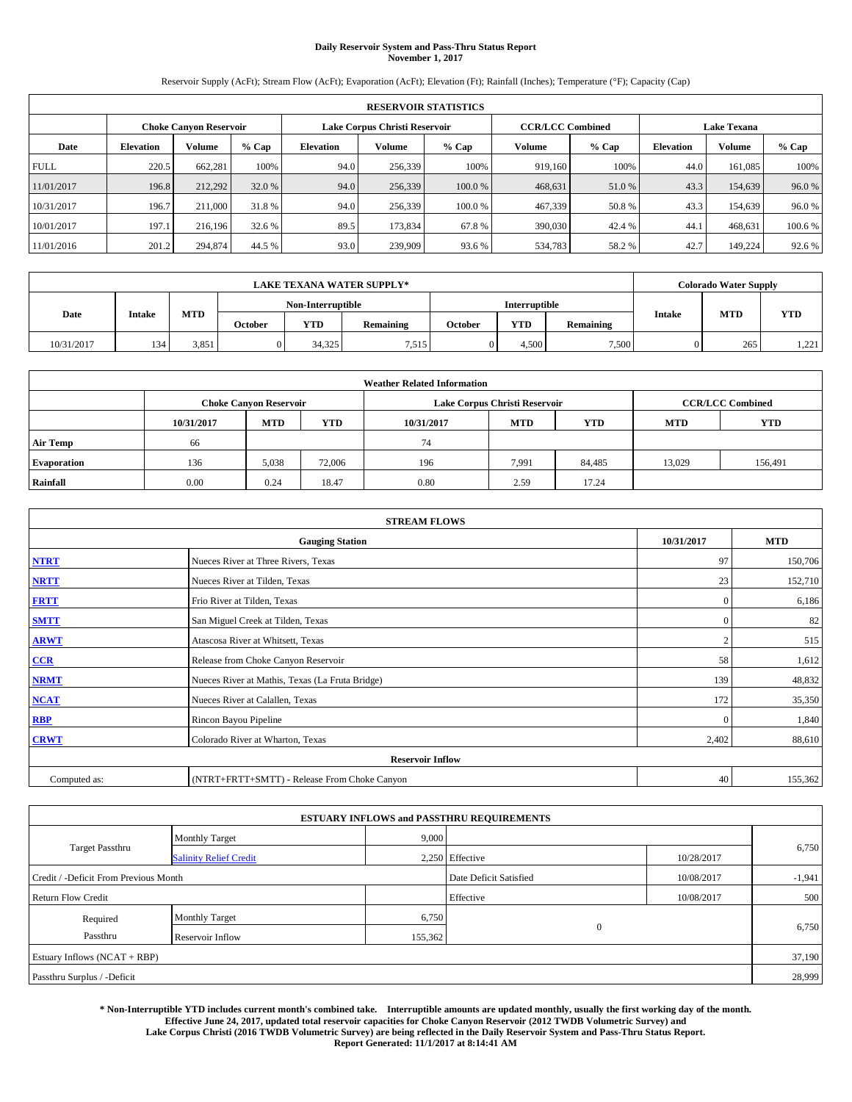### **Daily Reservoir System and Pass-Thru Status Report November 1, 2017**

Reservoir Supply (AcFt); Stream Flow (AcFt); Evaporation (AcFt); Elevation (Ft); Rainfall (Inches); Temperature (°F); Capacity (Cap)

|             | <b>RESERVOIR STATISTICS</b>   |         |         |                               |         |         |                         |         |                    |               |         |
|-------------|-------------------------------|---------|---------|-------------------------------|---------|---------|-------------------------|---------|--------------------|---------------|---------|
|             | <b>Choke Canyon Reservoir</b> |         |         | Lake Corpus Christi Reservoir |         |         | <b>CCR/LCC Combined</b> |         | <b>Lake Texana</b> |               |         |
| Date        | <b>Elevation</b>              | Volume  | $%$ Cap | Elevation                     | Volume  | $%$ Cap | Volume                  | $%$ Cap | <b>Elevation</b>   | <b>Volume</b> | % Cap   |
| <b>FULL</b> | 220.5                         | 662.281 | 100%    | 94.0                          | 256,339 | 100%    | 919.160                 | 100%    | 44.0               | 161,085       | 100%    |
| 11/01/2017  | 196.8                         | 212,292 | 32.0 %  | 94.0                          | 256,339 | 100.0 % | 468,631                 | 51.0%   | 43.3               | 154,639       | 96.0%   |
| 10/31/2017  | 196.7                         | 211,000 | 31.8%   | 94.0                          | 256,339 | 100.0 % | 467,339                 | 50.8 %  | 43.3               | 154,639       | 96.0 %  |
| 10/01/2017  | 197.1                         | 216.196 | 32.6 %  | 89.5                          | 173.834 | 67.8%   | 390,030                 | 42.4 %  | 44.1               | 468.631       | 100.6 % |
| 11/01/2016  | 201.2                         | 294,874 | 44.5 %  | 93.0                          | 239,909 | 93.6 %  | 534,783                 | 58.2%   | 42.7               | 149.224       | 92.6 %  |

|            |               |       |                                           |        | <b>LAKE TEXANA WATER SUPPLY*</b> |               |            |           |               | <b>Colorado Water Supply</b> |            |
|------------|---------------|-------|-------------------------------------------|--------|----------------------------------|---------------|------------|-----------|---------------|------------------------------|------------|
|            |               |       | Non-Interruptible                         |        |                                  | Interruptible |            |           |               |                              |            |
| Date       | <b>Intake</b> | MTD   | <b>YTD</b><br><b>Remaining</b><br>October |        |                                  | October       | <b>YTD</b> | Remaining | <b>Intake</b> | <b>MTD</b>                   | <b>YTD</b> |
| 10/31/2017 | 134           | 3,851 |                                           | 34.325 | 1,515                            |               | 4.500      | 7.500     |               | 265                          | 1,221      |

| <b>Weather Related Information</b> |                               |            |            |            |                               |                         |                          |         |  |  |  |
|------------------------------------|-------------------------------|------------|------------|------------|-------------------------------|-------------------------|--------------------------|---------|--|--|--|
|                                    | <b>Choke Canyon Reservoir</b> |            |            |            | Lake Corpus Christi Reservoir | <b>CCR/LCC Combined</b> |                          |         |  |  |  |
|                                    | 10/31/2017                    | <b>MTD</b> | <b>YTD</b> | 10/31/2017 | <b>MTD</b>                    | <b>YTD</b>              | <b>YTD</b><br><b>MTD</b> |         |  |  |  |
| <b>Air Temp</b>                    | 66                            |            |            | 74         |                               |                         |                          |         |  |  |  |
| <b>Evaporation</b>                 | 136                           | 5,038      | 72,006     | 196        | 7,991                         | 84,485                  | 13,029                   | 156,491 |  |  |  |
| Rainfall                           | 0.00                          | 0.24       | 18.47      | 0.80       | 2.59                          | 17.24                   |                          |         |  |  |  |

| <b>STREAM FLOWS</b> |                                                 |                |            |  |  |  |  |  |  |
|---------------------|-------------------------------------------------|----------------|------------|--|--|--|--|--|--|
|                     | <b>Gauging Station</b>                          | 10/31/2017     | <b>MTD</b> |  |  |  |  |  |  |
| <b>NTRT</b>         | Nueces River at Three Rivers, Texas             | 97             | 150,706    |  |  |  |  |  |  |
| <b>NRTT</b>         | Nueces River at Tilden, Texas                   | 23             | 152,710    |  |  |  |  |  |  |
| <b>FRTT</b>         | Frio River at Tilden, Texas                     | $\mathbf{0}$   | 6,186      |  |  |  |  |  |  |
| <b>SMTT</b>         | San Miguel Creek at Tilden, Texas               | $\mathbf{0}$   | 82         |  |  |  |  |  |  |
| <b>ARWT</b>         | Atascosa River at Whitsett, Texas               | $\overline{2}$ | 515        |  |  |  |  |  |  |
| $CCR$               | Release from Choke Canyon Reservoir             | 58             | 1,612      |  |  |  |  |  |  |
| <b>NRMT</b>         | Nueces River at Mathis, Texas (La Fruta Bridge) | 139            | 48,832     |  |  |  |  |  |  |
| <b>NCAT</b>         | Nueces River at Calallen, Texas                 | 172            | 35,350     |  |  |  |  |  |  |
| <b>RBP</b>          | Rincon Bayou Pipeline                           | $\mathbf{0}$   | 1,840      |  |  |  |  |  |  |
| <b>CRWT</b>         | Colorado River at Wharton, Texas                | 2,402          | 88,610     |  |  |  |  |  |  |
|                     | <b>Reservoir Inflow</b>                         |                |            |  |  |  |  |  |  |
| Computed as:        | (NTRT+FRTT+SMTT) - Release From Choke Canyon    |                |            |  |  |  |  |  |  |

| <b>ESTUARY INFLOWS and PASSTHRU REQUIREMENTS</b> |                               |         |                        |            |          |  |  |  |  |  |
|--------------------------------------------------|-------------------------------|---------|------------------------|------------|----------|--|--|--|--|--|
|                                                  | <b>Monthly Target</b>         | 9,000   |                        |            |          |  |  |  |  |  |
| <b>Target Passthru</b>                           | <b>Salinity Relief Credit</b> |         | 2.250 Effective        | 10/28/2017 | 6,750    |  |  |  |  |  |
| Credit / -Deficit From Previous Month            |                               |         | Date Deficit Satisfied | 10/08/2017 | $-1,941$ |  |  |  |  |  |
| <b>Return Flow Credit</b>                        |                               |         | Effective              | 10/08/2017 | 500      |  |  |  |  |  |
| Required                                         | <b>Monthly Target</b>         | 6,750   |                        |            |          |  |  |  |  |  |
| Passthru                                         | Reservoir Inflow              | 155,362 | $\overline{0}$         |            | 6,750    |  |  |  |  |  |
| Estuary Inflows (NCAT + RBP)                     |                               |         |                        |            |          |  |  |  |  |  |
| Passthru Surplus / -Deficit                      |                               |         |                        |            |          |  |  |  |  |  |

**\* Non-Interruptible YTD includes current month's combined take. Interruptible amounts are updated monthly, usually the first working day of the month. Effective June 24, 2017, updated total reservoir capacities for Choke Canyon Reservoir (2012 TWDB Volumetric Survey) and Lake Corpus Christi (2016 TWDB Volumetric Survey) are being reflected in the Daily Reservoir System and Pass-Thru Status Report. Report Generated: 11/1/2017 at 8:14:41 AM**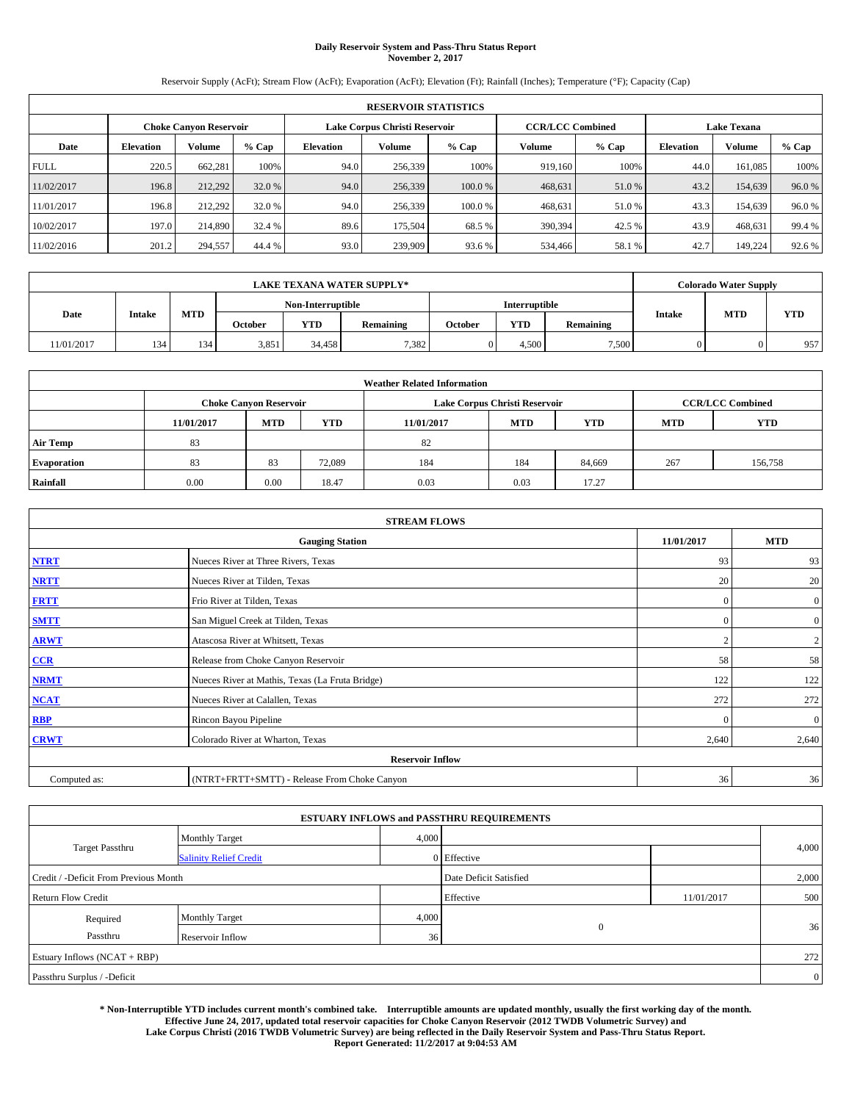### **Daily Reservoir System and Pass-Thru Status Report November 2, 2017**

Reservoir Supply (AcFt); Stream Flow (AcFt); Evaporation (AcFt); Elevation (Ft); Rainfall (Inches); Temperature (°F); Capacity (Cap)

|             | <b>RESERVOIR STATISTICS</b> |                               |        |                               |         |         |                         |        |                    |         |        |
|-------------|-----------------------------|-------------------------------|--------|-------------------------------|---------|---------|-------------------------|--------|--------------------|---------|--------|
|             |                             | <b>Choke Canyon Reservoir</b> |        | Lake Corpus Christi Reservoir |         |         | <b>CCR/LCC Combined</b> |        | <b>Lake Texana</b> |         |        |
| Date        | <b>Elevation</b>            | Volume                        | % Cap  | <b>Elevation</b>              | Volume  | $%$ Cap | Volume                  | % Cap  | <b>Elevation</b>   | Volume  | % Cap  |
| <b>FULL</b> | 220.5                       | 662.281                       | 100%   | 94.0                          | 256,339 | 100%    | 919.160                 | 100%   | 44.0               | 161.085 | 100%   |
| 11/02/2017  | 196.8                       | 212.292                       | 32.0 % | 94.0                          | 256,339 | 100.0 % | 468.631                 | 51.0%  | 43.2               | 154,639 | 96.0%  |
| 11/01/2017  | 196.8                       | 212,292                       | 32.0 % | 94.0                          | 256,339 | 100.0 % | 468,631                 | 51.0%  | 43.3               | 154,639 | 96.0 % |
| 10/02/2017  | 197.0                       | 214,890                       | 32.4 % | 89.6                          | 175.504 | 68.5%   | 390,394                 | 42.5 % | 43.9               | 468,631 | 99.4 % |
| 11/02/2016  | 201.2                       | 294,557                       | 44.4 % | 93.0                          | 239,909 | 93.6 %  | 534,466                 | 58.1 % | 42.7               | 149,224 | 92.6 % |

|            | <b>LAKE TEXANA WATER SUPPLY*</b> |            |         |                   |           |         |               |           |               | <b>Colorado Water Supply</b> |            |  |
|------------|----------------------------------|------------|---------|-------------------|-----------|---------|---------------|-----------|---------------|------------------------------|------------|--|
|            |                                  |            |         | Non-Interruptible |           |         | Interruptible |           |               |                              |            |  |
| Date       | <b>Intake</b>                    | <b>MTD</b> | October | <b>YTD</b>        | Remaining | October | <b>YTD</b>    | Remaining | <b>Intake</b> | <b>MTD</b>                   | <b>YTD</b> |  |
| 11/01/2017 | 134                              | 134        | 3,851   | 34.458            | 7,382     |         | 4.500         | 7,500     |               |                              | 957        |  |

| <b>Weather Related Information</b> |                               |                                                                                  |        |      |                               |                         |     |            |  |  |
|------------------------------------|-------------------------------|----------------------------------------------------------------------------------|--------|------|-------------------------------|-------------------------|-----|------------|--|--|
|                                    | <b>Choke Canyon Reservoir</b> |                                                                                  |        |      | Lake Corpus Christi Reservoir | <b>CCR/LCC Combined</b> |     |            |  |  |
|                                    | 11/01/2017                    | <b>YTD</b><br><b>MTD</b><br><b>MTD</b><br><b>YTD</b><br>11/01/2017<br><b>MTD</b> |        |      |                               |                         |     | <b>YTD</b> |  |  |
| <b>Air Temp</b>                    | 83                            |                                                                                  |        | 82   |                               |                         |     |            |  |  |
| <b>Evaporation</b>                 | 83                            | 83                                                                               | 72.089 | 184  | 184                           | 84,669                  | 267 | 156,758    |  |  |
| Rainfall                           | 0.00                          | 0.00                                                                             | 18.47  | 0.03 | 0.03                          | 17.27                   |     |            |  |  |

| <b>STREAM FLOWS</b> |                                                 |                |                  |  |  |  |  |  |  |
|---------------------|-------------------------------------------------|----------------|------------------|--|--|--|--|--|--|
|                     | <b>Gauging Station</b>                          | 11/01/2017     | <b>MTD</b>       |  |  |  |  |  |  |
| <b>NTRT</b>         | Nueces River at Three Rivers, Texas             | 93             | 93               |  |  |  |  |  |  |
| <b>NRTT</b>         | Nueces River at Tilden, Texas                   | 20             | 20               |  |  |  |  |  |  |
| <b>FRTT</b>         | Frio River at Tilden, Texas                     | $\mathbf{0}$   | $\boldsymbol{0}$ |  |  |  |  |  |  |
| <b>SMTT</b>         | San Miguel Creek at Tilden, Texas               | $\mathbf{0}$   | $\overline{0}$   |  |  |  |  |  |  |
| <b>ARWT</b>         | Atascosa River at Whitsett, Texas               | $\overline{2}$ | 2                |  |  |  |  |  |  |
| $CCR$               | Release from Choke Canyon Reservoir             | 58             | 58               |  |  |  |  |  |  |
| <b>NRMT</b>         | Nueces River at Mathis, Texas (La Fruta Bridge) | 122            | 122              |  |  |  |  |  |  |
| <b>NCAT</b>         | Nueces River at Calallen, Texas                 | 272            | 272              |  |  |  |  |  |  |
| <b>RBP</b>          | Rincon Bayou Pipeline                           | $\theta$       | $\mathbf{0}$     |  |  |  |  |  |  |
| <b>CRWT</b>         | Colorado River at Wharton, Texas                | 2,640          | 2,640            |  |  |  |  |  |  |
|                     | <b>Reservoir Inflow</b>                         |                |                  |  |  |  |  |  |  |
| Computed as:        | (NTRT+FRTT+SMTT) - Release From Choke Canyon    | 36             | 36               |  |  |  |  |  |  |

|                                       |                               |       | <b>ESTUARY INFLOWS and PASSTHRU REQUIREMENTS</b> |            |                |
|---------------------------------------|-------------------------------|-------|--------------------------------------------------|------------|----------------|
|                                       | <b>Monthly Target</b>         | 4,000 |                                                  |            |                |
| Target Passthru                       | <b>Salinity Relief Credit</b> |       | 0 Effective                                      |            | 4,000          |
| Credit / -Deficit From Previous Month |                               |       | Date Deficit Satisfied                           |            | 2,000          |
| <b>Return Flow Credit</b>             |                               |       | Effective                                        | 11/01/2017 | 500            |
| Required                              | <b>Monthly Target</b>         | 4,000 |                                                  |            |                |
| Passthru                              | Reservoir Inflow              | 36    | $\overline{0}$                                   |            | 36             |
| Estuary Inflows (NCAT + RBP)          |                               |       |                                                  |            | 272            |
| Passthru Surplus / -Deficit           |                               |       |                                                  |            | $\overline{0}$ |

**\* Non-Interruptible YTD includes current month's combined take. Interruptible amounts are updated monthly, usually the first working day of the month. Effective June 24, 2017, updated total reservoir capacities for Choke Canyon Reservoir (2012 TWDB Volumetric Survey) and Lake Corpus Christi (2016 TWDB Volumetric Survey) are being reflected in the Daily Reservoir System and Pass-Thru Status Report. Report Generated: 11/2/2017 at 9:04:53 AM**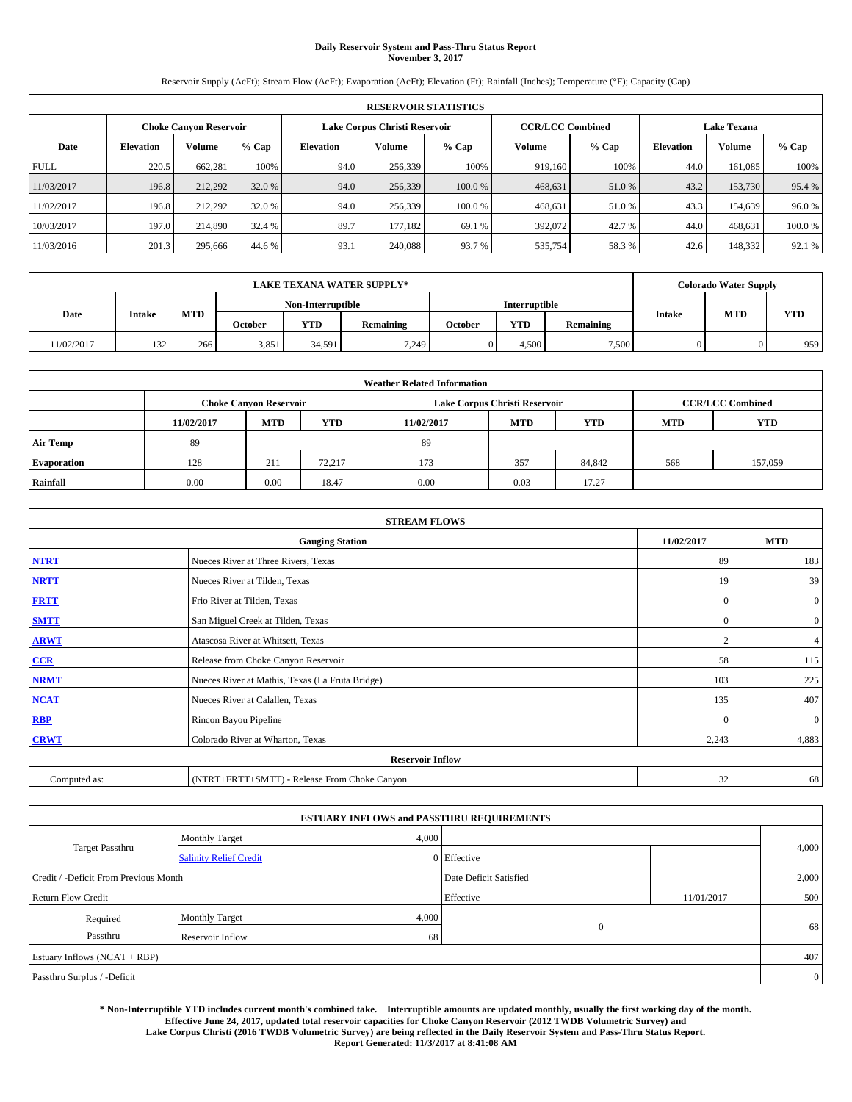#### **Daily Reservoir System and Pass-Thru Status Report November 3, 2017**

Reservoir Supply (AcFt); Stream Flow (AcFt); Evaporation (AcFt); Elevation (Ft); Rainfall (Inches); Temperature (°F); Capacity (Cap)

|             | <b>RESERVOIR STATISTICS</b> |                               |         |           |                                                          |        |         |         |                    |               |        |
|-------------|-----------------------------|-------------------------------|---------|-----------|----------------------------------------------------------|--------|---------|---------|--------------------|---------------|--------|
|             |                             | <b>Choke Canyon Reservoir</b> |         |           | <b>CCR/LCC Combined</b><br>Lake Corpus Christi Reservoir |        |         |         | <b>Lake Texana</b> |               |        |
| Date        | <b>Elevation</b>            | Volume                        | $%$ Cap | Elevation | Volume                                                   | % Cap  | Volume  | $%$ Cap | <b>Elevation</b>   | <b>Volume</b> | % Cap  |
| <b>FULL</b> | 220.5                       | 662,281                       | 100%    | 94.0      | 256,339                                                  | 100%   | 919.160 | 100%    | 44.0               | 161.085       | 100%   |
| 11/03/2017  | 196.8                       | 212,292                       | 32.0 %  | 94.0      | 256,339                                                  | 100.0% | 468,631 | 51.0 %  | 43.2               | 153,730       | 95.4 % |
| 11/02/2017  | 196.8                       | 212.292                       | 32.0 %  | 94.0      | 256.339                                                  | 100.0% | 468,631 | 51.0 %  | 43.3               | 154.639       | 96.0%  |
| 10/03/2017  | 197.0                       | 214,890                       | 32.4 %  | 89.7      | 177.182                                                  | 69.1 % | 392,072 | 42.7 %  | 44.0               | 468,631       | 100.0% |
| 11/03/2016  | 201.3                       | 295,666                       | 44.6 %  | 93.1      | 240,088                                                  | 93.7 % | 535,754 | 58.3%   | 42.6               | 148,332       | 92.1 % |

|            | <b>LAKE TEXANA WATER SUPPLY*</b> |            |                |                   |                  |         |                      |           |               | <b>Colorado Water Supply</b> |            |  |
|------------|----------------------------------|------------|----------------|-------------------|------------------|---------|----------------------|-----------|---------------|------------------------------|------------|--|
|            |                                  |            |                | Non-Interruptible |                  |         | <b>Interruptible</b> |           |               |                              |            |  |
| Date       | <b>Intake</b>                    | <b>MTD</b> | <b>October</b> | <b>YTD</b>        | <b>Remaining</b> | October | <b>YTD</b>           | Remaining | <b>Intake</b> | <b>MTD</b>                   | <b>YTD</b> |  |
| 11/02/2017 | 132                              | 266        | 3,851          | 34.591            | 7.249            |         | 4.500                | 7,500     |               |                              | 959        |  |

| <b>Weather Related Information</b> |            |                               |            |            |                                                      |                         |     |         |  |  |
|------------------------------------|------------|-------------------------------|------------|------------|------------------------------------------------------|-------------------------|-----|---------|--|--|
|                                    |            | <b>Choke Canyon Reservoir</b> |            |            | Lake Corpus Christi Reservoir                        | <b>CCR/LCC Combined</b> |     |         |  |  |
|                                    | 11/02/2017 | <b>MTD</b>                    | <b>YTD</b> | 11/02/2017 | <b>YTD</b><br><b>MTD</b><br><b>YTD</b><br><b>MTD</b> |                         |     |         |  |  |
| <b>Air Temp</b>                    | 89         |                               |            | -89        |                                                      |                         |     |         |  |  |
| <b>Evaporation</b>                 | 128        | 211                           | 72,217     | 173        | 357                                                  | 84,842                  | 568 | 157,059 |  |  |
| Rainfall                           | 0.00       | 0.00                          | 18.47      | 0.00       | 0.03                                                 | 17.27                   |     |         |  |  |

| <b>STREAM FLOWS</b> |                                                 |            |                |  |  |  |  |  |  |
|---------------------|-------------------------------------------------|------------|----------------|--|--|--|--|--|--|
|                     | 11/02/2017                                      | <b>MTD</b> |                |  |  |  |  |  |  |
| <b>NTRT</b>         | Nueces River at Three Rivers, Texas             | 89         | 183            |  |  |  |  |  |  |
| <b>NRTT</b>         | Nueces River at Tilden, Texas                   | 19         | 39             |  |  |  |  |  |  |
| <b>FRTT</b>         | Frio River at Tilden, Texas                     | $\Omega$   | $\overline{0}$ |  |  |  |  |  |  |
| <b>SMTT</b>         | San Miguel Creek at Tilden, Texas               | $\Omega$   | $\overline{0}$ |  |  |  |  |  |  |
| <b>ARWT</b>         | Atascosa River at Whitsett, Texas               | $\sqrt{2}$ | $\overline{4}$ |  |  |  |  |  |  |
| CCR                 | Release from Choke Canyon Reservoir             | 58         | 115            |  |  |  |  |  |  |
| <b>NRMT</b>         | Nueces River at Mathis, Texas (La Fruta Bridge) | 103        | 225            |  |  |  |  |  |  |
| <b>NCAT</b>         | Nueces River at Calallen, Texas                 | 135        | 407            |  |  |  |  |  |  |
| RBP                 | Rincon Bayou Pipeline                           | $\Omega$   | $\overline{0}$ |  |  |  |  |  |  |
| <b>CRWT</b>         | Colorado River at Wharton, Texas                | 2,243      | 4,883          |  |  |  |  |  |  |
|                     | <b>Reservoir Inflow</b>                         |            |                |  |  |  |  |  |  |
| Computed as:        | (NTRT+FRTT+SMTT) - Release From Choke Canyon    | 32         | 68             |  |  |  |  |  |  |

|                                       |                               |       | <b>ESTUARY INFLOWS and PASSTHRU REQUIREMENTS</b> |            |                |
|---------------------------------------|-------------------------------|-------|--------------------------------------------------|------------|----------------|
|                                       | <b>Monthly Target</b>         | 4,000 |                                                  |            |                |
| <b>Target Passthru</b>                | <b>Salinity Relief Credit</b> |       | 0 Effective                                      |            | 4,000          |
| Credit / -Deficit From Previous Month |                               |       | Date Deficit Satisfied                           |            | 2,000          |
| <b>Return Flow Credit</b>             |                               |       | Effective                                        | 11/01/2017 | 500            |
| Required                              | <b>Monthly Target</b>         | 4,000 |                                                  |            |                |
| Passthru                              | Reservoir Inflow              | 68    | $\mathbf{0}$                                     |            | 68             |
| Estuary Inflows (NCAT + RBP)          |                               |       |                                                  |            | 407            |
| Passthru Surplus / -Deficit           |                               |       |                                                  |            | $\overline{0}$ |

**\* Non-Interruptible YTD includes current month's combined take. Interruptible amounts are updated monthly, usually the first working day of the month. Effective June 24, 2017, updated total reservoir capacities for Choke Canyon Reservoir (2012 TWDB Volumetric Survey) and Lake Corpus Christi (2016 TWDB Volumetric Survey) are being reflected in the Daily Reservoir System and Pass-Thru Status Report. Report Generated: 11/3/2017 at 8:41:08 AM**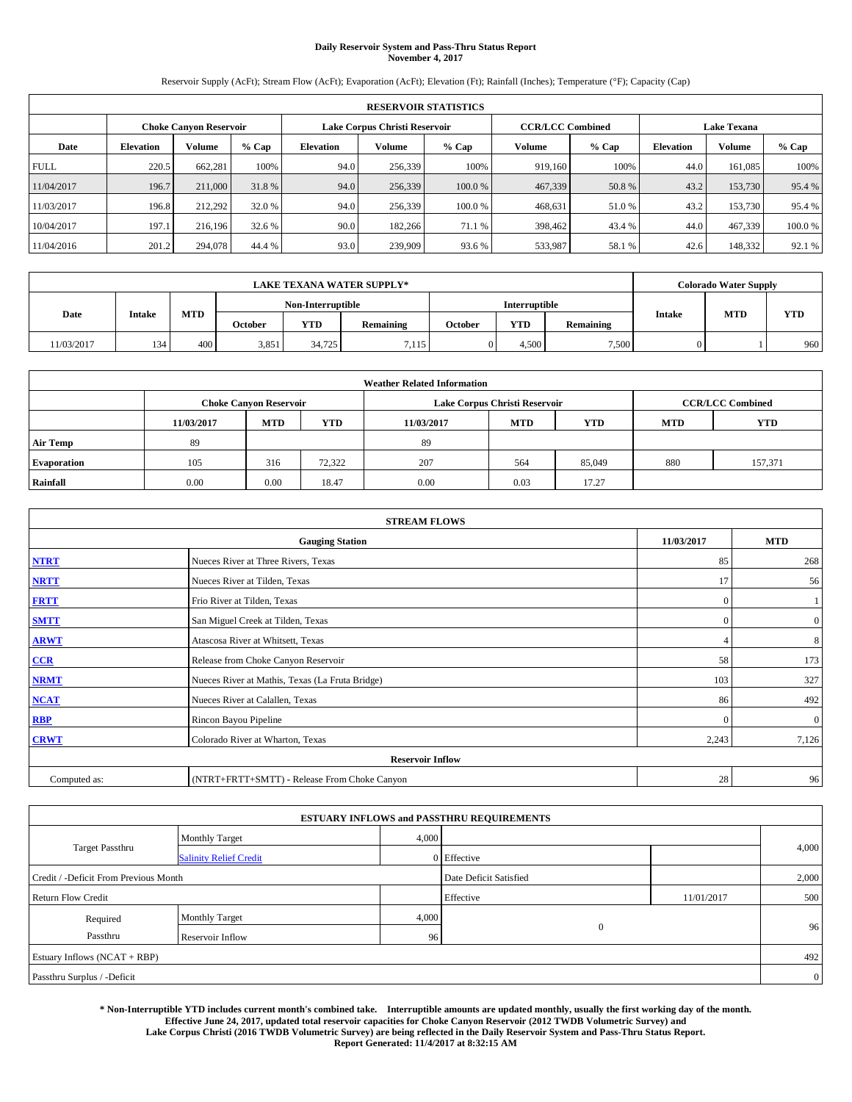#### **Daily Reservoir System and Pass-Thru Status Report November 4, 2017**

Reservoir Supply (AcFt); Stream Flow (AcFt); Evaporation (AcFt); Elevation (Ft); Rainfall (Inches); Temperature (°F); Capacity (Cap)

| <b>RESERVOIR STATISTICS</b> |                  |                               |         |           |                               |         |                         |         |                  |                    |        |  |
|-----------------------------|------------------|-------------------------------|---------|-----------|-------------------------------|---------|-------------------------|---------|------------------|--------------------|--------|--|
|                             |                  | <b>Choke Canyon Reservoir</b> |         |           | Lake Corpus Christi Reservoir |         | <b>CCR/LCC Combined</b> |         |                  | <b>Lake Texana</b> |        |  |
| Date                        | <b>Elevation</b> | Volume                        | $%$ Cap | Elevation | Volume                        | $%$ Cap | Volume                  | $%$ Cap | <b>Elevation</b> | <b>Volume</b>      | % Cap  |  |
| <b>FULL</b>                 | 220.5            | 662.281                       | 100%    | 94.0      | 256,339                       | 100%    | 919.160                 | 100%    | 44.0             | 161,085            | 100%   |  |
| 11/04/2017                  | 196.7            | 211,000                       | 31.8%   | 94.0      | 256,339                       | 100.0 % | 467,339                 | 50.8%   | 43.2             | 153,730            | 95.4 % |  |
| 11/03/2017                  | 196.8            | 212,292                       | 32.0 %  | 94.0      | 256,339                       | 100.0%  | 468,631                 | 51.0 %  | 43.2             | 153,730            | 95.4 % |  |
| 10/04/2017                  | 197.1            | 216.196                       | 32.6 %  | 90.0      | 182,266                       | 71.1 %  | 398,462                 | 43.4 %  | 44.0             | 467,339            | 100.0% |  |
| 11/04/2016                  | 201.2            | 294,078                       | 44.4 %  | 93.0      | 239,909                       | 93.6 %  | 533,987                 | 58.1 %  | 42.6             | 148,332            | 92.1 % |  |

| <b>LAKE TEXANA WATER SUPPLY*</b> |               |            |         |                   |           |         |               |           |               | <b>Colorado Water Supply</b> |            |
|----------------------------------|---------------|------------|---------|-------------------|-----------|---------|---------------|-----------|---------------|------------------------------|------------|
|                                  |               |            |         | Non-Interruptible |           |         | Interruptible |           |               |                              |            |
| Date                             | <b>Intake</b> | <b>MTD</b> | October | <b>YTD</b>        | Remaining | October | <b>YTD</b>    | Remaining | <b>Intake</b> | <b>MTD</b>                   | <b>YTD</b> |
| 11/03/2017                       | 134           | 400        | 3,851   | 34.725            | 7.115     |         | 4.500         | 7.500     |               |                              | 960        |

| <b>Weather Related Information</b> |            |                               |            |            |                                                      |                         |     |         |  |  |
|------------------------------------|------------|-------------------------------|------------|------------|------------------------------------------------------|-------------------------|-----|---------|--|--|
|                                    |            | <b>Choke Canyon Reservoir</b> |            |            | Lake Corpus Christi Reservoir                        | <b>CCR/LCC Combined</b> |     |         |  |  |
|                                    | 11/03/2017 | <b>MTD</b>                    | <b>YTD</b> | 11/03/2017 | <b>YTD</b><br><b>MTD</b><br><b>YTD</b><br><b>MTD</b> |                         |     |         |  |  |
| <b>Air Temp</b>                    | 89         |                               |            | -89        |                                                      |                         |     |         |  |  |
| <b>Evaporation</b>                 | 105        | 316                           | 72,322     | 207        | 564                                                  | 85,049                  | 880 | 157,371 |  |  |
| Rainfall                           | 0.00       | 0.00                          | 18.47      | 0.00       | 0.03                                                 | 17.27                   |     |         |  |  |

| <b>STREAM FLOWS</b> |                                                 |                |                |  |  |  |  |  |
|---------------------|-------------------------------------------------|----------------|----------------|--|--|--|--|--|
|                     | 11/03/2017                                      | <b>MTD</b>     |                |  |  |  |  |  |
| <b>NTRT</b>         | Nueces River at Three Rivers, Texas             | 85             | 268            |  |  |  |  |  |
| <b>NRTT</b>         | Nueces River at Tilden, Texas                   | 17             | 56             |  |  |  |  |  |
| <b>FRTT</b>         | Frio River at Tilden, Texas                     | $\mathbf{0}$   |                |  |  |  |  |  |
| <b>SMTT</b>         | San Miguel Creek at Tilden, Texas               | $\mathbf{0}$   | $\overline{0}$ |  |  |  |  |  |
| <b>ARWT</b>         | Atascosa River at Whitsett, Texas               | $\overline{4}$ | 8              |  |  |  |  |  |
| CCR                 | Release from Choke Canyon Reservoir             | 58             | 173            |  |  |  |  |  |
| <b>NRMT</b>         | Nueces River at Mathis, Texas (La Fruta Bridge) | 103            | 327            |  |  |  |  |  |
| <b>NCAT</b>         | Nueces River at Calallen, Texas                 | 86             | 492            |  |  |  |  |  |
| RBP                 | Rincon Bayou Pipeline                           | $\theta$       | $\mathbf{0}$   |  |  |  |  |  |
| <b>CRWT</b>         | Colorado River at Wharton, Texas                | 2,243          | 7,126          |  |  |  |  |  |
|                     |                                                 |                |                |  |  |  |  |  |
| Computed as:        | (NTRT+FRTT+SMTT) - Release From Choke Canyon    | 28             | 96             |  |  |  |  |  |

|                                       |                               |       | <b>ESTUARY INFLOWS and PASSTHRU REQUIREMENTS</b> |            |                |  |  |  |
|---------------------------------------|-------------------------------|-------|--------------------------------------------------|------------|----------------|--|--|--|
|                                       | <b>Monthly Target</b>         | 4,000 |                                                  |            |                |  |  |  |
| <b>Target Passthru</b>                | <b>Salinity Relief Credit</b> |       | 0 Effective                                      |            | 4,000          |  |  |  |
| Credit / -Deficit From Previous Month |                               |       | Date Deficit Satisfied                           |            | 2,000          |  |  |  |
| <b>Return Flow Credit</b>             |                               |       | Effective                                        | 11/01/2017 | 500            |  |  |  |
| Required                              | <b>Monthly Target</b>         | 4,000 |                                                  |            |                |  |  |  |
| Passthru                              | Reservoir Inflow              | 96    | $\mathbf{0}$                                     |            | 96             |  |  |  |
| Estuary Inflows (NCAT + RBP)          |                               |       |                                                  |            |                |  |  |  |
| Passthru Surplus / -Deficit           |                               |       |                                                  |            | $\overline{0}$ |  |  |  |

**\* Non-Interruptible YTD includes current month's combined take. Interruptible amounts are updated monthly, usually the first working day of the month. Effective June 24, 2017, updated total reservoir capacities for Choke Canyon Reservoir (2012 TWDB Volumetric Survey) and Lake Corpus Christi (2016 TWDB Volumetric Survey) are being reflected in the Daily Reservoir System and Pass-Thru Status Report. Report Generated: 11/4/2017 at 8:32:15 AM**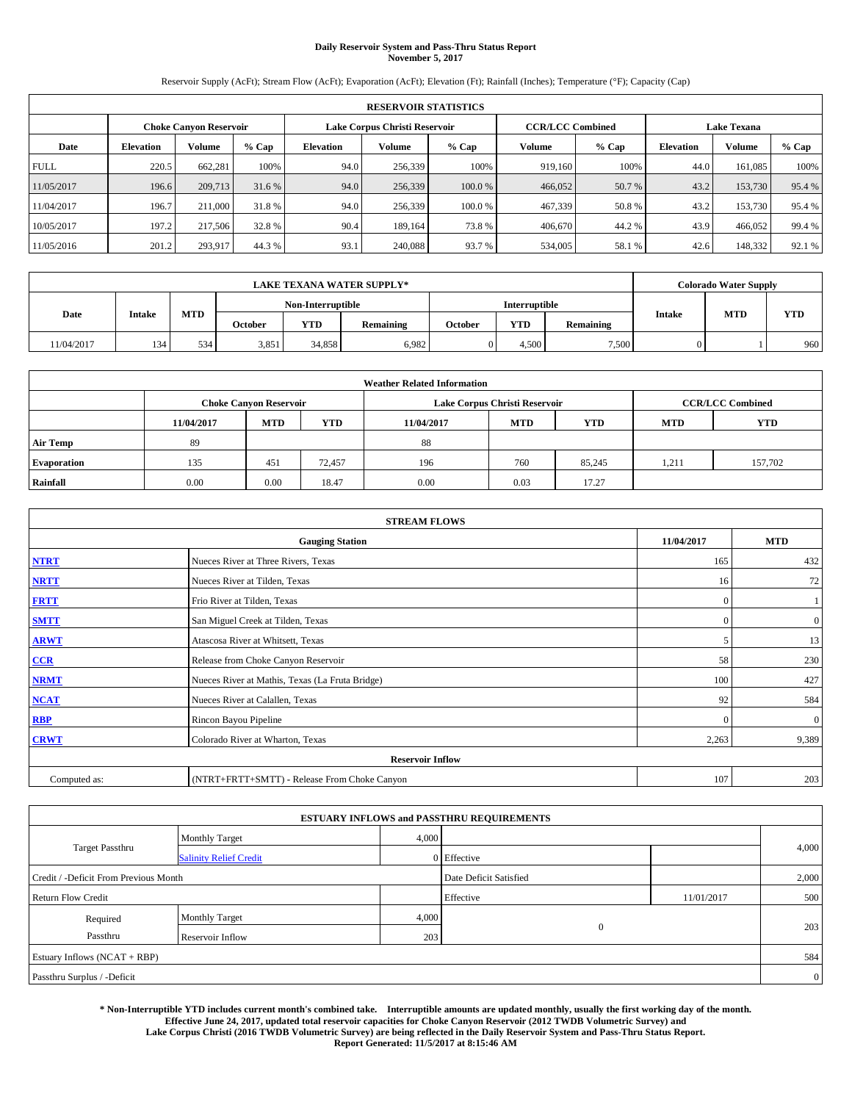## **Daily Reservoir System and Pass-Thru Status Report November 5, 2017**

Reservoir Supply (AcFt); Stream Flow (AcFt); Evaporation (AcFt); Elevation (Ft); Rainfall (Inches); Temperature (°F); Capacity (Cap)

| <b>RESERVOIR STATISTICS</b> |                  |                               |        |                               |               |         |                         |         |                    |         |        |
|-----------------------------|------------------|-------------------------------|--------|-------------------------------|---------------|---------|-------------------------|---------|--------------------|---------|--------|
|                             |                  | <b>Choke Canvon Reservoir</b> |        | Lake Corpus Christi Reservoir |               |         | <b>CCR/LCC Combined</b> |         | <b>Lake Texana</b> |         |        |
| Date                        | <b>Elevation</b> | Volume                        | % Cap  | <b>Elevation</b>              | <b>Volume</b> | $%$ Cap | <b>Volume</b>           | $%$ Cap | <b>Elevation</b>   | Volume  | % Cap  |
| <b>FULL</b>                 | 220.5            | 662.281                       | 100%   | 94.0                          | 256,339       | 100%    | 919.160                 | 100%    | 44.0               | 161.085 | 100%   |
| 11/05/2017                  | 196.6            | 209,713                       | 31.6 % | 94.0                          | 256,339       | 100.0 % | 466,052                 | 50.7 %  | 43.2               | 153,730 | 95.4 % |
| 11/04/2017                  | 196.7            | 211,000                       | 31.8%  | 94.0                          | 256,339       | 100.0%  | 467,339                 | 50.8%   | 43.2               | 153,730 | 95.4 % |
| 10/05/2017                  | 197.2            | 217,506                       | 32.8%  | 90.4                          | 189.164       | 73.8%   | 406,670                 | 44.2 %  | 43.9               | 466,052 | 99.4 % |
| 11/05/2016                  | 201.2            | 293,917                       | 44.3%  | 93.1                          | 240,088       | 93.7 %  | 534,005                 | 58.1 %  | 42.6               | 148,332 | 92.1 % |

| <b>LAKE TEXANA WATER SUPPLY*</b> |     |               |       |                   |       |            |               |            |           | <b>Colorado Water Supply</b> |            |           |               |            |            |
|----------------------------------|-----|---------------|-------|-------------------|-------|------------|---------------|------------|-----------|------------------------------|------------|-----------|---------------|------------|------------|
|                                  |     |               |       | Non-Interruptible |       |            | Interruptible |            |           |                              |            |           |               |            |            |
| Date                             |     | <b>Intake</b> |       |                   |       | <b>MTD</b> | October       | <b>YTD</b> | Remaining | October                      | <b>YTD</b> | Remaining | <b>Intake</b> | <b>MTD</b> | <b>YTD</b> |
| 11/04/2017                       | 134 | 534           | 3,851 | 34,858            | 6,982 |            | 4,500         | 7,500      |           |                              | 960        |           |               |            |            |

| <b>Weather Related Information</b> |            |                               |            |            |                                                      |                         |       |         |  |  |
|------------------------------------|------------|-------------------------------|------------|------------|------------------------------------------------------|-------------------------|-------|---------|--|--|
|                                    |            | <b>Choke Canyon Reservoir</b> |            |            | Lake Corpus Christi Reservoir                        | <b>CCR/LCC Combined</b> |       |         |  |  |
|                                    | 11/04/2017 | <b>MTD</b>                    | <b>YTD</b> | 11/04/2017 | <b>YTD</b><br><b>MTD</b><br><b>YTD</b><br><b>MTD</b> |                         |       |         |  |  |
| <b>Air Temp</b>                    | 89         |                               |            | 88         |                                                      |                         |       |         |  |  |
| <b>Evaporation</b>                 | 135        | 451                           | 72,457     | 196        | 760                                                  | 85,245                  | 1,211 | 157,702 |  |  |
| Rainfall                           | 0.00       | 0.00                          | 18.47      | 0.00       | 0.03                                                 | 17.27                   |       |         |  |  |

| <b>STREAM FLOWS</b> |                                                 |              |                |  |  |  |  |  |  |
|---------------------|-------------------------------------------------|--------------|----------------|--|--|--|--|--|--|
|                     | 11/04/2017                                      | <b>MTD</b>   |                |  |  |  |  |  |  |
| <b>NTRT</b>         | Nueces River at Three Rivers, Texas             | 165          | 432            |  |  |  |  |  |  |
| <b>NRTT</b>         | Nueces River at Tilden, Texas                   | 16           | 72             |  |  |  |  |  |  |
| <b>FRTT</b>         | Frio River at Tilden, Texas                     | $\mathbf{0}$ |                |  |  |  |  |  |  |
| <b>SMTT</b>         | San Miguel Creek at Tilden, Texas               | $\mathbf{0}$ | $\overline{0}$ |  |  |  |  |  |  |
| <b>ARWT</b>         | Atascosa River at Whitsett, Texas               | 5            | 13             |  |  |  |  |  |  |
| $CCR$               | Release from Choke Canyon Reservoir             | 58           | 230            |  |  |  |  |  |  |
| <b>NRMT</b>         | Nueces River at Mathis, Texas (La Fruta Bridge) | 100          | 427            |  |  |  |  |  |  |
| <b>NCAT</b>         | Nueces River at Calallen, Texas                 | 92           | 584            |  |  |  |  |  |  |
| <b>RBP</b>          | Rincon Bayou Pipeline                           | $\mathbf{0}$ | $\mathbf{0}$   |  |  |  |  |  |  |
| <b>CRWT</b>         | Colorado River at Wharton, Texas                | 2,263        | 9,389          |  |  |  |  |  |  |
|                     | <b>Reservoir Inflow</b>                         |              |                |  |  |  |  |  |  |
| Computed as:        | (NTRT+FRTT+SMTT) - Release From Choke Canyon    | 107          | 203            |  |  |  |  |  |  |

| <b>ESTUARY INFLOWS and PASSTHRU REQUIREMENTS</b> |                               |       |                        |            |                |  |  |  |  |  |
|--------------------------------------------------|-------------------------------|-------|------------------------|------------|----------------|--|--|--|--|--|
|                                                  | <b>Monthly Target</b>         | 4,000 |                        |            |                |  |  |  |  |  |
| <b>Target Passthru</b>                           | <b>Salinity Relief Credit</b> |       | 0 Effective            |            | 4,000          |  |  |  |  |  |
| Credit / -Deficit From Previous Month            |                               |       | Date Deficit Satisfied |            | 2,000          |  |  |  |  |  |
| <b>Return Flow Credit</b>                        |                               |       | Effective              | 11/01/2017 | 500            |  |  |  |  |  |
| Required                                         | <b>Monthly Target</b>         | 4,000 |                        |            |                |  |  |  |  |  |
| Passthru                                         | Reservoir Inflow              | 203   | $\overline{0}$         |            | 203            |  |  |  |  |  |
| Estuary Inflows (NCAT + RBP)                     |                               |       |                        |            | 584            |  |  |  |  |  |
| Passthru Surplus / -Deficit                      |                               |       |                        |            | $\overline{0}$ |  |  |  |  |  |

**\* Non-Interruptible YTD includes current month's combined take. Interruptible amounts are updated monthly, usually the first working day of the month. Effective June 24, 2017, updated total reservoir capacities for Choke Canyon Reservoir (2012 TWDB Volumetric Survey) and Lake Corpus Christi (2016 TWDB Volumetric Survey) are being reflected in the Daily Reservoir System and Pass-Thru Status Report. Report Generated: 11/5/2017 at 8:15:46 AM**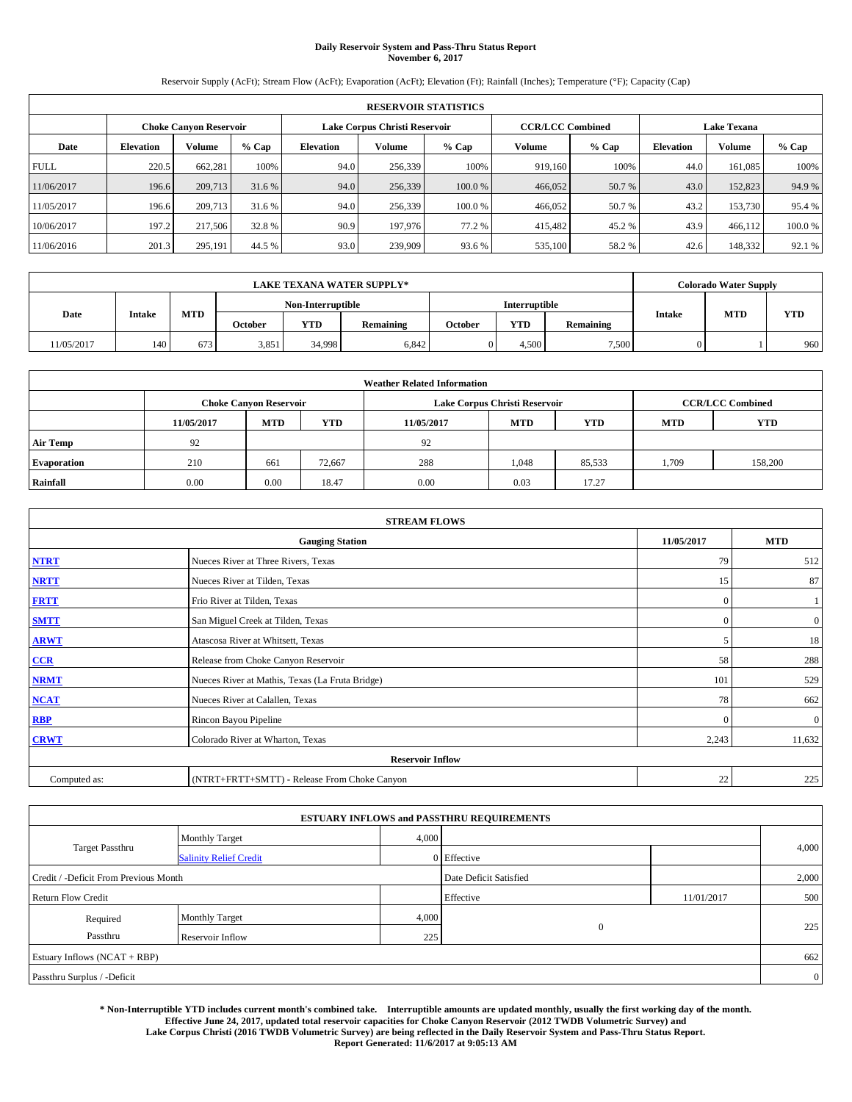#### **Daily Reservoir System and Pass-Thru Status Report November 6, 2017**

Reservoir Supply (AcFt); Stream Flow (AcFt); Evaporation (AcFt); Elevation (Ft); Rainfall (Inches); Temperature (°F); Capacity (Cap)

|                                                                | <b>RESERVOIR STATISTICS</b> |         |         |           |         |        |                         |         |                  |                    |        |
|----------------------------------------------------------------|-----------------------------|---------|---------|-----------|---------|--------|-------------------------|---------|------------------|--------------------|--------|
| Lake Corpus Christi Reservoir<br><b>Choke Canyon Reservoir</b> |                             |         |         |           |         |        | <b>CCR/LCC Combined</b> |         |                  | <b>Lake Texana</b> |        |
| Date                                                           | <b>Elevation</b>            | Volume  | $%$ Cap | Elevation | Volume  | % Cap  | Volume                  | $%$ Cap | <b>Elevation</b> | <b>Volume</b>      | % Cap  |
| <b>FULL</b>                                                    | 220.5                       | 662,281 | 100%    | 94.0      | 256,339 | 100%   | 919.160                 | 100%    | 44.0             | 161.085            | 100%   |
| 11/06/2017                                                     | 196.6                       | 209,713 | 31.6 %  | 94.0      | 256,339 | 100.0% | 466,052                 | 50.7 %  | 43.0             | 152,823            | 94.9%  |
| 11/05/2017                                                     | 196.6                       | 209,713 | 31.6 %  | 94.0      | 256.339 | 100.0% | 466,052                 | 50.7 %  | 43.2             | 153,730            | 95.4 % |
| 10/06/2017                                                     | 197.2                       | 217,506 | 32.8 %  | 90.9      | 197,976 | 77.2 % | 415,482                 | 45.2 %  | 43.9             | 466,112            | 100.0% |
| 11/06/2016                                                     | 201.3                       | 295,191 | 44.5 %  | 93.0      | 239,909 | 93.6 % | 535,100                 | 58.2%   | 42.6             | 148,332            | 92.1 % |

|            |               |            |                   |            | <b>LAKE TEXANA WATER SUPPLY*</b> |                      |       |           |               | <b>Colorado Water Supply</b> |            |
|------------|---------------|------------|-------------------|------------|----------------------------------|----------------------|-------|-----------|---------------|------------------------------|------------|
|            |               |            | Non-Interruptible |            |                                  | <b>Interruptible</b> |       |           |               |                              |            |
| Date       | <b>Intake</b> | <b>MTD</b> | October           | <b>YTD</b> | Remaining                        | October              | YTD   | Remaining | <b>Intake</b> | <b>MTD</b>                   | <b>YTD</b> |
| 11/05/2017 | 140           | 673        | 3,851             | 34,998     | 6,842                            |                      | 4.500 | 7,500     |               |                              | 960        |

| <b>Weather Related Information</b> |            |                                                                                  |        |      |                               |        |       |                         |  |  |
|------------------------------------|------------|----------------------------------------------------------------------------------|--------|------|-------------------------------|--------|-------|-------------------------|--|--|
|                                    |            | <b>Choke Canyon Reservoir</b>                                                    |        |      | Lake Corpus Christi Reservoir |        |       | <b>CCR/LCC Combined</b> |  |  |
|                                    | 11/05/2017 | <b>YTD</b><br><b>MTD</b><br><b>MTD</b><br><b>YTD</b><br>11/05/2017<br><b>MTD</b> |        |      |                               |        |       |                         |  |  |
| <b>Air Temp</b>                    | 92         |                                                                                  |        | 92   |                               |        |       |                         |  |  |
| <b>Evaporation</b>                 | 210        | 661                                                                              | 72,667 | 288  | 1,048                         | 85,533 | 1,709 | 158,200                 |  |  |
| Rainfall                           | 0.00       | 0.00                                                                             | 18.47  | 0.00 | 0.03                          | 17.27  |       |                         |  |  |

|              | <b>STREAM FLOWS</b>                             |              |                |  |  |  |  |  |  |  |
|--------------|-------------------------------------------------|--------------|----------------|--|--|--|--|--|--|--|
|              | <b>Gauging Station</b>                          | 11/05/2017   | <b>MTD</b>     |  |  |  |  |  |  |  |
| <b>NTRT</b>  | Nueces River at Three Rivers, Texas             | 79           | 512            |  |  |  |  |  |  |  |
| <b>NRTT</b>  | Nueces River at Tilden, Texas                   | 15           | 87             |  |  |  |  |  |  |  |
| <b>FRTT</b>  | Frio River at Tilden, Texas                     | $\mathbf{0}$ |                |  |  |  |  |  |  |  |
| <b>SMTT</b>  | San Miguel Creek at Tilden, Texas               | $\mathbf{0}$ | $\overline{0}$ |  |  |  |  |  |  |  |
| <b>ARWT</b>  | Atascosa River at Whitsett, Texas               | 5            | 18             |  |  |  |  |  |  |  |
| $CCR$        | Release from Choke Canyon Reservoir             | 58           | 288            |  |  |  |  |  |  |  |
| <b>NRMT</b>  | Nueces River at Mathis, Texas (La Fruta Bridge) | 101          | 529            |  |  |  |  |  |  |  |
| <b>NCAT</b>  | Nueces River at Calallen, Texas                 | 78           | 662            |  |  |  |  |  |  |  |
| RBP          | Rincon Bayou Pipeline                           | $\mathbf{0}$ | $\mathbf{0}$   |  |  |  |  |  |  |  |
| <b>CRWT</b>  | Colorado River at Wharton, Texas                | 2,243        | 11,632         |  |  |  |  |  |  |  |
|              | <b>Reservoir Inflow</b>                         |              |                |  |  |  |  |  |  |  |
| Computed as: | (NTRT+FRTT+SMTT) - Release From Choke Canyon    | 22           | 225            |  |  |  |  |  |  |  |

| <b>ESTUARY INFLOWS and PASSTHRU REQUIREMENTS</b> |                               |       |                        |            |                |  |  |  |  |  |
|--------------------------------------------------|-------------------------------|-------|------------------------|------------|----------------|--|--|--|--|--|
|                                                  | <b>Monthly Target</b>         | 4,000 |                        |            |                |  |  |  |  |  |
| <b>Target Passthru</b>                           | <b>Salinity Relief Credit</b> |       | 0 Effective            |            | 4,000          |  |  |  |  |  |
| Credit / -Deficit From Previous Month            |                               |       | Date Deficit Satisfied |            | 2,000          |  |  |  |  |  |
| <b>Return Flow Credit</b>                        |                               |       | Effective              | 11/01/2017 | 500            |  |  |  |  |  |
| Required                                         | <b>Monthly Target</b>         | 4,000 |                        |            |                |  |  |  |  |  |
| Passthru                                         | Reservoir Inflow              | 225   | $\mathbf{0}$           |            | 225            |  |  |  |  |  |
| Estuary Inflows (NCAT + RBP)                     |                               |       |                        |            |                |  |  |  |  |  |
| Passthru Surplus / -Deficit                      |                               |       |                        |            | $\overline{0}$ |  |  |  |  |  |

**\* Non-Interruptible YTD includes current month's combined take. Interruptible amounts are updated monthly, usually the first working day of the month. Effective June 24, 2017, updated total reservoir capacities for Choke Canyon Reservoir (2012 TWDB Volumetric Survey) and Lake Corpus Christi (2016 TWDB Volumetric Survey) are being reflected in the Daily Reservoir System and Pass-Thru Status Report. Report Generated: 11/6/2017 at 9:05:13 AM**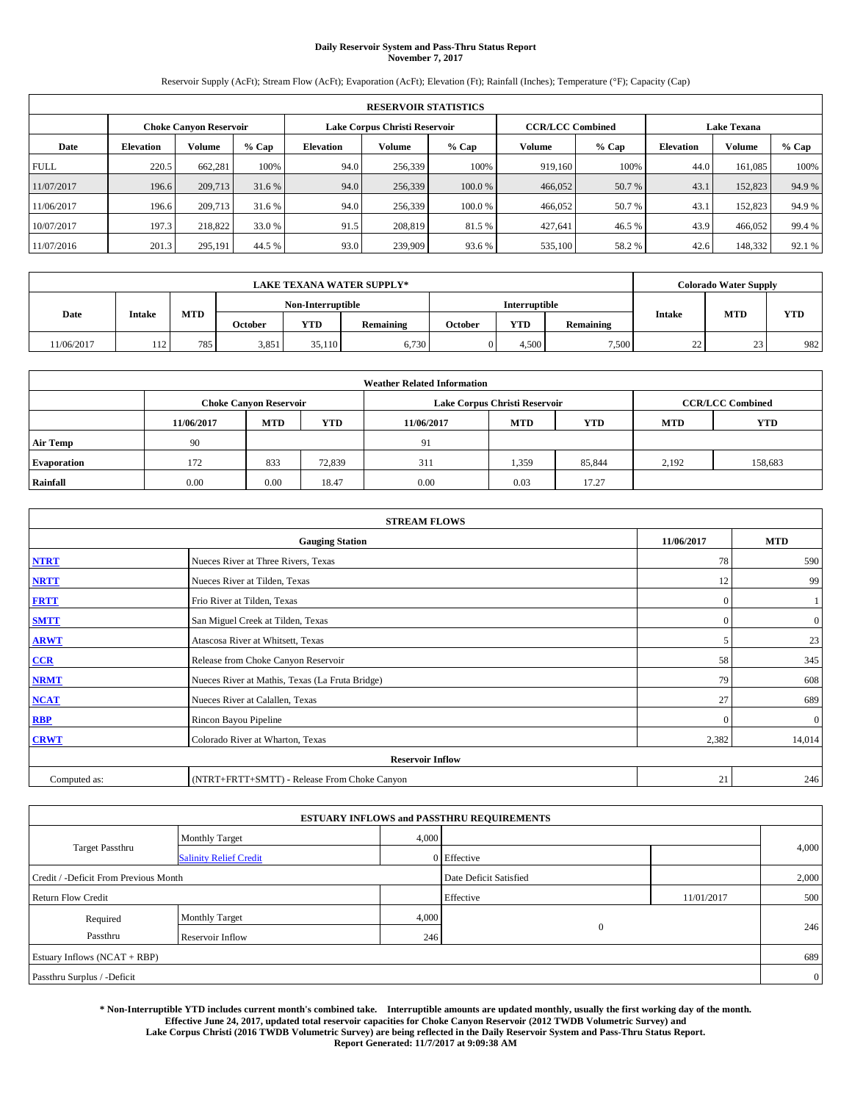### **Daily Reservoir System and Pass-Thru Status Report November 7, 2017**

Reservoir Supply (AcFt); Stream Flow (AcFt); Evaporation (AcFt); Elevation (Ft); Rainfall (Inches); Temperature (°F); Capacity (Cap)

|             | <b>RESERVOIR STATISTICS</b> |                               |        |                  |                               |         |         |                                                                                                                                                                                                                                                              |      |         |        |  |
|-------------|-----------------------------|-------------------------------|--------|------------------|-------------------------------|---------|---------|--------------------------------------------------------------------------------------------------------------------------------------------------------------------------------------------------------------------------------------------------------------|------|---------|--------|--|
|             |                             | <b>Choke Canvon Reservoir</b> |        |                  | Lake Corpus Christi Reservoir |         |         | <b>CCR/LCC Combined</b><br><b>Lake Texana</b><br>Volume<br>Volume<br>% Cap<br><b>Elevation</b><br>100%<br>919.160<br>161.085<br>44.0<br>466,052<br>50.7 %<br>43.1<br>152,823<br>466,052<br>50.7 %<br>43.1<br>152,823<br>43.9<br>427.641<br>46.5 %<br>466,052 |      |         |        |  |
| Date        | <b>Elevation</b>            | Volume                        | % Cap  | <b>Elevation</b> | Volume                        | $%$ Cap |         |                                                                                                                                                                                                                                                              |      |         | % Cap  |  |
| <b>FULL</b> | 220.5                       | 662.281                       | 100%   | 94.0             | 256,339                       | 100%    |         |                                                                                                                                                                                                                                                              |      |         | 100%   |  |
| 11/07/2017  | 196.6                       | 209,713                       | 31.6 % | 94.0             | 256,339                       | 100.0 % |         |                                                                                                                                                                                                                                                              |      |         | 94.9 % |  |
| 11/06/2017  | 196.6                       | 209,713                       | 31.6 % | 94.0             | 256,339                       | 100.0%  |         |                                                                                                                                                                                                                                                              |      |         | 94.9 % |  |
| 10/07/2017  | 197.3                       | 218,822                       | 33.0 % | 91.5             | 208,819                       | 81.5 %  |         |                                                                                                                                                                                                                                                              |      |         | 99.4 % |  |
| 11/07/2016  | 201.3                       | 295,191                       | 44.5 % | 93.0             | 239,909                       | 93.6 %  | 535,100 | 58.2%                                                                                                                                                                                                                                                        | 42.6 | 148,332 | 92.1 % |  |

|            |               |            |         |                   | <b>LAKE TEXANA WATER SUPPLY*</b> |         |               |           |                    | <b>Colorado Water Supply</b> |            |
|------------|---------------|------------|---------|-------------------|----------------------------------|---------|---------------|-----------|--------------------|------------------------------|------------|
|            |               |            |         | Non-Interruptible |                                  |         | Interruptible |           |                    |                              |            |
| Date       | <b>Intake</b> | <b>MTD</b> | October | <b>YTD</b>        | Remaining                        | October | <b>YTD</b>    | Remaining | <b>Intake</b>      | <b>MTD</b>                   | <b>YTD</b> |
| 11/06/2017 | 112           | 785        | 3,851   | 35.110            | 6,730                            |         | 4.500         | 7.500     | $\sim$<br><u>_</u> | $\sim$<br>سد                 | 982        |

| <b>Weather Related Information</b> |            |                                                                                  |        |      |                               |        |       |                         |  |  |  |
|------------------------------------|------------|----------------------------------------------------------------------------------|--------|------|-------------------------------|--------|-------|-------------------------|--|--|--|
|                                    |            | <b>Choke Canyon Reservoir</b>                                                    |        |      | Lake Corpus Christi Reservoir |        |       | <b>CCR/LCC Combined</b> |  |  |  |
|                                    | 11/06/2017 | <b>YTD</b><br><b>MTD</b><br><b>MTD</b><br><b>YTD</b><br>11/06/2017<br><b>MTD</b> |        |      |                               |        |       |                         |  |  |  |
| <b>Air Temp</b>                    | 90         |                                                                                  |        | 91   |                               |        |       |                         |  |  |  |
| <b>Evaporation</b>                 | 172        | 833                                                                              | 72,839 | 311  | 1,359                         | 85,844 | 2,192 | 158,683                 |  |  |  |
| Rainfall                           | 0.00       | 0.00                                                                             | 18.47  | 0.00 | 0.03                          | 17.27  |       |                         |  |  |  |

|              | <b>STREAM FLOWS</b>                             |              |              |  |  |  |  |  |  |  |
|--------------|-------------------------------------------------|--------------|--------------|--|--|--|--|--|--|--|
|              | <b>Gauging Station</b>                          | 11/06/2017   | <b>MTD</b>   |  |  |  |  |  |  |  |
| <b>NTRT</b>  | Nueces River at Three Rivers, Texas             | 78           | 590          |  |  |  |  |  |  |  |
| <b>NRTT</b>  | Nueces River at Tilden, Texas                   | 12           | 99           |  |  |  |  |  |  |  |
| <b>FRTT</b>  | Frio River at Tilden, Texas                     | $\mathbf{0}$ |              |  |  |  |  |  |  |  |
| <b>SMTT</b>  | San Miguel Creek at Tilden, Texas               | $\mathbf{0}$ | $\mathbf{0}$ |  |  |  |  |  |  |  |
| <b>ARWT</b>  | Atascosa River at Whitsett, Texas               | 5            | 23           |  |  |  |  |  |  |  |
| $CCR$        | Release from Choke Canyon Reservoir             | 58           | 345          |  |  |  |  |  |  |  |
| <b>NRMT</b>  | Nueces River at Mathis, Texas (La Fruta Bridge) | 79           | 608          |  |  |  |  |  |  |  |
| <b>NCAT</b>  | Nueces River at Calallen, Texas                 | 27           | 689          |  |  |  |  |  |  |  |
| RBP          | Rincon Bayou Pipeline                           | $\theta$     | $\mathbf{0}$ |  |  |  |  |  |  |  |
| <b>CRWT</b>  | Colorado River at Wharton, Texas                | 2,382        | 14,014       |  |  |  |  |  |  |  |
|              | <b>Reservoir Inflow</b>                         |              |              |  |  |  |  |  |  |  |
| Computed as: | (NTRT+FRTT+SMTT) - Release From Choke Canyon    | 21           | 246          |  |  |  |  |  |  |  |

| <b>ESTUARY INFLOWS and PASSTHRU REQUIREMENTS</b> |                               |       |                        |            |                |  |  |  |  |  |
|--------------------------------------------------|-------------------------------|-------|------------------------|------------|----------------|--|--|--|--|--|
|                                                  | <b>Monthly Target</b>         | 4,000 |                        |            |                |  |  |  |  |  |
| <b>Target Passthru</b>                           | <b>Salinity Relief Credit</b> |       | 0 Effective            |            | 4,000          |  |  |  |  |  |
| Credit / -Deficit From Previous Month            |                               |       | Date Deficit Satisfied |            | 2,000          |  |  |  |  |  |
| <b>Return Flow Credit</b>                        |                               |       | Effective              | 11/01/2017 | 500            |  |  |  |  |  |
| Required                                         | <b>Monthly Target</b>         | 4,000 |                        |            |                |  |  |  |  |  |
| Passthru                                         | Reservoir Inflow              | 246   | $\mathbf{0}$           |            | 246            |  |  |  |  |  |
| Estuary Inflows (NCAT + RBP)                     |                               |       |                        |            | 689            |  |  |  |  |  |
| Passthru Surplus / -Deficit                      |                               |       |                        |            | $\overline{0}$ |  |  |  |  |  |

**\* Non-Interruptible YTD includes current month's combined take. Interruptible amounts are updated monthly, usually the first working day of the month. Effective June 24, 2017, updated total reservoir capacities for Choke Canyon Reservoir (2012 TWDB Volumetric Survey) and Lake Corpus Christi (2016 TWDB Volumetric Survey) are being reflected in the Daily Reservoir System and Pass-Thru Status Report. Report Generated: 11/7/2017 at 9:09:38 AM**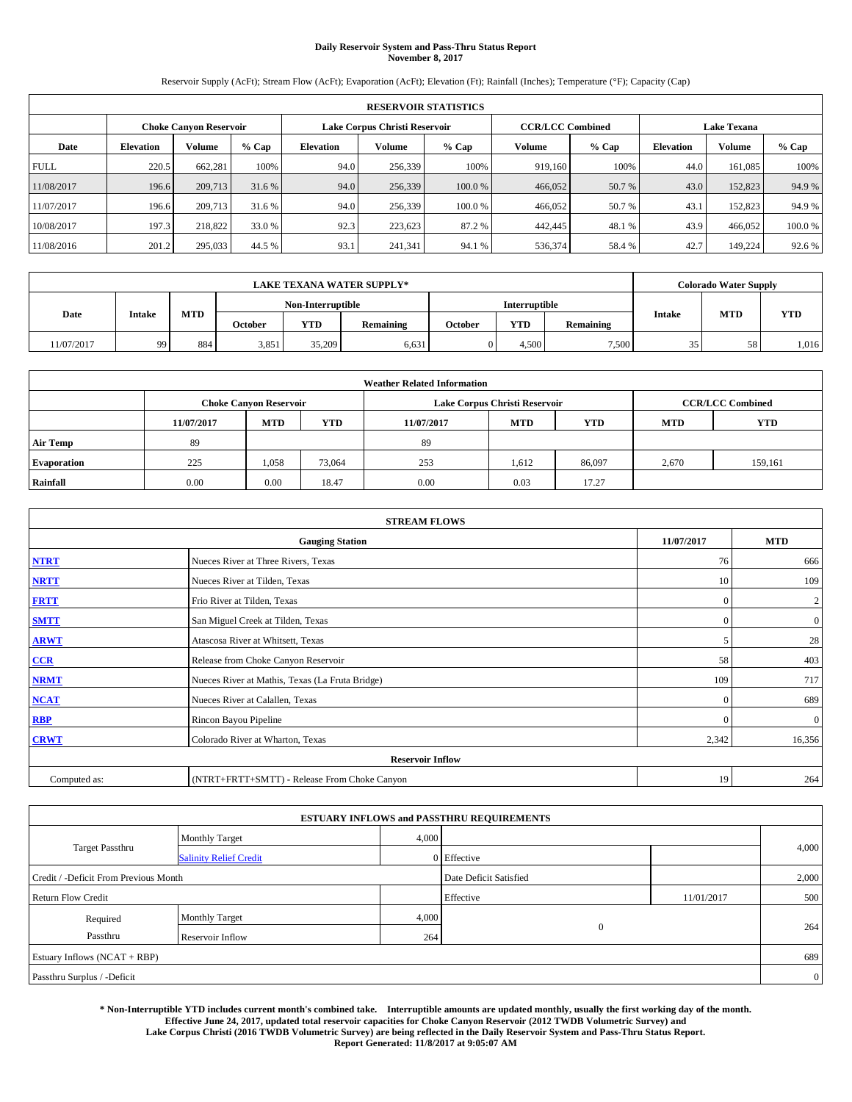#### **Daily Reservoir System and Pass-Thru Status Report November 8, 2017**

Reservoir Supply (AcFt); Stream Flow (AcFt); Evaporation (AcFt); Elevation (Ft); Rainfall (Inches); Temperature (°F); Capacity (Cap)

|                                                                | <b>RESERVOIR STATISTICS</b> |         |         |           |         |        |                         |         |                  |                    |        |
|----------------------------------------------------------------|-----------------------------|---------|---------|-----------|---------|--------|-------------------------|---------|------------------|--------------------|--------|
| Lake Corpus Christi Reservoir<br><b>Choke Canyon Reservoir</b> |                             |         |         |           |         |        | <b>CCR/LCC Combined</b> |         |                  | <b>Lake Texana</b> |        |
| Date                                                           | <b>Elevation</b>            | Volume  | $%$ Cap | Elevation | Volume  | % Cap  | Volume                  | $%$ Cap | <b>Elevation</b> | <b>Volume</b>      | % Cap  |
| <b>FULL</b>                                                    | 220.5                       | 662,281 | 100%    | 94.0      | 256,339 | 100%   | 919.160                 | 100%    | 44.0             | 161.085            | 100%   |
| 11/08/2017                                                     | 196.6                       | 209,713 | 31.6 %  | 94.0      | 256,339 | 100.0% | 466,052                 | 50.7 %  | 43.0             | 152,823            | 94.9%  |
| 11/07/2017                                                     | 196.6                       | 209,713 | 31.6 %  | 94.0      | 256.339 | 100.0% | 466,052                 | 50.7 %  | 43.1             | 152,823            | 94.9%  |
| 10/08/2017                                                     | 197.3                       | 218,822 | 33.0 %  | 92.3      | 223,623 | 87.2 % | 442,445                 | 48.1%   | 43.9             | 466.052            | 100.0% |
| 11/08/2016                                                     | 201.2                       | 295,033 | 44.5 %  | 93.1      | 241,341 | 94.1 % | 536,374                 | 58.4%   | 42.7             | 149.224            | 92.6 % |

|            | <b>LAKE TEXANA WATER SUPPLY*</b> |            |         |                   |           |         |               |                  |               | <b>Colorado Water Supply</b> |            |
|------------|----------------------------------|------------|---------|-------------------|-----------|---------|---------------|------------------|---------------|------------------------------|------------|
|            |                                  |            |         | Non-Interruptible |           |         | Interruptible |                  |               |                              |            |
| Date       | Intake                           | <b>MTD</b> | October | <b>YTD</b>        | Remaining | October | <b>YTD</b>    | <b>Remaining</b> | <b>Intake</b> | <b>MTD</b>                   | <b>YTD</b> |
| 11/07/2017 | 99                               | 884        | 3,851   | 35,209            | 6,631     |         | 4.500         | 7,500            | 35            | 58                           | 1,016      |

|                    | <b>Weather Related Information</b> |                                                                                  |        |      |                               |                         |       |            |  |  |  |  |
|--------------------|------------------------------------|----------------------------------------------------------------------------------|--------|------|-------------------------------|-------------------------|-------|------------|--|--|--|--|
|                    |                                    | <b>Choke Canyon Reservoir</b>                                                    |        |      | Lake Corpus Christi Reservoir | <b>CCR/LCC Combined</b> |       |            |  |  |  |  |
|                    | 11/07/2017                         | <b>YTD</b><br><b>MTD</b><br><b>MTD</b><br><b>YTD</b><br>11/07/2017<br><b>MTD</b> |        |      |                               |                         |       | <b>YTD</b> |  |  |  |  |
| <b>Air Temp</b>    | 89                                 |                                                                                  |        | -89  |                               |                         |       |            |  |  |  |  |
| <b>Evaporation</b> | 225                                | 1,058                                                                            | 73,064 | 253  | 1,612                         | 86,097                  | 2,670 | 159,161    |  |  |  |  |
| Rainfall           | 0.00                               | 0.00                                                                             | 18.47  | 0.00 | 0.03                          | 17.27                   |       |            |  |  |  |  |

| <b>STREAM FLOWS</b> |                                                 |              |                  |  |  |  |  |  |
|---------------------|-------------------------------------------------|--------------|------------------|--|--|--|--|--|
|                     | <b>Gauging Station</b>                          | 11/07/2017   | <b>MTD</b>       |  |  |  |  |  |
| <b>NTRT</b>         | Nueces River at Three Rivers, Texas             | 76           | 666              |  |  |  |  |  |
| <b>NRTT</b>         | Nueces River at Tilden, Texas                   | 10           | 109              |  |  |  |  |  |
| <b>FRTT</b>         | Frio River at Tilden, Texas                     | $\mathbf{0}$ | $\boldsymbol{2}$ |  |  |  |  |  |
| <b>SMTT</b>         | San Miguel Creek at Tilden, Texas               | $\mathbf{0}$ | $\overline{0}$   |  |  |  |  |  |
| <b>ARWT</b>         | Atascosa River at Whitsett, Texas               | 5            | 28               |  |  |  |  |  |
| CCR                 | Release from Choke Canyon Reservoir             | 58           | 403              |  |  |  |  |  |
| <b>NRMT</b>         | Nueces River at Mathis, Texas (La Fruta Bridge) | 109          | 717              |  |  |  |  |  |
| <b>NCAT</b>         | Nueces River at Calallen, Texas                 | $\mathbf{0}$ | 689              |  |  |  |  |  |
| RBP                 | Rincon Bayou Pipeline                           | $\Omega$     | $\mathbf{0}$     |  |  |  |  |  |
| <b>CRWT</b>         | Colorado River at Wharton, Texas                | 2,342        | 16,356           |  |  |  |  |  |
|                     | <b>Reservoir Inflow</b>                         |              |                  |  |  |  |  |  |
| Computed as:        | (NTRT+FRTT+SMTT) - Release From Choke Canyon    | 19           | 264              |  |  |  |  |  |

|                                       |                               |       | <b>ESTUARY INFLOWS and PASSTHRU REQUIREMENTS</b> |            |                |
|---------------------------------------|-------------------------------|-------|--------------------------------------------------|------------|----------------|
|                                       | <b>Monthly Target</b>         | 4,000 |                                                  |            |                |
| <b>Target Passthru</b>                | <b>Salinity Relief Credit</b> |       | 0 Effective                                      |            | 4,000          |
| Credit / -Deficit From Previous Month |                               |       | Date Deficit Satisfied                           |            | 2,000          |
| <b>Return Flow Credit</b>             |                               |       | Effective                                        | 11/01/2017 | 500            |
| Required                              | <b>Monthly Target</b>         | 4,000 |                                                  |            |                |
| Passthru                              | Reservoir Inflow              | 264   | $\overline{0}$                                   |            | 264            |
| Estuary Inflows (NCAT + RBP)          |                               |       |                                                  |            | 689            |
| Passthru Surplus / -Deficit           |                               |       |                                                  |            | $\overline{0}$ |

**\* Non-Interruptible YTD includes current month's combined take. Interruptible amounts are updated monthly, usually the first working day of the month. Effective June 24, 2017, updated total reservoir capacities for Choke Canyon Reservoir (2012 TWDB Volumetric Survey) and Lake Corpus Christi (2016 TWDB Volumetric Survey) are being reflected in the Daily Reservoir System and Pass-Thru Status Report. Report Generated: 11/8/2017 at 9:05:07 AM**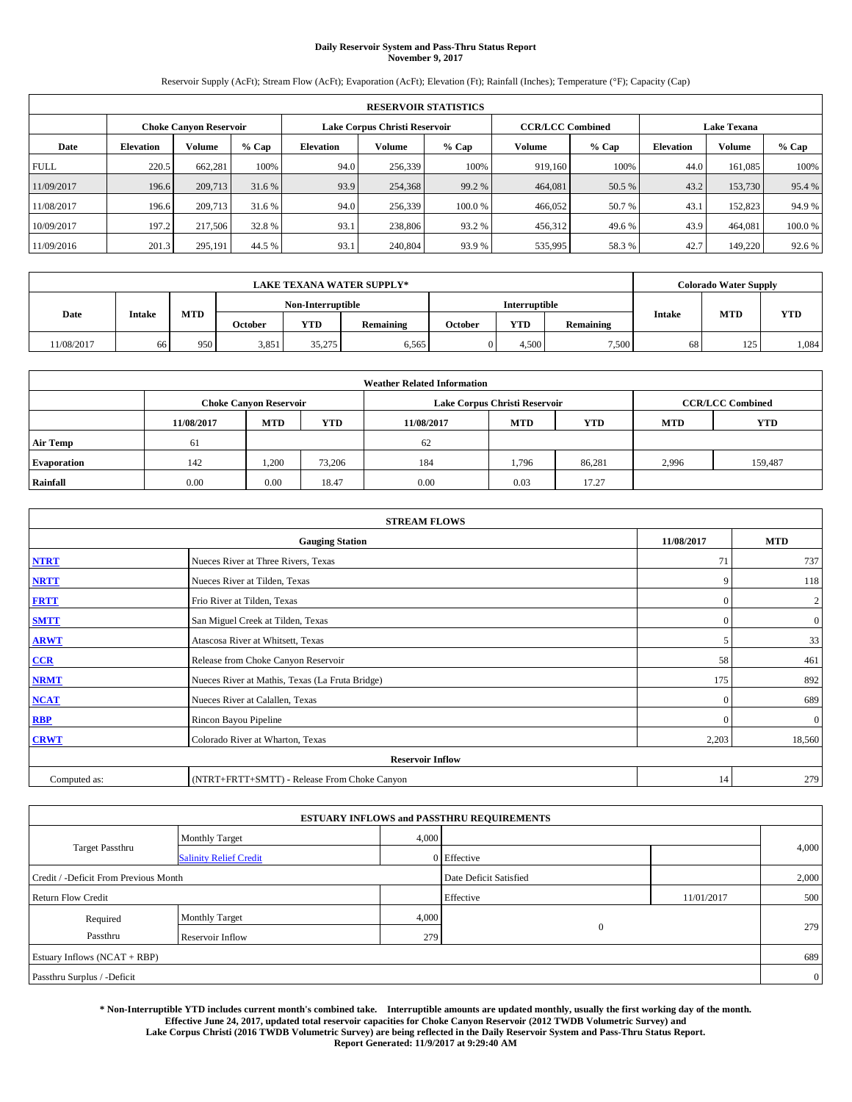#### **Daily Reservoir System and Pass-Thru Status Report November 9, 2017**

Reservoir Supply (AcFt); Stream Flow (AcFt); Evaporation (AcFt); Elevation (Ft); Rainfall (Inches); Temperature (°F); Capacity (Cap)

|             | <b>RESERVOIR STATISTICS</b> |                        |         |                               |         |        |                         |         |                    |               |         |  |  |
|-------------|-----------------------------|------------------------|---------|-------------------------------|---------|--------|-------------------------|---------|--------------------|---------------|---------|--|--|
|             |                             | Choke Canvon Reservoir |         | Lake Corpus Christi Reservoir |         |        | <b>CCR/LCC Combined</b> |         | <b>Lake Texana</b> |               |         |  |  |
| Date        | <b>Elevation</b>            | Volume                 | $%$ Cap | <b>Elevation</b>              | Volume  | % Cap  | Volume                  | $%$ Cap | <b>Elevation</b>   | <b>Volume</b> | $%$ Cap |  |  |
| <b>FULL</b> | 220.5                       | 662,281                | 100%    | 94.0                          | 256,339 | 100%   | 919.160                 | 100%    | 44.0               | 161.085       | 100%    |  |  |
| 11/09/2017  | 196.6                       | 209,713                | 31.6 %  | 93.9                          | 254,368 | 99.2 % | 464,081                 | 50.5 %  | 43.2               | 153,730       | 95.4%   |  |  |
| 11/08/2017  | 196.6                       | 209,713                | 31.6 %  | 94.0                          | 256,339 | 100.0% | 466,052                 | 50.7 %  | 43.                | 152,823       | 94.9%   |  |  |
| 10/09/2017  | 197.2                       | 217,506                | 32.8 %  | 93.1                          | 238,806 | 93.2 % | 456,312                 | 49.6 %  | 43.9               | 464.081       | 100.0%  |  |  |
| 11/09/2016  | 201.3                       | 295,191                | 44.5 %  | 93.1                          | 240,804 | 93.9%  | 535,995                 | 58.3%   | 42.7               | 149,220       | 92.6 %  |  |  |

|            | <b>LAKE TEXANA WATER SUPPLY*</b> |            |         |                   |           |         |                      |           |               | <b>Colorado Water Supply</b> |            |
|------------|----------------------------------|------------|---------|-------------------|-----------|---------|----------------------|-----------|---------------|------------------------------|------------|
|            |                                  |            |         | Non-Interruptible |           |         | <b>Interruptible</b> |           |               |                              |            |
| Date       | <b>Intake</b>                    | <b>MTD</b> | October | <b>YTD</b>        | Remaining | October | <b>YTD</b>           | Remaining | <b>Intake</b> | <b>MTD</b>                   | <b>YTD</b> |
| 11/08/2017 | 66                               | 950        | 3,851   | 35,275            | 6,565     |         | 4.500                | 7,500     | 68            | 125                          | 1,084      |

|                    | <b>Weather Related Information</b> |                                                                                                |        |      |                               |                         |       |         |  |  |  |  |
|--------------------|------------------------------------|------------------------------------------------------------------------------------------------|--------|------|-------------------------------|-------------------------|-------|---------|--|--|--|--|
|                    |                                    | <b>Choke Canyon Reservoir</b>                                                                  |        |      | Lake Corpus Christi Reservoir | <b>CCR/LCC Combined</b> |       |         |  |  |  |  |
|                    | 11/08/2017                         | <b>YTD</b><br><b>YTD</b><br><b>MTD</b><br><b>MTD</b><br><b>YTD</b><br>11/08/2017<br><b>MTD</b> |        |      |                               |                         |       |         |  |  |  |  |
| <b>Air Temp</b>    | 61                                 |                                                                                                |        | 62   |                               |                         |       |         |  |  |  |  |
| <b>Evaporation</b> | 142                                | 1,200                                                                                          | 73,206 | 184  | 1,796                         | 86,281                  | 2,996 | 159,487 |  |  |  |  |
| Rainfall           | 0.00                               | 0.00                                                                                           | 18.47  | 0.00 | 0.03                          | 17.27                   |       |         |  |  |  |  |

| <b>STREAM FLOWS</b> |                                                 |              |                  |  |  |  |  |  |
|---------------------|-------------------------------------------------|--------------|------------------|--|--|--|--|--|
|                     | <b>Gauging Station</b>                          | 11/08/2017   | <b>MTD</b>       |  |  |  |  |  |
| <b>NTRT</b>         | Nueces River at Three Rivers, Texas             | 71           | 737              |  |  |  |  |  |
| <b>NRTT</b>         | Nueces River at Tilden, Texas                   | 9            | 118              |  |  |  |  |  |
| <b>FRTT</b>         | Frio River at Tilden, Texas                     | $\mathbf{0}$ | $\boldsymbol{2}$ |  |  |  |  |  |
| <b>SMTT</b>         | San Miguel Creek at Tilden, Texas               | $\mathbf{0}$ | $\overline{0}$   |  |  |  |  |  |
| <b>ARWT</b>         | Atascosa River at Whitsett, Texas               | 5            | 33               |  |  |  |  |  |
| CCR                 | Release from Choke Canyon Reservoir             | 58           | 461              |  |  |  |  |  |
| <b>NRMT</b>         | Nueces River at Mathis, Texas (La Fruta Bridge) | 175          | 892              |  |  |  |  |  |
| <b>NCAT</b>         | Nueces River at Calallen, Texas                 | $\mathbf{0}$ | 689              |  |  |  |  |  |
| RBP                 | Rincon Bayou Pipeline                           | $\Omega$     | $\mathbf{0}$     |  |  |  |  |  |
| <b>CRWT</b>         | Colorado River at Wharton, Texas                | 2,203        | 18,560           |  |  |  |  |  |
|                     | <b>Reservoir Inflow</b>                         |              |                  |  |  |  |  |  |
| Computed as:        | (NTRT+FRTT+SMTT) - Release From Choke Canyon    | 14           | 279              |  |  |  |  |  |

|                                       |                               |       | <b>ESTUARY INFLOWS and PASSTHRU REQUIREMENTS</b> |            |                |
|---------------------------------------|-------------------------------|-------|--------------------------------------------------|------------|----------------|
|                                       | <b>Monthly Target</b>         | 4,000 |                                                  |            |                |
| <b>Target Passthru</b>                | <b>Salinity Relief Credit</b> |       | 0 Effective                                      |            | 4,000          |
| Credit / -Deficit From Previous Month |                               |       | Date Deficit Satisfied                           |            | 2,000          |
| <b>Return Flow Credit</b>             |                               |       | Effective                                        | 11/01/2017 | 500            |
| Required                              | <b>Monthly Target</b>         | 4,000 |                                                  |            |                |
| Passthru                              | Reservoir Inflow              | 279   | $\overline{0}$                                   |            | 279            |
| Estuary Inflows (NCAT + RBP)          |                               |       |                                                  |            | 689            |
| Passthru Surplus / -Deficit           |                               |       |                                                  |            | $\overline{0}$ |

**\* Non-Interruptible YTD includes current month's combined take. Interruptible amounts are updated monthly, usually the first working day of the month. Effective June 24, 2017, updated total reservoir capacities for Choke Canyon Reservoir (2012 TWDB Volumetric Survey) and Lake Corpus Christi (2016 TWDB Volumetric Survey) are being reflected in the Daily Reservoir System and Pass-Thru Status Report. Report Generated: 11/9/2017 at 9:29:40 AM**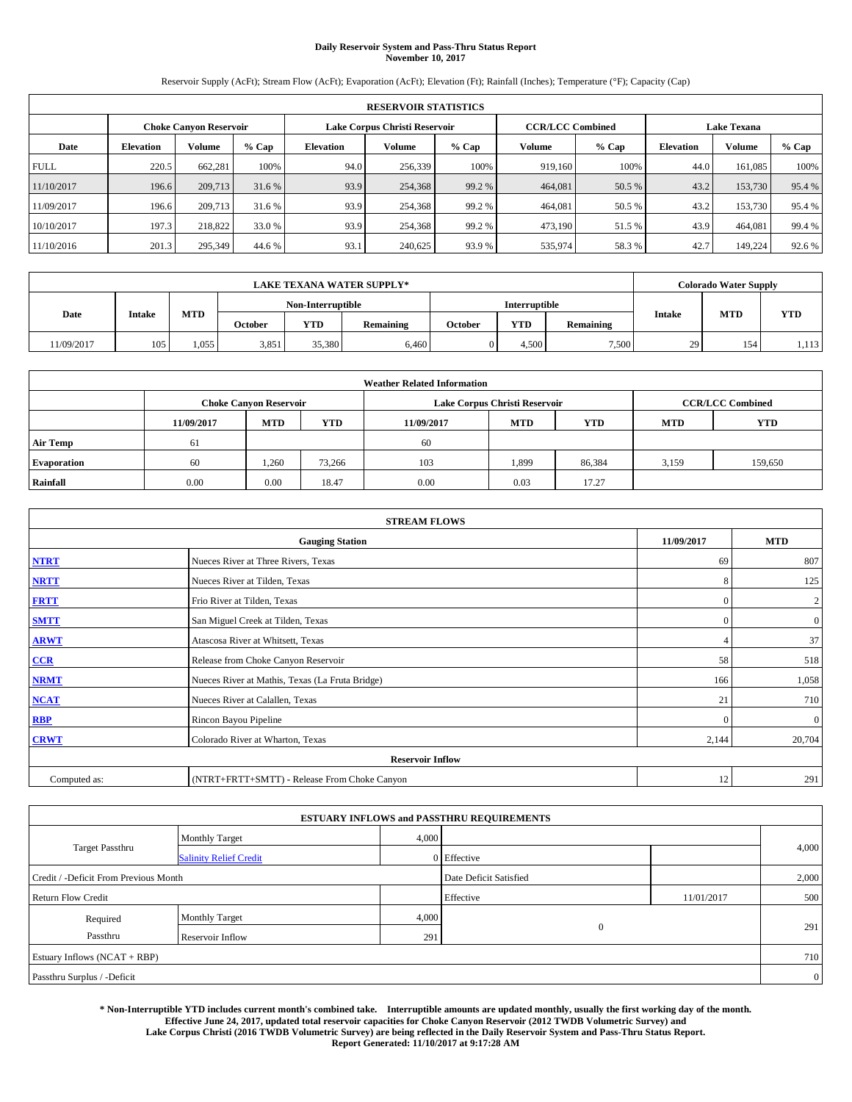# **Daily Reservoir System and Pass-Thru Status Report November 10, 2017**

Reservoir Supply (AcFt); Stream Flow (AcFt); Evaporation (AcFt); Elevation (Ft); Rainfall (Inches); Temperature (°F); Capacity (Cap)

|             | <b>RESERVOIR STATISTICS</b> |                               |         |                                     |         |                   |                         |                  |                    |         |        |  |
|-------------|-----------------------------|-------------------------------|---------|-------------------------------------|---------|-------------------|-------------------------|------------------|--------------------|---------|--------|--|
|             |                             | <b>Choke Canyon Reservoir</b> |         | Lake Corpus Christi Reservoir       |         |                   | <b>CCR/LCC Combined</b> |                  | <b>Lake Texana</b> |         |        |  |
| Date        | <b>Elevation</b>            | <b>Volume</b>                 | $%$ Cap | Volume<br>% Cap<br><b>Elevation</b> |         | $%$ Cap<br>Volume |                         | <b>Elevation</b> | <b>Volume</b>      | % Cap   |        |  |
| <b>FULL</b> | 220.5                       | 662.281                       | 100%    | 94.0                                | 256,339 | 100%              | 919.160                 | 100%             | 44.0               | 161,085 | 100%   |  |
| 11/10/2017  | 196.6                       | 209,713                       | 31.6 %  | 93.9                                | 254,368 | 99.2 %            | 464,081                 | 50.5 %           | 43.2               | 153,730 | 95.4%  |  |
| 11/09/2017  | 196.6                       | 209,713                       | 31.6 %  | 93.9                                | 254,368 | 99.2 %            | 464.081                 | 50.5 %           | 43.2               | 153,730 | 95.4 % |  |
| 10/10/2017  | 197.3                       | 218,822                       | 33.0 %  | 93.9                                | 254,368 | 99.2 %            | 473,190                 | 51.5 %           | 43.9               | 464,081 | 99.4 % |  |
| 11/10/2016  | 201.3                       | 295,349                       | 44.6 %  | 93.1                                | 240,625 | 93.9 %            | 535,974                 | 58.3%            | 42.7               | 149,224 | 92.6%  |  |

|            | <b>LAKE TEXANA WATER SUPPLY*</b> |       |         |                   |           |         |                      |           |               | <b>Colorado Water Supply</b> |            |
|------------|----------------------------------|-------|---------|-------------------|-----------|---------|----------------------|-----------|---------------|------------------------------|------------|
|            |                                  |       |         | Non-Interruptible |           |         | <b>Interruptible</b> |           |               |                              |            |
| Date       | <b>Intake</b>                    | MTD   | October | <b>YTD</b>        | Remaining | October | <b>YTD</b>           | Remaining | <b>Intake</b> | <b>MTD</b>                   | <b>YTD</b> |
| 11/09/2017 | 105                              | 1,055 | 3,851   | 35,380            | 6,460     |         | 4.500                | 7,500     | 29            | 154                          | 1,113      |

|                    | <b>Weather Related Information</b> |                                                                                                |        |      |                               |                         |       |         |  |  |  |  |
|--------------------|------------------------------------|------------------------------------------------------------------------------------------------|--------|------|-------------------------------|-------------------------|-------|---------|--|--|--|--|
|                    |                                    | <b>Choke Canyon Reservoir</b>                                                                  |        |      | Lake Corpus Christi Reservoir | <b>CCR/LCC Combined</b> |       |         |  |  |  |  |
|                    | 11/09/2017                         | <b>YTD</b><br><b>YTD</b><br><b>MTD</b><br><b>MTD</b><br><b>YTD</b><br>11/09/2017<br><b>MTD</b> |        |      |                               |                         |       |         |  |  |  |  |
| <b>Air Temp</b>    | 61                                 |                                                                                                |        | 60   |                               |                         |       |         |  |  |  |  |
| <b>Evaporation</b> | 60                                 | 1.260                                                                                          | 73,266 | 103  | 1,899                         | 86,384                  | 3,159 | 159,650 |  |  |  |  |
| Rainfall           | 0.00                               | 0.00                                                                                           | 18.47  | 0.00 | 0.03                          | 17.27                   |       |         |  |  |  |  |

| <b>STREAM FLOWS</b> |                                                 |              |                  |  |  |  |  |  |  |
|---------------------|-------------------------------------------------|--------------|------------------|--|--|--|--|--|--|
|                     | <b>Gauging Station</b>                          |              |                  |  |  |  |  |  |  |
| <b>NTRT</b>         | Nueces River at Three Rivers, Texas             |              |                  |  |  |  |  |  |  |
| <b>NRTT</b>         | Nueces River at Tilden, Texas                   | 8            | 125              |  |  |  |  |  |  |
| <b>FRTT</b>         | Frio River at Tilden, Texas                     | $\mathbf{0}$ | $\boldsymbol{2}$ |  |  |  |  |  |  |
| <b>SMTT</b>         | San Miguel Creek at Tilden, Texas               | $\mathbf{0}$ | $\overline{0}$   |  |  |  |  |  |  |
| <b>ARWT</b>         | Atascosa River at Whitsett, Texas               |              | 37               |  |  |  |  |  |  |
| CCR                 | Release from Choke Canyon Reservoir             | 58           | 518              |  |  |  |  |  |  |
| <b>NRMT</b>         | Nueces River at Mathis, Texas (La Fruta Bridge) | 166          | 1,058            |  |  |  |  |  |  |
| <b>NCAT</b>         | Nueces River at Calallen, Texas                 | 21           | 710              |  |  |  |  |  |  |
| RBP                 | Rincon Bayou Pipeline                           | $\Omega$     | $\mathbf{0}$     |  |  |  |  |  |  |
| <b>CRWT</b>         | Colorado River at Wharton, Texas                | 2,144        | 20,704           |  |  |  |  |  |  |
|                     | <b>Reservoir Inflow</b>                         |              |                  |  |  |  |  |  |  |
| Computed as:        | (NTRT+FRTT+SMTT) - Release From Choke Canyon    | 12           | 291              |  |  |  |  |  |  |

|                                       |                               |       | <b>ESTUARY INFLOWS and PASSTHRU REQUIREMENTS</b> |            |                |
|---------------------------------------|-------------------------------|-------|--------------------------------------------------|------------|----------------|
|                                       | <b>Monthly Target</b>         | 4,000 |                                                  |            |                |
| <b>Target Passthru</b>                | <b>Salinity Relief Credit</b> |       | 0 Effective                                      |            | 4,000          |
| Credit / -Deficit From Previous Month |                               |       | Date Deficit Satisfied                           |            | 2,000          |
| <b>Return Flow Credit</b>             |                               |       | Effective                                        | 11/01/2017 | 500            |
| Required                              | <b>Monthly Target</b>         | 4,000 |                                                  |            |                |
| Passthru                              | Reservoir Inflow              | 291   | $\overline{0}$                                   |            | 291            |
| Estuary Inflows (NCAT + RBP)          |                               |       |                                                  |            | 710            |
| Passthru Surplus / -Deficit           |                               |       |                                                  |            | $\overline{0}$ |

**\* Non-Interruptible YTD includes current month's combined take. Interruptible amounts are updated monthly, usually the first working day of the month. Effective June 24, 2017, updated total reservoir capacities for Choke Canyon Reservoir (2012 TWDB Volumetric Survey) and Lake Corpus Christi (2016 TWDB Volumetric Survey) are being reflected in the Daily Reservoir System and Pass-Thru Status Report. Report Generated: 11/10/2017 at 9:17:28 AM**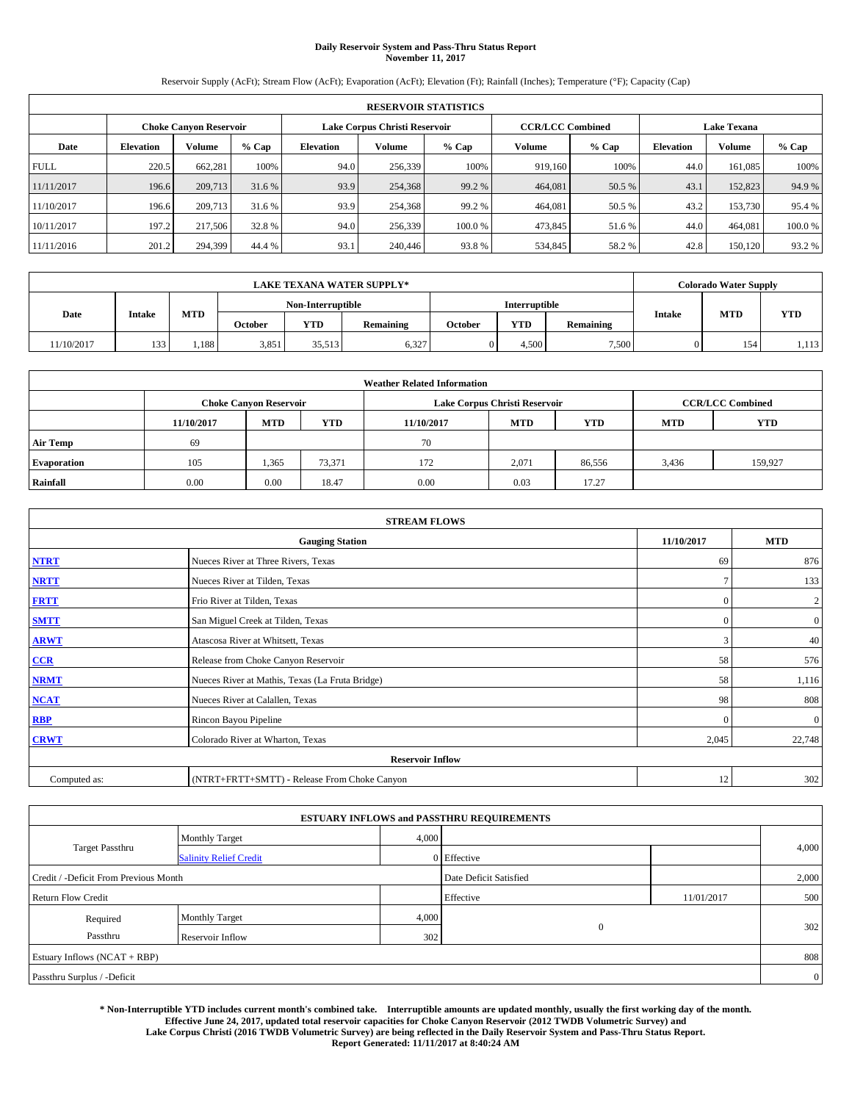# **Daily Reservoir System and Pass-Thru Status Report November 11, 2017**

Reservoir Supply (AcFt); Stream Flow (AcFt); Evaporation (AcFt); Elevation (Ft); Rainfall (Inches); Temperature (°F); Capacity (Cap)

| <b>RESERVOIR STATISTICS</b> |                  |                               |         |           |                               |         |                         |         |                  |                    |        |  |
|-----------------------------|------------------|-------------------------------|---------|-----------|-------------------------------|---------|-------------------------|---------|------------------|--------------------|--------|--|
|                             |                  | <b>Choke Canyon Reservoir</b> |         |           | Lake Corpus Christi Reservoir |         | <b>CCR/LCC Combined</b> |         |                  | <b>Lake Texana</b> |        |  |
| Date                        | <b>Elevation</b> | Volume                        | $%$ Cap | Elevation | Volume                        | $%$ Cap | Volume                  | $%$ Cap | <b>Elevation</b> | Volume             | % Cap  |  |
| <b>FULL</b>                 | 220.5            | 662.281                       | 100%    | 94.0      | 256,339                       | 100%    | 919.160                 | 100%    | 44.0             | 161,085            | 100%   |  |
| 11/11/2017                  | 196.6            | 209,713                       | 31.6 %  | 93.9      | 254,368                       | 99.2 %  | 464,081                 | 50.5 %  | 43.1             | 152,823            | 94.9%  |  |
| 11/10/2017                  | 196.6            | 209,713                       | 31.6 %  | 93.9      | 254,368                       | 99.2 %  | 464,081                 | 50.5 %  | 43.2             | 153,730            | 95.4 % |  |
| 10/11/2017                  | 197.2            | 217,506                       | 32.8 %  | 94.0      | 256,339                       | 100.0 % | 473.845                 | 51.6 %  | 44.0             | 464,081            | 100.0% |  |
| 11/11/2016                  | 201.2            | 294,399                       | 44.4 %  | 93.1      | 240,446                       | 93.8%   | 534,845                 | 58.2%   | 42.8             | 150,120            | 93.2 % |  |

| <b>LAKE TEXANA WATER SUPPLY*</b> |               |       |                   |            |           |         |            | <b>Colorado Water Supply</b> |               |            |            |  |
|----------------------------------|---------------|-------|-------------------|------------|-----------|---------|------------|------------------------------|---------------|------------|------------|--|
|                                  |               |       | Non-Interruptible |            |           |         |            | Interruptible                |               |            |            |  |
| Date                             | <b>Intake</b> | MTD   | October           | <b>YTD</b> | Remaining | October | <b>YTD</b> | Remaining                    | <b>Intake</b> | <b>MTD</b> | <b>YTD</b> |  |
| 11/10/2017                       | 133           | 1,188 | 3,851             | 35.513     | 6,327     |         | .500       | 7,500                        |               | 154        | 1,113      |  |

| <b>Weather Related Information</b> |            |                               |            |            |                               |                         |            |            |  |  |
|------------------------------------|------------|-------------------------------|------------|------------|-------------------------------|-------------------------|------------|------------|--|--|
|                                    |            | <b>Choke Canyon Reservoir</b> |            |            | Lake Corpus Christi Reservoir | <b>CCR/LCC Combined</b> |            |            |  |  |
|                                    | 11/10/2017 | <b>MTD</b>                    | <b>YTD</b> | 11/10/2017 | <b>MTD</b>                    | <b>YTD</b>              | <b>MTD</b> | <b>YTD</b> |  |  |
| <b>Air Temp</b>                    | 69         |                               |            | 70         |                               |                         |            |            |  |  |
| <b>Evaporation</b>                 | 105        | 1,365                         | 73,371     | 172        | 2,071                         | 86,556                  | 3,436      | 159.927    |  |  |
| Rainfall                           | 0.00       | 0.00                          | 18.47      | 0.00       | 0.03                          | 17.27                   |            |            |  |  |

| <b>STREAM FLOWS</b> |                                                 |               |                  |  |  |  |  |  |  |
|---------------------|-------------------------------------------------|---------------|------------------|--|--|--|--|--|--|
|                     | <b>Gauging Station</b>                          |               |                  |  |  |  |  |  |  |
| <b>NTRT</b>         | Nueces River at Three Rivers, Texas             |               |                  |  |  |  |  |  |  |
| <b>NRTT</b>         | Nueces River at Tilden, Texas                   | $\mathcal{I}$ | 133              |  |  |  |  |  |  |
| <b>FRTT</b>         | Frio River at Tilden, Texas                     | $\mathbf{0}$  | $\boldsymbol{2}$ |  |  |  |  |  |  |
| <b>SMTT</b>         | San Miguel Creek at Tilden, Texas               | $\mathbf{0}$  | $\overline{0}$   |  |  |  |  |  |  |
| <b>ARWT</b>         | Atascosa River at Whitsett, Texas               | 3             | 40               |  |  |  |  |  |  |
| $CCR$               | Release from Choke Canyon Reservoir             | 58            | 576              |  |  |  |  |  |  |
| <b>NRMT</b>         | Nueces River at Mathis, Texas (La Fruta Bridge) | 58            | 1,116            |  |  |  |  |  |  |
| <b>NCAT</b>         | Nueces River at Calallen, Texas                 | 98            | 808              |  |  |  |  |  |  |
| RBP                 | Rincon Bayou Pipeline                           | $\Omega$      | $\mathbf{0}$     |  |  |  |  |  |  |
| <b>CRWT</b>         | Colorado River at Wharton, Texas                | 2,045         | 22,748           |  |  |  |  |  |  |
|                     |                                                 |               |                  |  |  |  |  |  |  |
| Computed as:        | (NTRT+FRTT+SMTT) - Release From Choke Canyon    | 12            | 302              |  |  |  |  |  |  |

| <b>ESTUARY INFLOWS and PASSTHRU REQUIREMENTS</b> |                               |                        |                       |            |                |  |  |  |  |  |
|--------------------------------------------------|-------------------------------|------------------------|-----------------------|------------|----------------|--|--|--|--|--|
|                                                  | <b>Monthly Target</b>         | 4,000                  |                       |            |                |  |  |  |  |  |
| <b>Target Passthru</b>                           | <b>Salinity Relief Credit</b> |                        | 0 Effective           |            | 4,000          |  |  |  |  |  |
| Credit / -Deficit From Previous Month            |                               | Date Deficit Satisfied |                       | 2,000      |                |  |  |  |  |  |
| <b>Return Flow Credit</b>                        |                               |                        | Effective             | 11/01/2017 | 500            |  |  |  |  |  |
| Required                                         | Monthly Target                | 4,000                  |                       |            |                |  |  |  |  |  |
| Passthru<br>Reservoir Inflow                     |                               |                        | $\overline{0}$<br>302 |            | 302            |  |  |  |  |  |
| Estuary Inflows (NCAT + RBP)                     |                               |                        |                       |            |                |  |  |  |  |  |
| Passthru Surplus / -Deficit                      |                               |                        |                       |            | $\overline{0}$ |  |  |  |  |  |

**\* Non-Interruptible YTD includes current month's combined take. Interruptible amounts are updated monthly, usually the first working day of the month. Effective June 24, 2017, updated total reservoir capacities for Choke Canyon Reservoir (2012 TWDB Volumetric Survey) and Lake Corpus Christi (2016 TWDB Volumetric Survey) are being reflected in the Daily Reservoir System and Pass-Thru Status Report. Report Generated: 11/11/2017 at 8:40:24 AM**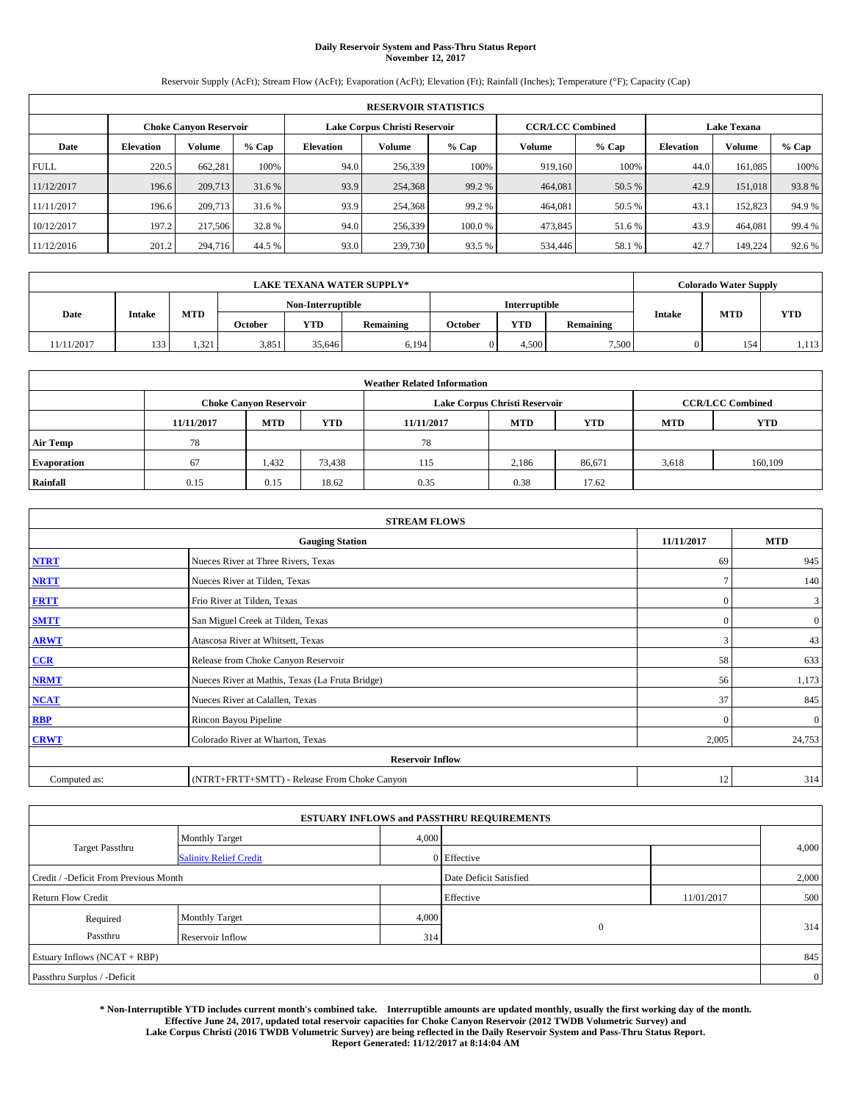# **Daily Reservoir System and Pass-Thru Status Report November 12, 2017**

Reservoir Supply (AcFt); Stream Flow (AcFt); Evaporation (AcFt); Elevation (Ft); Rainfall (Inches); Temperature (°F); Capacity (Cap)

| <b>RESERVOIR STATISTICS</b> |                  |                               |        |                  |                               |         |                         |         |                    |         |        |  |
|-----------------------------|------------------|-------------------------------|--------|------------------|-------------------------------|---------|-------------------------|---------|--------------------|---------|--------|--|
|                             |                  | <b>Choke Canvon Reservoir</b> |        |                  | Lake Corpus Christi Reservoir |         | <b>CCR/LCC Combined</b> |         | <b>Lake Texana</b> |         |        |  |
| Date                        | <b>Elevation</b> | Volume                        | % Cap  | <b>Elevation</b> | <b>Volume</b>                 | % Cap   | <b>Volume</b>           | $%$ Cap | <b>Elevation</b>   | Volume  | % Cap  |  |
| <b>FULL</b>                 | 220.5            | 662.281                       | 100%   | 94.0             | 256,339                       | 100%    | 919.160                 | 100%    | 44.0               | 161.085 | 100%   |  |
| 11/12/2017                  | 196.6            | 209,713                       | 31.6 % | 93.9             | 254,368                       | 99.2 %  | 464,081                 | 50.5 %  | 42.9               | 151,018 | 93.8%  |  |
| 11/11/2017                  | 196.6            | 209,713                       | 31.6 % | 93.9             | 254,368                       | 99.2 %  | 464,081                 | 50.5 %  | 43.1               | 152,823 | 94.9 % |  |
| 10/12/2017                  | 197.2            | 217,506                       | 32.8%  | 94.0             | 256,339                       | 100.0 % | 473,845                 | 51.6 %  | 43.9               | 464,081 | 99.4 % |  |
| 11/12/2016                  | 201.2            | 294,716                       | 44.5 % | 93.0             | 239,730                       | 93.5 %  | 534,446                 | 58.1 %  | 42.7               | 149,224 | 92.6 % |  |

| <b>LAKE TEXANA WATER SUPPLY*</b> |        |            |                   |            |           |                      |      | <b>Colorado Water Supply</b> |               |            |            |
|----------------------------------|--------|------------|-------------------|------------|-----------|----------------------|------|------------------------------|---------------|------------|------------|
|                                  |        |            | Non-Interruptible |            |           | <b>Interruptible</b> |      |                              |               |            |            |
| Date                             | Intake | <b>MTD</b> | October           | <b>YTD</b> | Remaining | October              | YTD  | Remaining                    | <b>Intake</b> | <b>MTD</b> | <b>YTD</b> |
| 11/11/2017                       | 133    | 1,321      | 3,851             | 35.646     | 6,194     |                      | .500 | 7,500                        |               | 154        | 1,113      |

| <b>Weather Related Information</b> |            |                               |            |            |                               |                         |            |            |  |  |
|------------------------------------|------------|-------------------------------|------------|------------|-------------------------------|-------------------------|------------|------------|--|--|
|                                    |            | <b>Choke Canyon Reservoir</b> |            |            | Lake Corpus Christi Reservoir | <b>CCR/LCC Combined</b> |            |            |  |  |
|                                    | 11/11/2017 | <b>MTD</b>                    | <b>YTD</b> | 11/11/2017 | <b>MTD</b>                    | <b>YTD</b>              | <b>MTD</b> | <b>YTD</b> |  |  |
| <b>Air Temp</b>                    | 78         |                               |            | 78         |                               |                         |            |            |  |  |
| <b>Evaporation</b>                 | 67         | 1.432                         | 73,438     | 115        | 2,186                         | 86,671                  | 3,618      | 160,109    |  |  |
| Rainfall                           | 0.15       | 0.15                          | 18.62      | 0.35       | 0.38                          | 17.62                   |            |            |  |  |

| <b>STREAM FLOWS</b> |                                                 |               |                |  |  |  |  |  |  |
|---------------------|-------------------------------------------------|---------------|----------------|--|--|--|--|--|--|
|                     | <b>Gauging Station</b>                          |               |                |  |  |  |  |  |  |
| <b>NTRT</b>         | Nueces River at Three Rivers, Texas             |               |                |  |  |  |  |  |  |
| <b>NRTT</b>         | Nueces River at Tilden, Texas                   | $\mathcal{I}$ | 140            |  |  |  |  |  |  |
| <b>FRTT</b>         | Frio River at Tilden, Texas                     | $\mathbf{0}$  | 3              |  |  |  |  |  |  |
| <b>SMTT</b>         | San Miguel Creek at Tilden, Texas               | $\mathbf{0}$  | $\overline{0}$ |  |  |  |  |  |  |
| <b>ARWT</b>         | Atascosa River at Whitsett, Texas               | 3             | 43             |  |  |  |  |  |  |
| $CCR$               | Release from Choke Canyon Reservoir             | 58            | 633            |  |  |  |  |  |  |
| <b>NRMT</b>         | Nueces River at Mathis, Texas (La Fruta Bridge) | 56            | 1,173          |  |  |  |  |  |  |
| <b>NCAT</b>         | Nueces River at Calallen, Texas                 | 37            | 845            |  |  |  |  |  |  |
| RBP                 | Rincon Bayou Pipeline                           | $\Omega$      | $\mathbf{0}$   |  |  |  |  |  |  |
| <b>CRWT</b>         | Colorado River at Wharton, Texas                | 2,005         | 24,753         |  |  |  |  |  |  |
|                     | <b>Reservoir Inflow</b>                         |               |                |  |  |  |  |  |  |
| Computed as:        | (NTRT+FRTT+SMTT) - Release From Choke Canyon    | 12            | 314            |  |  |  |  |  |  |

| <b>ESTUARY INFLOWS and PASSTHRU REQUIREMENTS</b> |                               |       |                        |              |                |  |  |  |  |  |
|--------------------------------------------------|-------------------------------|-------|------------------------|--------------|----------------|--|--|--|--|--|
|                                                  | <b>Monthly Target</b>         | 4,000 |                        |              |                |  |  |  |  |  |
| <b>Target Passthru</b>                           | <b>Salinity Relief Credit</b> |       | 0 Effective            |              | 4,000          |  |  |  |  |  |
| Credit / -Deficit From Previous Month            |                               |       | Date Deficit Satisfied |              | 2,000          |  |  |  |  |  |
| <b>Return Flow Credit</b>                        |                               |       | Effective              | 11/01/2017   | 500            |  |  |  |  |  |
| Required                                         | <b>Monthly Target</b>         | 4,000 |                        |              |                |  |  |  |  |  |
| Passthru                                         | Reservoir Inflow              | 314   |                        | $\mathbf{0}$ | 314            |  |  |  |  |  |
| Estuary Inflows (NCAT + RBP)                     |                               |       |                        |              |                |  |  |  |  |  |
| Passthru Surplus / -Deficit                      |                               |       |                        |              | $\overline{0}$ |  |  |  |  |  |

**\* Non-Interruptible YTD includes current month's combined take. Interruptible amounts are updated monthly, usually the first working day of the month. Effective June 24, 2017, updated total reservoir capacities for Choke Canyon Reservoir (2012 TWDB Volumetric Survey) and Lake Corpus Christi (2016 TWDB Volumetric Survey) are being reflected in the Daily Reservoir System and Pass-Thru Status Report. Report Generated: 11/12/2017 at 8:14:04 AM**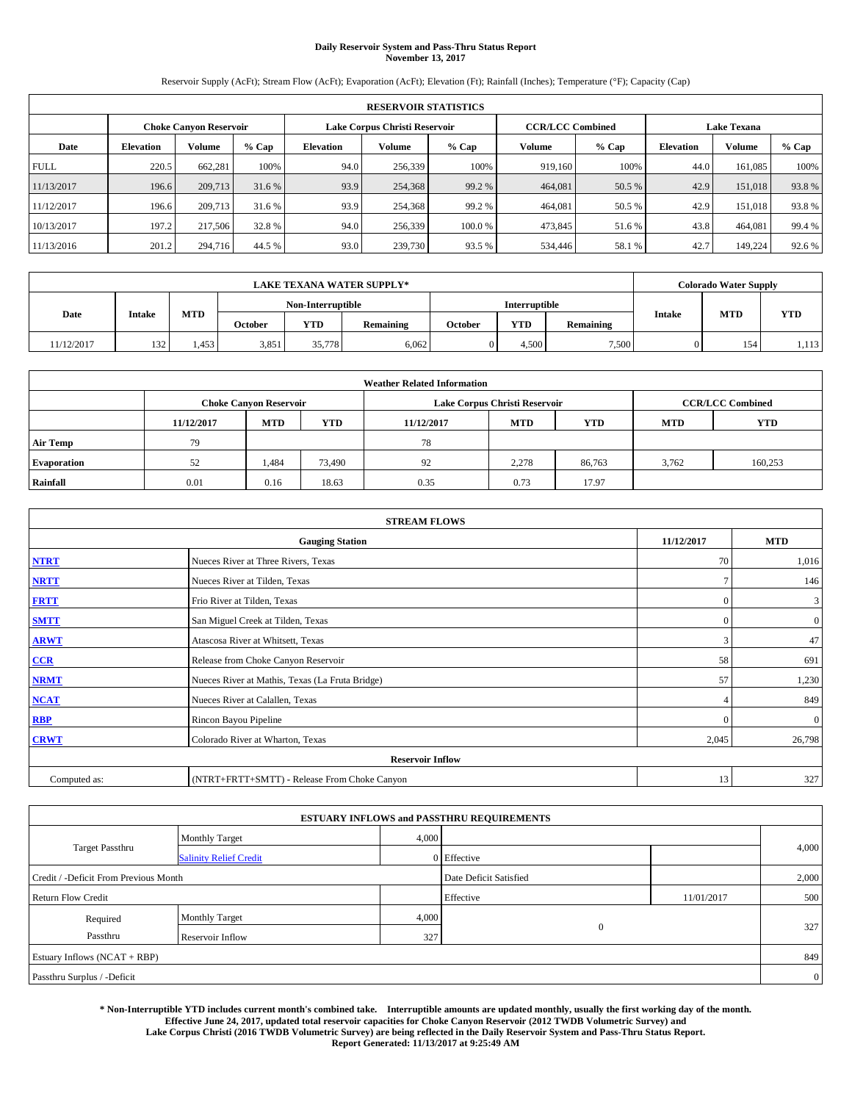# **Daily Reservoir System and Pass-Thru Status Report November 13, 2017**

Reservoir Supply (AcFt); Stream Flow (AcFt); Evaporation (AcFt); Elevation (Ft); Rainfall (Inches); Temperature (°F); Capacity (Cap)

|             | <b>RESERVOIR STATISTICS</b> |                               |        |                               |               |         |                         |         |                    |               |        |
|-------------|-----------------------------|-------------------------------|--------|-------------------------------|---------------|---------|-------------------------|---------|--------------------|---------------|--------|
|             |                             | <b>Choke Canvon Reservoir</b> |        | Lake Corpus Christi Reservoir |               |         | <b>CCR/LCC Combined</b> |         | <b>Lake Texana</b> |               |        |
| Date        | <b>Elevation</b>            | <b>Volume</b>                 | % Cap  | Elevation                     | <b>Volume</b> | $%$ Cap | Volume                  | $%$ Cap | <b>Elevation</b>   | <b>Volume</b> | % Cap  |
| <b>FULL</b> | 220.5                       | 662.281                       | 100%   | 94.0                          | 256,339       | 100%    | 919.160                 | 100%    | 44.0               | 161,085       | 100%   |
| 11/13/2017  | 196.6                       | 209,713                       | 31.6 % | 93.9                          | 254,368       | 99.2 %  | 464,081                 | 50.5 %  | 42.9               | 151,018       | 93.8%  |
| 11/12/2017  | 196.6                       | 209,713                       | 31.6 % | 93.9                          | 254,368       | 99.2 %  | 464.081                 | 50.5 %  | 42.9               | 151,018       | 93.8%  |
| 10/13/2017  | 197.2                       | 217,506                       | 32.8%  | 94.0                          | 256,339       | 100.0%  | 473,845                 | 51.6%   | 43.8               | 464,081       | 99.4 % |
| 11/13/2016  | 201.2                       | 294,716                       | 44.5 % | 93.0                          | 239,730       | 93.5 %  | 534,446                 | 58.1 %  | 42.7               | 149.224       | 92.6%  |

|            | <b>LAKE TEXANA WATER SUPPLY*</b> |       |         |                   |           |         |                      |           |               | <b>Colorado Water Supply</b> |            |  |
|------------|----------------------------------|-------|---------|-------------------|-----------|---------|----------------------|-----------|---------------|------------------------------|------------|--|
|            |                                  |       |         | Non-Interruptible |           |         | <b>Interruptible</b> |           |               |                              |            |  |
| Date       | <b>Intake</b>                    | MTD   | October | <b>YTD</b>        | Remaining | October | <b>YTD</b>           | Remaining | <b>Intake</b> | <b>MTD</b>                   | <b>YTD</b> |  |
| 11/12/2017 | 132                              | 1,453 | 3,851   | 35,778            | 6,062     |         | 4.500                | 7,500     |               | 154                          | 1,113      |  |

| <b>Weather Related Information</b> |            |                                                                                  |        |      |                               |                         |       |         |  |  |
|------------------------------------|------------|----------------------------------------------------------------------------------|--------|------|-------------------------------|-------------------------|-------|---------|--|--|
|                                    |            | <b>Choke Canyon Reservoir</b>                                                    |        |      | Lake Corpus Christi Reservoir | <b>CCR/LCC Combined</b> |       |         |  |  |
|                                    | 11/12/2017 | <b>YTD</b><br><b>MTD</b><br><b>MTD</b><br><b>YTD</b><br>11/12/2017<br><b>MTD</b> |        |      |                               |                         |       |         |  |  |
| <b>Air Temp</b>                    | 79         |                                                                                  |        | 78   |                               |                         |       |         |  |  |
| <b>Evaporation</b>                 | 52         | 1,484                                                                            | 73,490 | 92   | 2,278                         | 86,763                  | 3,762 | 160,253 |  |  |
| Rainfall                           | 0.01       | 0.16                                                                             | 18.63  | 0.35 | 0.73                          | 17.97                   |       |         |  |  |

| <b>STREAM FLOWS</b> |                                                 |                |                |  |  |  |  |  |  |
|---------------------|-------------------------------------------------|----------------|----------------|--|--|--|--|--|--|
|                     | <b>Gauging Station</b>                          | 11/12/2017     | <b>MTD</b>     |  |  |  |  |  |  |
| <b>NTRT</b>         | Nueces River at Three Rivers, Texas             | 70             | 1,016          |  |  |  |  |  |  |
| <b>NRTT</b>         | Nueces River at Tilden, Texas                   | $\mathcal{I}$  | 146            |  |  |  |  |  |  |
| <b>FRTT</b>         | Frio River at Tilden, Texas                     | $\mathbf{0}$   | 3              |  |  |  |  |  |  |
| <b>SMTT</b>         | San Miguel Creek at Tilden, Texas               | $\mathbf{0}$   | $\overline{0}$ |  |  |  |  |  |  |
| <b>ARWT</b>         | Atascosa River at Whitsett, Texas               | 3              | 47             |  |  |  |  |  |  |
| $CCR$               | Release from Choke Canyon Reservoir             | 58             | 691            |  |  |  |  |  |  |
| <b>NRMT</b>         | Nueces River at Mathis, Texas (La Fruta Bridge) | 57             | 1,230          |  |  |  |  |  |  |
| <b>NCAT</b>         | Nueces River at Calallen, Texas                 | $\overline{4}$ | 849            |  |  |  |  |  |  |
| RBP                 | Rincon Bayou Pipeline                           | $\Omega$       | $\mathbf{0}$   |  |  |  |  |  |  |
| <b>CRWT</b>         | Colorado River at Wharton, Texas                | 2,045          | 26,798         |  |  |  |  |  |  |
|                     | <b>Reservoir Inflow</b>                         |                |                |  |  |  |  |  |  |
| Computed as:        | (NTRT+FRTT+SMTT) - Release From Choke Canyon    | 13             | 327            |  |  |  |  |  |  |

|                                       |                               |       | <b>ESTUARY INFLOWS and PASSTHRU REQUIREMENTS</b> |            |                  |  |
|---------------------------------------|-------------------------------|-------|--------------------------------------------------|------------|------------------|--|
|                                       | <b>Monthly Target</b>         | 4,000 |                                                  |            |                  |  |
| <b>Target Passthru</b>                | <b>Salinity Relief Credit</b> |       | 0 Effective                                      |            | 4,000            |  |
| Credit / -Deficit From Previous Month |                               |       | Date Deficit Satisfied                           |            | 2,000            |  |
| <b>Return Flow Credit</b>             |                               |       | Effective                                        | 11/01/2017 | 500              |  |
| Required                              | <b>Monthly Target</b>         | 4,000 |                                                  |            |                  |  |
| Passthru                              | Reservoir Inflow              | 327   | $\mathbf{0}$                                     |            | 327 <sub>1</sub> |  |
| Estuary Inflows (NCAT + RBP)          |                               |       |                                                  |            | 849              |  |
| Passthru Surplus / -Deficit           |                               |       |                                                  |            | $\overline{0}$   |  |

**\* Non-Interruptible YTD includes current month's combined take. Interruptible amounts are updated monthly, usually the first working day of the month. Effective June 24, 2017, updated total reservoir capacities for Choke Canyon Reservoir (2012 TWDB Volumetric Survey) and Lake Corpus Christi (2016 TWDB Volumetric Survey) are being reflected in the Daily Reservoir System and Pass-Thru Status Report. Report Generated: 11/13/2017 at 9:25:49 AM**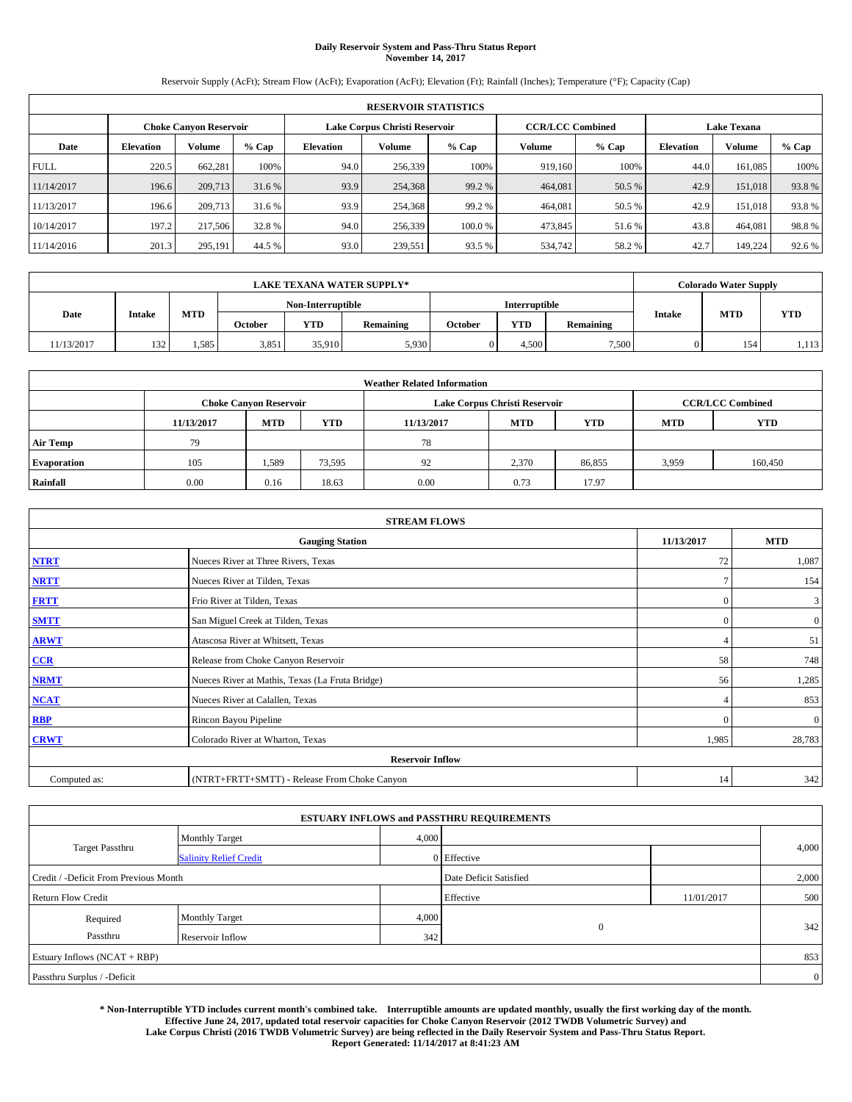# **Daily Reservoir System and Pass-Thru Status Report November 14, 2017**

Reservoir Supply (AcFt); Stream Flow (AcFt); Evaporation (AcFt); Elevation (Ft); Rainfall (Inches); Temperature (°F); Capacity (Cap)

|             | <b>RESERVOIR STATISTICS</b> |                               |        |                  |                                                          |         |         |                    |                  |         |        |
|-------------|-----------------------------|-------------------------------|--------|------------------|----------------------------------------------------------|---------|---------|--------------------|------------------|---------|--------|
|             |                             | <b>Choke Canvon Reservoir</b> |        |                  | Lake Corpus Christi Reservoir<br><b>CCR/LCC Combined</b> |         |         | <b>Lake Texana</b> |                  |         |        |
| Date        | <b>Elevation</b>            | Volume                        | % Cap  | <b>Elevation</b> | Volume                                                   | $%$ Cap | Volume  | % Cap              | <b>Elevation</b> | Volume  | % Cap  |
| <b>FULL</b> | 220.5                       | 662.281                       | 100%   | 94.0             | 256,339                                                  | 100%    | 919.160 | 100%               | 44.0             | 161.085 | 100%   |
| 11/14/2017  | 196.6                       | 209,713                       | 31.6 % | 93.9             | 254,368                                                  | 99.2 %  | 464,081 | 50.5 %             | 42.9             | 151,018 | 93.8%  |
| 11/13/2017  | 196.6                       | 209,713                       | 31.6 % | 93.9             | 254,368                                                  | 99.2 %  | 464,081 | 50.5 %             | 42.9             | 151,018 | 93.8%  |
| 10/14/2017  | 197.2                       | 217,506                       | 32.8%  | 94.0             | 256,339                                                  | 100.0%  | 473,845 | 51.6 %             | 43.8             | 464,081 | 98.8%  |
| 11/14/2016  | 201.3                       | 295,191                       | 44.5 % | 93.0             | 239,551                                                  | 93.5 %  | 534,742 | 58.2%              | 42.7             | 149,224 | 92.6 % |

|            | <b>LAKE TEXANA WATER SUPPLY*</b> |      |         |                   |           |         |                      |           |               | <b>Colorado Water Supply</b> |            |  |
|------------|----------------------------------|------|---------|-------------------|-----------|---------|----------------------|-----------|---------------|------------------------------|------------|--|
|            |                                  |      |         | Non-Interruptible |           |         | <b>Interruptible</b> |           |               |                              |            |  |
| Date       | <b>Intake</b>                    | MTD  | October | <b>YTD</b>        | Remaining | October | <b>YTD</b>           | Remaining | <b>Intake</b> | <b>MTD</b>                   | <b>YTD</b> |  |
| 11/13/2017 | 132                              | .585 | 3,851   | 35.910            | 5,930     |         | 4.500                | 7,500     |               | 154                          | 1,113      |  |

| <b>Weather Related Information</b> |            |                                                                                  |        |                               |       |                         |       |         |  |  |
|------------------------------------|------------|----------------------------------------------------------------------------------|--------|-------------------------------|-------|-------------------------|-------|---------|--|--|
|                                    |            | <b>Choke Canyon Reservoir</b>                                                    |        | Lake Corpus Christi Reservoir |       | <b>CCR/LCC Combined</b> |       |         |  |  |
|                                    | 11/13/2017 | <b>YTD</b><br><b>MTD</b><br><b>MTD</b><br><b>YTD</b><br>11/13/2017<br><b>MTD</b> |        |                               |       |                         |       |         |  |  |
| <b>Air Temp</b>                    | 79         |                                                                                  |        | 78                            |       |                         |       |         |  |  |
| <b>Evaporation</b>                 | 105        | 1,589                                                                            | 73,595 | 92                            | 2,370 | 86,855                  | 3,959 | 160,450 |  |  |
| Rainfall                           | 0.00       | 0.16                                                                             | 18.63  | 0.00                          | 0.73  | 17.97                   |       |         |  |  |

| <b>STREAM FLOWS</b> |                                                 |                |                |  |  |  |  |  |  |
|---------------------|-------------------------------------------------|----------------|----------------|--|--|--|--|--|--|
|                     | <b>Gauging Station</b>                          | 11/13/2017     | <b>MTD</b>     |  |  |  |  |  |  |
| <b>NTRT</b>         | Nueces River at Three Rivers, Texas             | 72             | 1,087          |  |  |  |  |  |  |
| <b>NRTT</b>         | Nueces River at Tilden, Texas                   |                | 154            |  |  |  |  |  |  |
| <b>FRTT</b>         | Frio River at Tilden, Texas                     | $\mathbf{0}$   | 3              |  |  |  |  |  |  |
| <b>SMTT</b>         | San Miguel Creek at Tilden, Texas               | $\mathbf{0}$   | $\overline{0}$ |  |  |  |  |  |  |
| <b>ARWT</b>         | Atascosa River at Whitsett, Texas               | $\overline{4}$ | 51             |  |  |  |  |  |  |
| $CCR$               | Release from Choke Canyon Reservoir             | 58             | 748            |  |  |  |  |  |  |
| <b>NRMT</b>         | Nueces River at Mathis, Texas (La Fruta Bridge) | 56             | 1,285          |  |  |  |  |  |  |
| <b>NCAT</b>         | Nueces River at Calallen, Texas                 | $\overline{4}$ | 853            |  |  |  |  |  |  |
| RBP                 | Rincon Bayou Pipeline                           | $\Omega$       | $\mathbf{0}$   |  |  |  |  |  |  |
| <b>CRWT</b>         | Colorado River at Wharton, Texas                | 1,985          | 28,783         |  |  |  |  |  |  |
|                     | <b>Reservoir Inflow</b>                         |                |                |  |  |  |  |  |  |
| Computed as:        | (NTRT+FRTT+SMTT) - Release From Choke Canyon    | 14             | 342            |  |  |  |  |  |  |

|                                       |                               |       | <b>ESTUARY INFLOWS and PASSTHRU REQUIREMENTS</b> |            |                |
|---------------------------------------|-------------------------------|-------|--------------------------------------------------|------------|----------------|
|                                       | <b>Monthly Target</b>         | 4,000 |                                                  |            |                |
| <b>Target Passthru</b>                | <b>Salinity Relief Credit</b> |       | 0 Effective                                      |            | 4,000          |
| Credit / -Deficit From Previous Month |                               |       | Date Deficit Satisfied                           |            | 2,000          |
| <b>Return Flow Credit</b>             |                               |       | Effective                                        | 11/01/2017 | 500            |
| Required                              | <b>Monthly Target</b>         | 4,000 |                                                  |            |                |
| Passthru                              | Reservoir Inflow              | 342   | $\mathbf{0}$                                     |            | 342            |
| Estuary Inflows (NCAT + RBP)          |                               |       |                                                  |            | 853            |
| Passthru Surplus / -Deficit           |                               |       |                                                  |            | $\overline{0}$ |

**\* Non-Interruptible YTD includes current month's combined take. Interruptible amounts are updated monthly, usually the first working day of the month. Effective June 24, 2017, updated total reservoir capacities for Choke Canyon Reservoir (2012 TWDB Volumetric Survey) and Lake Corpus Christi (2016 TWDB Volumetric Survey) are being reflected in the Daily Reservoir System and Pass-Thru Status Report. Report Generated: 11/14/2017 at 8:41:23 AM**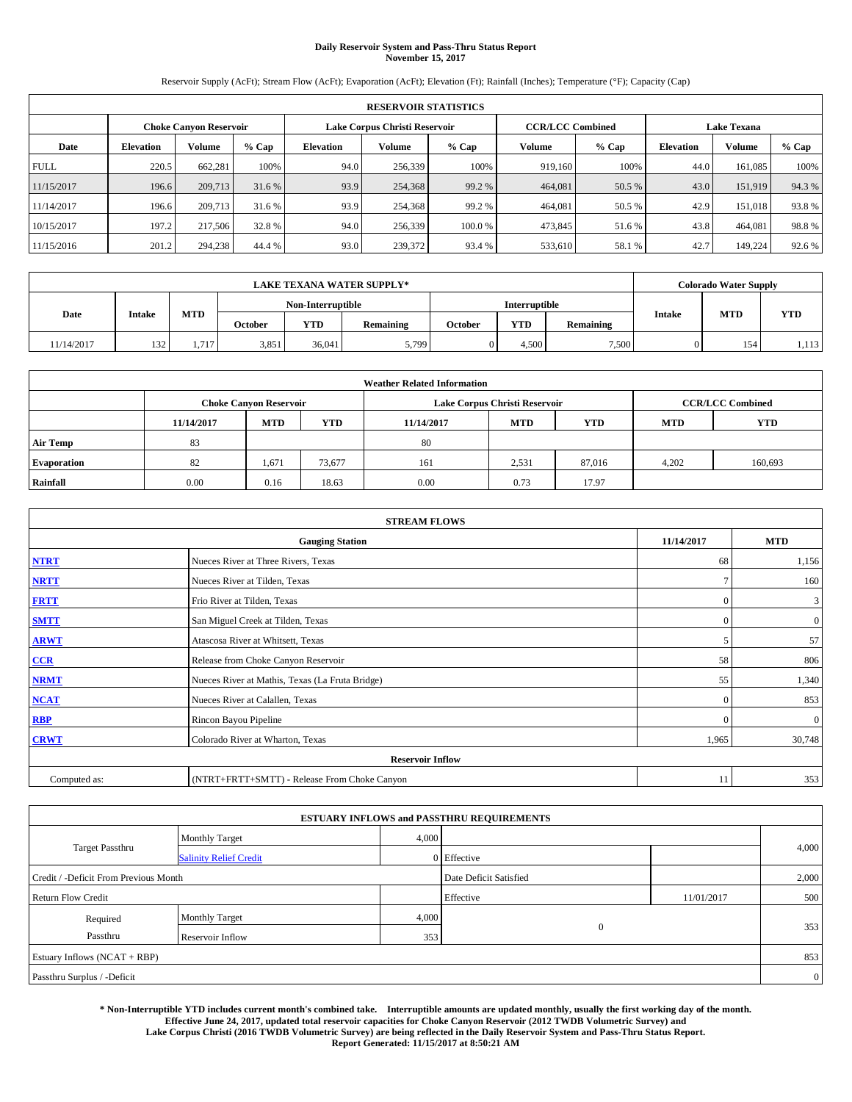# **Daily Reservoir System and Pass-Thru Status Report November 15, 2017**

Reservoir Supply (AcFt); Stream Flow (AcFt); Evaporation (AcFt); Elevation (Ft); Rainfall (Inches); Temperature (°F); Capacity (Cap)

|             | <b>RESERVOIR STATISTICS</b> |                               |        |                  |                                                          |         |         |                    |                  |         |        |
|-------------|-----------------------------|-------------------------------|--------|------------------|----------------------------------------------------------|---------|---------|--------------------|------------------|---------|--------|
|             |                             | <b>Choke Canyon Reservoir</b> |        |                  | Lake Corpus Christi Reservoir<br><b>CCR/LCC Combined</b> |         |         | <b>Lake Texana</b> |                  |         |        |
| Date        | <b>Elevation</b>            | Volume                        | % Cap  | <b>Elevation</b> | Volume                                                   | $%$ Cap | Volume  | % Cap              | <b>Elevation</b> | Volume  | % Cap  |
| <b>FULL</b> | 220.5                       | 662.281                       | 100%   | 94.0             | 256,339                                                  | 100%    | 919.160 | 100%               | 44.0             | 161.085 | 100%   |
| 11/15/2017  | 196.6                       | 209,713                       | 31.6 % | 93.9             | 254,368                                                  | 99.2 %  | 464,081 | 50.5 %             | 43.0             | 151,919 | 94.3%  |
| 11/14/2017  | 196.6                       | 209,713                       | 31.6 % | 93.9             | 254,368                                                  | 99.2 %  | 464,081 | 50.5 %             | 42.9             | 151,018 | 93.8%  |
| 10/15/2017  | 197.2                       | 217,506                       | 32.8%  | 94.0             | 256,339                                                  | 100.0%  | 473,845 | 51.6 %             | 43.8             | 464,081 | 98.8%  |
| 11/15/2016  | 201.2                       | 294,238                       | 44.4 % | 93.0             | 239,372                                                  | 93.4 %  | 533,610 | 58.1 %             | 42.7             | 149,224 | 92.6 % |

|            | <b>LAKE TEXANA WATER SUPPLY*</b> |       |         |                   |           |         |                      |           |               | <b>Colorado Water Supply</b> |            |  |
|------------|----------------------------------|-------|---------|-------------------|-----------|---------|----------------------|-----------|---------------|------------------------------|------------|--|
|            |                                  |       |         | Non-Interruptible |           |         | <b>Interruptible</b> |           |               |                              |            |  |
| Date       | <b>Intake</b>                    | MTD   | October | <b>YTD</b>        | Remaining | October | <b>YTD</b>           | Remaining | <b>Intake</b> | <b>MTD</b>                   | <b>YTD</b> |  |
| 11/14/2017 | 132                              | 1,717 | 3,851   | 36,041            | 5,799     |         | 4.500                | 7,500     |               | 154                          | 1,113      |  |

| <b>Weather Related Information</b> |            |                               |            |            |                               |                         |            |            |  |
|------------------------------------|------------|-------------------------------|------------|------------|-------------------------------|-------------------------|------------|------------|--|
|                                    |            | <b>Choke Canyon Reservoir</b> |            |            | Lake Corpus Christi Reservoir | <b>CCR/LCC Combined</b> |            |            |  |
|                                    | 11/14/2017 | <b>MTD</b>                    | <b>YTD</b> | 11/14/2017 | <b>MTD</b>                    | <b>YTD</b>              | <b>MTD</b> | <b>YTD</b> |  |
| <b>Air Temp</b>                    | 83         |                               |            | 80         |                               |                         |            |            |  |
| <b>Evaporation</b>                 | 82         | 1,671                         | 73,677     | 161        | 2,531                         | 87,016                  | 4,202      | 160,693    |  |
| Rainfall                           | 0.00       | 0.16                          | 18.63      | 0.00       | 0.73                          | 17.97                   |            |            |  |

| <b>STREAM FLOWS</b> |                                                 |               |                |  |  |  |  |  |  |
|---------------------|-------------------------------------------------|---------------|----------------|--|--|--|--|--|--|
|                     | 11/14/2017                                      | <b>MTD</b>    |                |  |  |  |  |  |  |
| <b>NTRT</b>         | Nueces River at Three Rivers, Texas             | 68            | 1,156          |  |  |  |  |  |  |
| <b>NRTT</b>         | Nueces River at Tilden, Texas                   | $\mathcal{I}$ | 160            |  |  |  |  |  |  |
| <b>FRTT</b>         | Frio River at Tilden, Texas                     | $\mathbf{0}$  | 3              |  |  |  |  |  |  |
| <b>SMTT</b>         | San Miguel Creek at Tilden, Texas               | $\mathbf{0}$  | $\overline{0}$ |  |  |  |  |  |  |
| <b>ARWT</b>         | Atascosa River at Whitsett, Texas               | 5             | 57             |  |  |  |  |  |  |
| $CCR$               | Release from Choke Canyon Reservoir             | 58            | 806            |  |  |  |  |  |  |
| <b>NRMT</b>         | Nueces River at Mathis, Texas (La Fruta Bridge) | 55            | 1,340          |  |  |  |  |  |  |
| <b>NCAT</b>         | Nueces River at Calallen, Texas                 | $\Omega$      | 853            |  |  |  |  |  |  |
| RBP                 | Rincon Bayou Pipeline                           | $\Omega$      | $\mathbf{0}$   |  |  |  |  |  |  |
| <b>CRWT</b>         | Colorado River at Wharton, Texas                | 1,965         | 30,748         |  |  |  |  |  |  |
|                     |                                                 |               |                |  |  |  |  |  |  |
| Computed as:        | (NTRT+FRTT+SMTT) - Release From Choke Canyon    | 11            | 353            |  |  |  |  |  |  |

|                                       |                               |       | <b>ESTUARY INFLOWS and PASSTHRU REQUIREMENTS</b> |            |                |
|---------------------------------------|-------------------------------|-------|--------------------------------------------------|------------|----------------|
|                                       | <b>Monthly Target</b>         | 4,000 |                                                  |            |                |
| <b>Target Passthru</b>                | <b>Salinity Relief Credit</b> |       | 0 Effective                                      |            | 4,000          |
| Credit / -Deficit From Previous Month |                               |       | Date Deficit Satisfied                           |            | 2,000          |
| <b>Return Flow Credit</b>             |                               |       | Effective                                        | 11/01/2017 | 500            |
| Required                              | <b>Monthly Target</b>         | 4,000 |                                                  |            |                |
| Passthru                              | Reservoir Inflow              | 353   | $\overline{0}$                                   |            | 353            |
| Estuary Inflows (NCAT + RBP)          |                               |       |                                                  |            | 853            |
| Passthru Surplus / -Deficit           |                               |       |                                                  |            | $\overline{0}$ |

**\* Non-Interruptible YTD includes current month's combined take. Interruptible amounts are updated monthly, usually the first working day of the month. Effective June 24, 2017, updated total reservoir capacities for Choke Canyon Reservoir (2012 TWDB Volumetric Survey) and Lake Corpus Christi (2016 TWDB Volumetric Survey) are being reflected in the Daily Reservoir System and Pass-Thru Status Report. Report Generated: 11/15/2017 at 8:50:21 AM**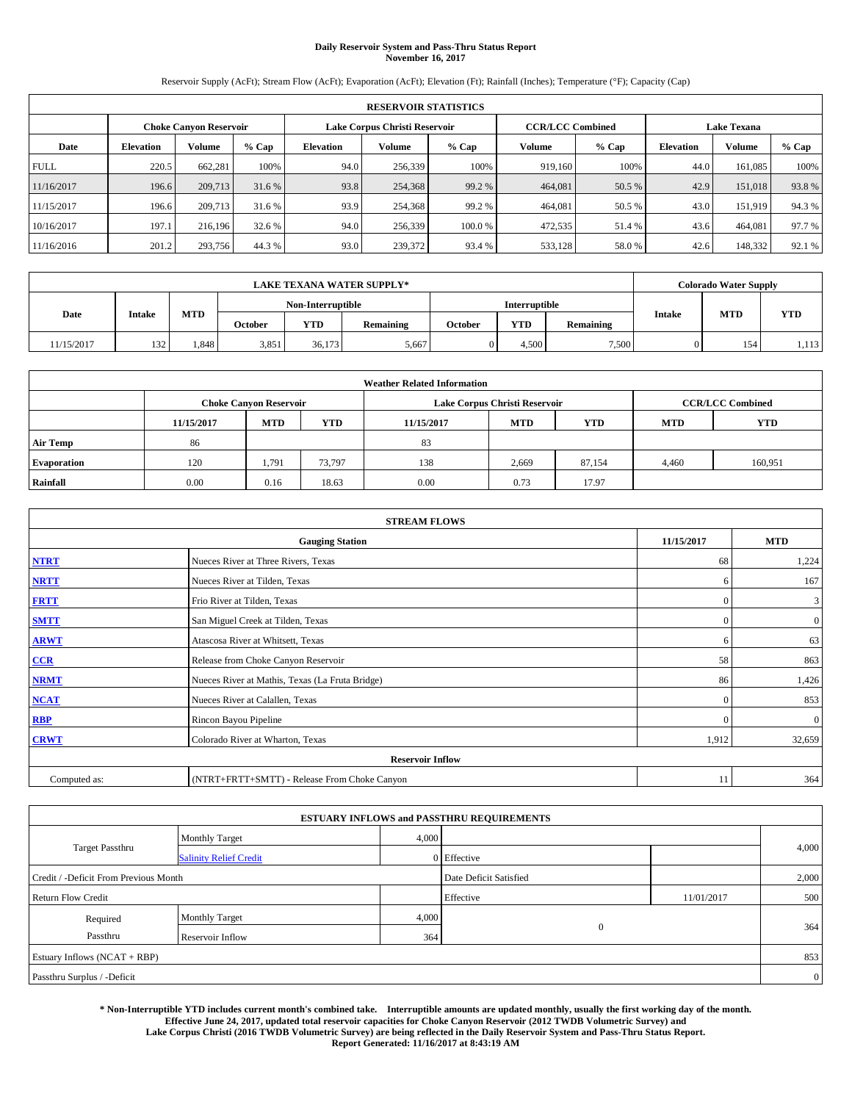# **Daily Reservoir System and Pass-Thru Status Report November 16, 2017**

Reservoir Supply (AcFt); Stream Flow (AcFt); Evaporation (AcFt); Elevation (Ft); Rainfall (Inches); Temperature (°F); Capacity (Cap)

| <b>RESERVOIR STATISTICS</b> |                  |                               |        |                               |         |         |                         |        |                    |         |        |
|-----------------------------|------------------|-------------------------------|--------|-------------------------------|---------|---------|-------------------------|--------|--------------------|---------|--------|
|                             |                  | <b>Choke Canvon Reservoir</b> |        | Lake Corpus Christi Reservoir |         |         | <b>CCR/LCC Combined</b> |        | <b>Lake Texana</b> |         |        |
| Date                        | <b>Elevation</b> | Volume                        | % Cap  | <b>Elevation</b>              | Volume  | $%$ Cap | Volume                  | % Cap  | <b>Elevation</b>   | Volume  | % Cap  |
| <b>FULL</b>                 | 220.5            | 662.281                       | 100%   | 94.0                          | 256,339 | 100%    | 919.160                 | 100%   | 44.0               | 161.085 | 100%   |
| 11/16/2017                  | 196.6            | 209,713                       | 31.6 % | 93.8                          | 254,368 | 99.2 %  | 464,081                 | 50.5 % | 42.9               | 151,018 | 93.8%  |
| 11/15/2017                  | 196.6            | 209,713                       | 31.6 % | 93.9                          | 254,368 | 99.2 %  | 464,081                 | 50.5 % | 43.0               | 151.919 | 94.3 % |
| 10/16/2017                  | 197.1            | 216,196                       | 32.6 % | 94.0                          | 256,339 | 100.0%  | 472,535                 | 51.4 % | 43.6               | 464,081 | 97.7 % |
| 11/16/2016                  | 201.2            | 293,756                       | 44.3%  | 93.0                          | 239,372 | 93.4 %  | 533,128                 | 58.0%  | 42.6               | 148,332 | 92.1 % |

| <b>LAKE TEXANA WATER SUPPLY*</b> |        |            |         |                   |           |         |                      |           |               | <b>Colorado Water Supply</b> |            |
|----------------------------------|--------|------------|---------|-------------------|-----------|---------|----------------------|-----------|---------------|------------------------------|------------|
|                                  |        |            |         | Non-Interruptible |           |         | <b>Interruptible</b> |           |               |                              |            |
| Date                             | Intake | <b>MTD</b> | October | <b>YTD</b>        | Remaining | October | YTD                  | Remaining | <b>Intake</b> | <b>MTD</b>                   | <b>YTD</b> |
| 11/15/2017                       | 132    | .,848      | 3,851   | 36.173            | 5,667     |         | .500                 | 7,500     |               | 154                          | 1,113      |

| <b>Weather Related Information</b> |            |                               |            |            |                               |                         |            |            |  |
|------------------------------------|------------|-------------------------------|------------|------------|-------------------------------|-------------------------|------------|------------|--|
|                                    |            | <b>Choke Canyon Reservoir</b> |            |            | Lake Corpus Christi Reservoir | <b>CCR/LCC Combined</b> |            |            |  |
|                                    | 11/15/2017 | <b>MTD</b>                    | <b>YTD</b> | 11/15/2017 | <b>MTD</b>                    | <b>YTD</b>              | <b>MTD</b> | <b>YTD</b> |  |
| <b>Air Temp</b>                    | 86         |                               |            | 83         |                               |                         |            |            |  |
| <b>Evaporation</b>                 | 120        | 1,791                         | 73,797     | 138        | 2,669                         | 87,154                  | 4,460      | 160,951    |  |
| Rainfall                           | 0.00       | 0.16                          | 18.63      | 0.00       | 0.73                          | 17.97                   |            |            |  |

| <b>STREAM FLOWS</b>     |                                                 |              |                |  |  |  |  |  |  |
|-------------------------|-------------------------------------------------|--------------|----------------|--|--|--|--|--|--|
|                         | 11/15/2017                                      | <b>MTD</b>   |                |  |  |  |  |  |  |
| <b>NTRT</b>             | Nueces River at Three Rivers, Texas             | 68           | 1,224          |  |  |  |  |  |  |
| <b>NRTT</b>             | Nueces River at Tilden, Texas                   | 6            | 167            |  |  |  |  |  |  |
| <b>FRTT</b>             | Frio River at Tilden, Texas                     | $\mathbf{0}$ | 3              |  |  |  |  |  |  |
| <b>SMTT</b>             | San Miguel Creek at Tilden, Texas               | $\mathbf{0}$ | $\overline{0}$ |  |  |  |  |  |  |
| <b>ARWT</b>             | Atascosa River at Whitsett, Texas               | 6            | 63             |  |  |  |  |  |  |
| $CCR$                   | Release from Choke Canyon Reservoir             | 58           | 863            |  |  |  |  |  |  |
| <b>NRMT</b>             | Nueces River at Mathis, Texas (La Fruta Bridge) | 86           | 1,426          |  |  |  |  |  |  |
| <b>NCAT</b>             | Nueces River at Calallen, Texas                 | $\Omega$     | 853            |  |  |  |  |  |  |
| RBP                     | Rincon Bayou Pipeline                           | $\theta$     | $\mathbf{0}$   |  |  |  |  |  |  |
| <b>CRWT</b>             | Colorado River at Wharton, Texas                | 1,912        | 32,659         |  |  |  |  |  |  |
| <b>Reservoir Inflow</b> |                                                 |              |                |  |  |  |  |  |  |
| Computed as:            | (NTRT+FRTT+SMTT) - Release From Choke Canyon    | 11           | 364            |  |  |  |  |  |  |

|                                       |                               |       | <b>ESTUARY INFLOWS and PASSTHRU REQUIREMENTS</b> |            |                |  |  |  |  |
|---------------------------------------|-------------------------------|-------|--------------------------------------------------|------------|----------------|--|--|--|--|
|                                       | <b>Monthly Target</b>         | 4,000 |                                                  |            |                |  |  |  |  |
| <b>Target Passthru</b>                | <b>Salinity Relief Credit</b> |       | 0 Effective                                      |            | 4,000          |  |  |  |  |
| Credit / -Deficit From Previous Month |                               |       | Date Deficit Satisfied                           |            | 2,000          |  |  |  |  |
| <b>Return Flow Credit</b>             |                               |       | Effective                                        | 11/01/2017 | 500            |  |  |  |  |
| Required                              | <b>Monthly Target</b>         | 4,000 |                                                  |            |                |  |  |  |  |
| Passthru                              | Reservoir Inflow              | 364   | $\mathbf{0}$                                     |            | 364            |  |  |  |  |
| Estuary Inflows (NCAT + RBP)          |                               |       |                                                  |            |                |  |  |  |  |
| Passthru Surplus / -Deficit           |                               |       |                                                  |            | $\overline{0}$ |  |  |  |  |

**\* Non-Interruptible YTD includes current month's combined take. Interruptible amounts are updated monthly, usually the first working day of the month. Effective June 24, 2017, updated total reservoir capacities for Choke Canyon Reservoir (2012 TWDB Volumetric Survey) and Lake Corpus Christi (2016 TWDB Volumetric Survey) are being reflected in the Daily Reservoir System and Pass-Thru Status Report. Report Generated: 11/16/2017 at 8:43:19 AM**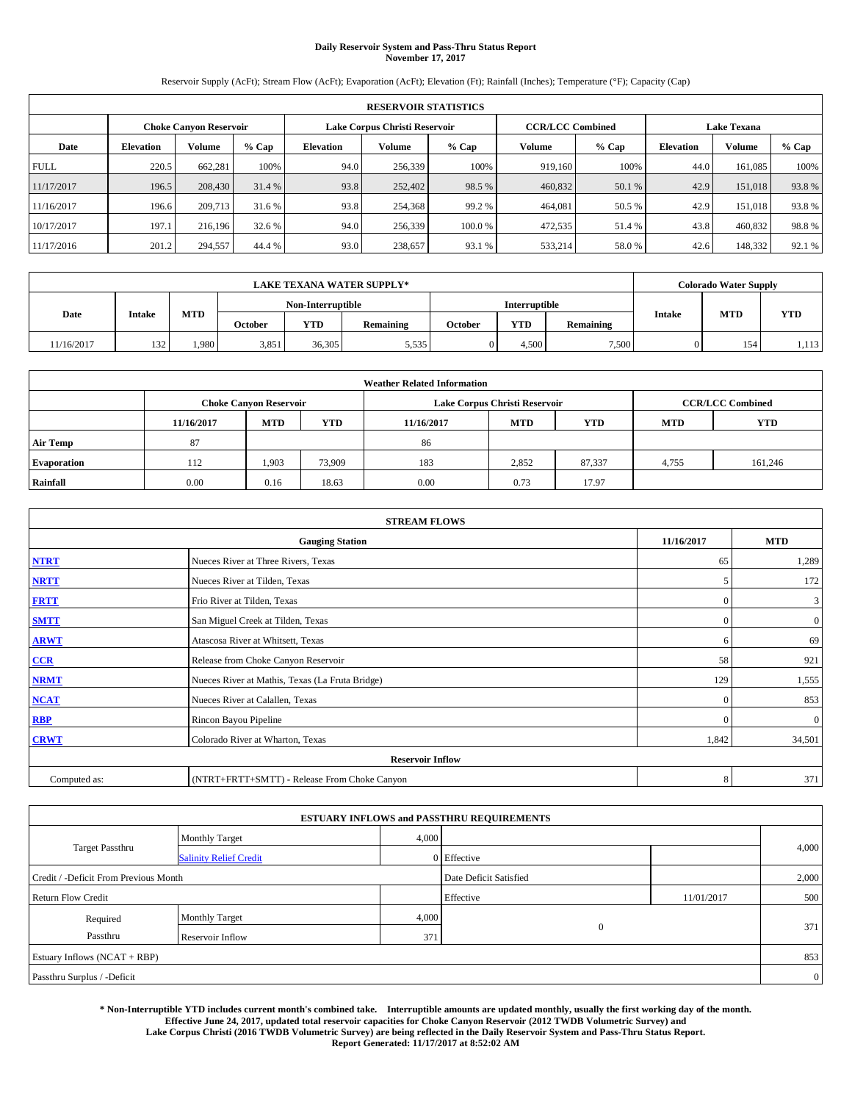# **Daily Reservoir System and Pass-Thru Status Report November 17, 2017**

Reservoir Supply (AcFt); Stream Flow (AcFt); Evaporation (AcFt); Elevation (Ft); Rainfall (Inches); Temperature (°F); Capacity (Cap)

|             | <b>RESERVOIR STATISTICS</b> |                               |        |                               |               |         |                         |         |                    |         |        |
|-------------|-----------------------------|-------------------------------|--------|-------------------------------|---------------|---------|-------------------------|---------|--------------------|---------|--------|
|             |                             | <b>Choke Canvon Reservoir</b> |        | Lake Corpus Christi Reservoir |               |         | <b>CCR/LCC Combined</b> |         | <b>Lake Texana</b> |         |        |
| Date        | <b>Elevation</b>            | Volume                        | % Cap  | <b>Elevation</b>              | <b>Volume</b> | $%$ Cap | <b>Volume</b>           | $%$ Cap | <b>Elevation</b>   | Volume  | % Cap  |
| <b>FULL</b> | 220.5                       | 662.281                       | 100%   | 94.0                          | 256,339       | 100%    | 919.160                 | 100%    | 44.0               | 161.085 | 100%   |
| 11/17/2017  | 196.5                       | 208,430                       | 31.4 % | 93.8                          | 252,402       | 98.5 %  | 460,832                 | 50.1 %  | 42.9               | 151,018 | 93.8%  |
| 11/16/2017  | 196.6                       | 209,713                       | 31.6 % | 93.8                          | 254,368       | 99.2 %  | 464,081                 | 50.5 %  | 42.9               | 151,018 | 93.8%  |
| 10/17/2017  | 197.1                       | 216,196                       | 32.6 % | 94.0                          | 256,339       | 100.0 % | 472,535                 | 51.4 %  | 43.8               | 460,832 | 98.8%  |
| 11/17/2016  | 201.2                       | 294,557                       | 44.4 % | 93.0                          | 238,657       | 93.1 %  | 533,214                 | 58.0%   | 42.6               | 148,332 | 92.1 % |

| <b>LAKE TEXANA WATER SUPPLY*</b> |               |            |         |                   |           |         |                      |           | <b>Colorado Water Supply</b> |            |            |
|----------------------------------|---------------|------------|---------|-------------------|-----------|---------|----------------------|-----------|------------------------------|------------|------------|
|                                  |               |            |         | Non-Interruptible |           |         | <b>Interruptible</b> |           |                              |            |            |
| Date                             | <b>Intake</b> | <b>MTD</b> | October | <b>YTD</b>        | Remaining | October | <b>YTD</b>           | Remaining | <b>Intake</b>                | <b>MTD</b> | <b>YTD</b> |
| 11/16/2017                       | 132           | .980       | 3,851   | 36,305            | 5,535     |         | 4,500                | 7.500     |                              | 154        | 1,113      |

| <b>Weather Related Information</b> |            |                               |            |            |                                                      |                         |       |         |  |  |
|------------------------------------|------------|-------------------------------|------------|------------|------------------------------------------------------|-------------------------|-------|---------|--|--|
|                                    |            | <b>Choke Canyon Reservoir</b> |            |            | Lake Corpus Christi Reservoir                        | <b>CCR/LCC Combined</b> |       |         |  |  |
|                                    | 11/16/2017 | <b>MTD</b>                    | <b>YTD</b> | 11/16/2017 | <b>YTD</b><br><b>MTD</b><br><b>YTD</b><br><b>MTD</b> |                         |       |         |  |  |
| <b>Air Temp</b>                    | 87         |                               |            | 86         |                                                      |                         |       |         |  |  |
| <b>Evaporation</b>                 | 112        | 1,903                         | 73,909     | 183        | 2,852                                                | 87,337                  | 4,755 | 161,246 |  |  |
| Rainfall                           | 0.00       | 0.16                          | 18.63      | 0.00       | 0.73                                                 | 17.97                   |       |         |  |  |

| <b>STREAM FLOWS</b> |                                                 |              |                |  |  |  |  |  |  |
|---------------------|-------------------------------------------------|--------------|----------------|--|--|--|--|--|--|
|                     | 11/16/2017                                      | <b>MTD</b>   |                |  |  |  |  |  |  |
| <b>NTRT</b>         | Nueces River at Three Rivers, Texas             | 65           | 1,289          |  |  |  |  |  |  |
| <b>NRTT</b>         | Nueces River at Tilden, Texas                   | 5            | 172            |  |  |  |  |  |  |
| <b>FRTT</b>         | Frio River at Tilden, Texas                     | $\mathbf{0}$ | 3              |  |  |  |  |  |  |
| <b>SMTT</b>         | San Miguel Creek at Tilden, Texas               | $\mathbf{0}$ | $\overline{0}$ |  |  |  |  |  |  |
| <b>ARWT</b>         | Atascosa River at Whitsett, Texas               | 6            | 69             |  |  |  |  |  |  |
| $CCR$               | Release from Choke Canyon Reservoir             | 58           | 921            |  |  |  |  |  |  |
| <b>NRMT</b>         | Nueces River at Mathis, Texas (La Fruta Bridge) | 129          | 1,555          |  |  |  |  |  |  |
| <b>NCAT</b>         | Nueces River at Calallen, Texas                 | $\Omega$     | 853            |  |  |  |  |  |  |
| RBP                 | Rincon Bayou Pipeline                           | $\Omega$     | $\mathbf{0}$   |  |  |  |  |  |  |
| <b>CRWT</b>         | Colorado River at Wharton, Texas                | 1,842        | 34,501         |  |  |  |  |  |  |
|                     |                                                 |              |                |  |  |  |  |  |  |
| Computed as:        | (NTRT+FRTT+SMTT) - Release From Choke Canyon    | 8            | 371            |  |  |  |  |  |  |

| <b>ESTUARY INFLOWS and PASSTHRU REQUIREMENTS</b> |                               |       |                        |            |                |  |  |  |  |  |
|--------------------------------------------------|-------------------------------|-------|------------------------|------------|----------------|--|--|--|--|--|
|                                                  | <b>Monthly Target</b>         | 4,000 |                        |            |                |  |  |  |  |  |
| <b>Target Passthru</b>                           | <b>Salinity Relief Credit</b> |       | 0 Effective            |            | 4,000          |  |  |  |  |  |
| Credit / -Deficit From Previous Month            |                               |       | Date Deficit Satisfied |            | 2,000          |  |  |  |  |  |
| <b>Return Flow Credit</b>                        |                               |       | Effective              | 11/01/2017 | 500            |  |  |  |  |  |
| Required                                         | <b>Monthly Target</b>         | 4,000 |                        |            |                |  |  |  |  |  |
| Passthru                                         | Reservoir Inflow              | 371   | $\mathbf{0}$           |            | 371            |  |  |  |  |  |
| Estuary Inflows (NCAT + RBP)                     |                               |       |                        |            |                |  |  |  |  |  |
| Passthru Surplus / -Deficit                      |                               |       |                        |            | $\overline{0}$ |  |  |  |  |  |

**\* Non-Interruptible YTD includes current month's combined take. Interruptible amounts are updated monthly, usually the first working day of the month. Effective June 24, 2017, updated total reservoir capacities for Choke Canyon Reservoir (2012 TWDB Volumetric Survey) and Lake Corpus Christi (2016 TWDB Volumetric Survey) are being reflected in the Daily Reservoir System and Pass-Thru Status Report. Report Generated: 11/17/2017 at 8:52:02 AM**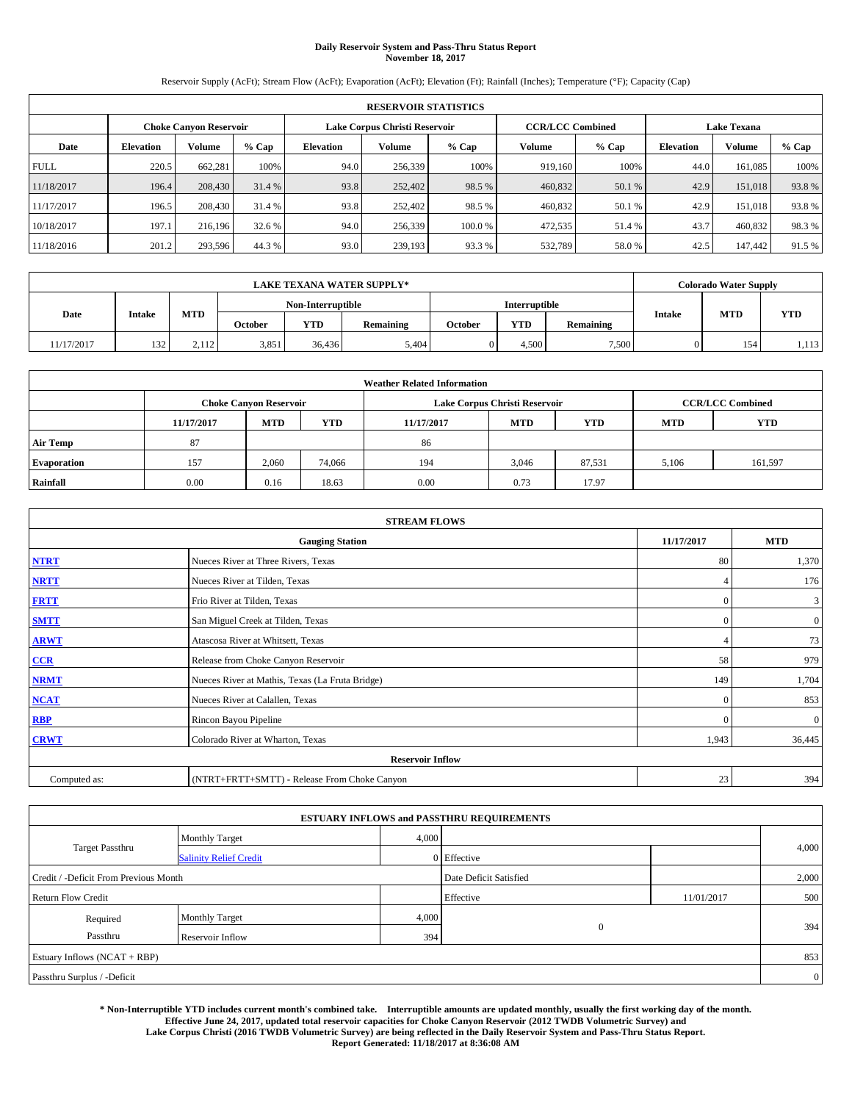# **Daily Reservoir System and Pass-Thru Status Report November 18, 2017**

Reservoir Supply (AcFt); Stream Flow (AcFt); Evaporation (AcFt); Elevation (Ft); Rainfall (Inches); Temperature (°F); Capacity (Cap)

|                               | <b>RESERVOIR STATISTICS</b> |         |        |                  |                               |         |                                               |         |                  |         |        |  |
|-------------------------------|-----------------------------|---------|--------|------------------|-------------------------------|---------|-----------------------------------------------|---------|------------------|---------|--------|--|
| <b>Choke Canvon Reservoir</b> |                             |         |        |                  | Lake Corpus Christi Reservoir |         | <b>Lake Texana</b><br><b>CCR/LCC Combined</b> |         |                  |         |        |  |
| Date                          | <b>Elevation</b>            | Volume  | % Cap  | <b>Elevation</b> | <b>Volume</b>                 | $%$ Cap | <b>Volume</b>                                 | $%$ Cap | <b>Elevation</b> | Volume  | % Cap  |  |
| <b>FULL</b>                   | 220.5                       | 662.281 | 100%   | 94.0             | 256,339                       | 100%    | 919.160                                       | 100%    | 44.0             | 161.085 | 100%   |  |
| 11/18/2017                    | 196.4                       | 208,430 | 31.4 % | 93.8             | 252,402                       | 98.5 %  | 460,832                                       | 50.1 %  | 42.9             | 151,018 | 93.8%  |  |
| 11/17/2017                    | 196.5                       | 208,430 | 31.4 % | 93.8             | 252,402                       | 98.5 %  | 460,832                                       | 50.1 %  | 42.9             | 151,018 | 93.8%  |  |
| 10/18/2017                    | 197.1                       | 216,196 | 32.6 % | 94.0             | 256,339                       | 100.0 % | 472,535                                       | 51.4 %  | 43.7             | 460,832 | 98.3%  |  |
| 11/18/2016                    | 201.2                       | 293,596 | 44.3%  | 93.0             | 239,193                       | 93.3 %  | 532,789                                       | 58.0%   | 42.5             | 147,442 | 91.5 % |  |

|            | <b>LAKE TEXANA WATER SUPPLY*</b> |       |                   |            |           |         |                      |           |               | <b>Colorado Water Supply</b> |            |
|------------|----------------------------------|-------|-------------------|------------|-----------|---------|----------------------|-----------|---------------|------------------------------|------------|
|            |                                  |       | Non-Interruptible |            |           |         | <b>Interruptible</b> |           |               |                              |            |
| Date       | <b>Intake</b>                    | MTD   | October           | <b>YTD</b> | Remaining | October | <b>YTD</b>           | Remaining | <b>Intake</b> | <b>MTD</b>                   | <b>YTD</b> |
| 11/17/2017 | 132                              | 2,112 | 3,851             | 36.436     | 5,404     |         | 4.500                | 7,500     |               | 154                          | 1,113      |

| <b>Weather Related Information</b> |            |                                                                                  |        |      |                               |        |       |                         |  |  |
|------------------------------------|------------|----------------------------------------------------------------------------------|--------|------|-------------------------------|--------|-------|-------------------------|--|--|
|                                    |            | <b>Choke Canyon Reservoir</b>                                                    |        |      | Lake Corpus Christi Reservoir |        |       | <b>CCR/LCC Combined</b> |  |  |
|                                    | 11/17/2017 | <b>YTD</b><br><b>MTD</b><br><b>MTD</b><br><b>YTD</b><br>11/17/2017<br><b>MTD</b> |        |      |                               |        |       |                         |  |  |
| <b>Air Temp</b>                    | 87         |                                                                                  |        | 86   |                               |        |       |                         |  |  |
| <b>Evaporation</b>                 | 157        | 2,060                                                                            | 74,066 | 194  | 3,046                         | 87,531 | 5,106 | 161,597                 |  |  |
| Rainfall                           | 0.00       | 0.16                                                                             | 18.63  | 0.00 | 0.73                          | 17.97  |       |                         |  |  |

| <b>STREAM FLOWS</b> |                                                 |              |                |  |  |  |  |  |  |
|---------------------|-------------------------------------------------|--------------|----------------|--|--|--|--|--|--|
|                     | <b>Gauging Station</b>                          | 11/17/2017   | <b>MTD</b>     |  |  |  |  |  |  |
| <b>NTRT</b>         | Nueces River at Three Rivers, Texas             | 80           | 1,370          |  |  |  |  |  |  |
| <b>NRTT</b>         | Nueces River at Tilden, Texas                   | 4            | 176            |  |  |  |  |  |  |
| <b>FRTT</b>         | Frio River at Tilden, Texas                     | $\mathbf{0}$ | 3              |  |  |  |  |  |  |
| <b>SMTT</b>         | San Miguel Creek at Tilden, Texas               | $\mathbf{0}$ | $\overline{0}$ |  |  |  |  |  |  |
| <b>ARWT</b>         | Atascosa River at Whitsett, Texas               |              | 73             |  |  |  |  |  |  |
| $CCR$               | Release from Choke Canyon Reservoir             | 58           | 979            |  |  |  |  |  |  |
| <b>NRMT</b>         | Nueces River at Mathis, Texas (La Fruta Bridge) | 149          | 1,704          |  |  |  |  |  |  |
| <b>NCAT</b>         | Nueces River at Calallen, Texas                 | $\mathbf{0}$ | 853            |  |  |  |  |  |  |
| RBP                 | Rincon Bayou Pipeline                           | $\Omega$     | $\mathbf{0}$   |  |  |  |  |  |  |
| <b>CRWT</b>         | Colorado River at Wharton, Texas                | 1,943        | 36,445         |  |  |  |  |  |  |
|                     | <b>Reservoir Inflow</b>                         |              |                |  |  |  |  |  |  |
| Computed as:        | (NTRT+FRTT+SMTT) - Release From Choke Canyon    |              |                |  |  |  |  |  |  |

| <b>ESTUARY INFLOWS and PASSTHRU REQUIREMENTS</b> |                               |       |                        |              |       |  |  |  |  |  |
|--------------------------------------------------|-------------------------------|-------|------------------------|--------------|-------|--|--|--|--|--|
|                                                  | <b>Monthly Target</b>         | 4,000 |                        |              |       |  |  |  |  |  |
| <b>Target Passthru</b>                           | <b>Salinity Relief Credit</b> |       | 0 Effective            |              | 4,000 |  |  |  |  |  |
| Credit / -Deficit From Previous Month            |                               |       | Date Deficit Satisfied |              | 2,000 |  |  |  |  |  |
| <b>Return Flow Credit</b>                        |                               |       | Effective              | 11/01/2017   | 500   |  |  |  |  |  |
| Required                                         | <b>Monthly Target</b>         | 4,000 |                        |              |       |  |  |  |  |  |
| Passthru                                         | Reservoir Inflow              | 394   |                        | $\mathbf{0}$ | 394   |  |  |  |  |  |
| Estuary Inflows (NCAT + RBP)                     |                               |       |                        |              |       |  |  |  |  |  |
| Passthru Surplus / -Deficit                      |                               |       |                        |              |       |  |  |  |  |  |

**\* Non-Interruptible YTD includes current month's combined take. Interruptible amounts are updated monthly, usually the first working day of the month. Effective June 24, 2017, updated total reservoir capacities for Choke Canyon Reservoir (2012 TWDB Volumetric Survey) and Lake Corpus Christi (2016 TWDB Volumetric Survey) are being reflected in the Daily Reservoir System and Pass-Thru Status Report. Report Generated: 11/18/2017 at 8:36:08 AM**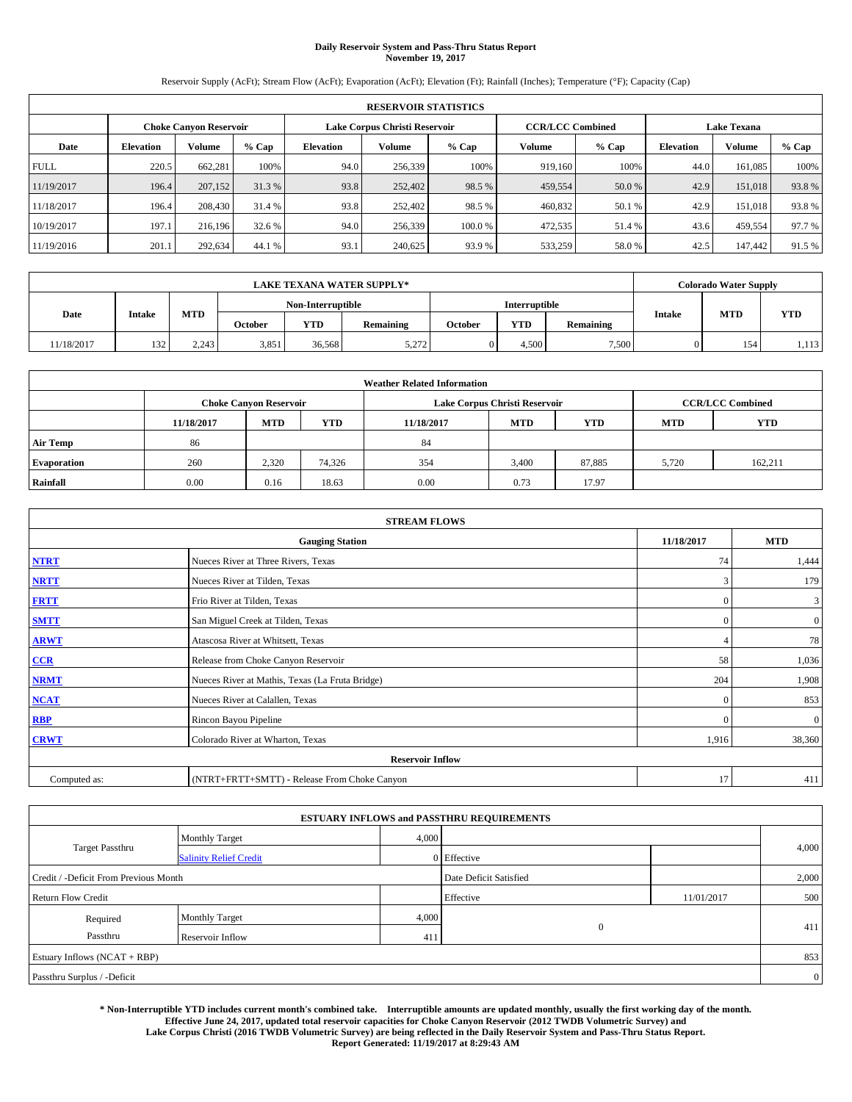# **Daily Reservoir System and Pass-Thru Status Report November 19, 2017**

Reservoir Supply (AcFt); Stream Flow (AcFt); Evaporation (AcFt); Elevation (Ft); Rainfall (Inches); Temperature (°F); Capacity (Cap)

|                               | <b>RESERVOIR STATISTICS</b> |         |        |                  |                               |         |                         |         |                  |                    |        |  |
|-------------------------------|-----------------------------|---------|--------|------------------|-------------------------------|---------|-------------------------|---------|------------------|--------------------|--------|--|
| <b>Choke Canvon Reservoir</b> |                             |         |        |                  | Lake Corpus Christi Reservoir |         | <b>CCR/LCC Combined</b> |         |                  | <b>Lake Texana</b> |        |  |
| Date                          | <b>Elevation</b>            | Volume  | % Cap  | <b>Elevation</b> | <b>Volume</b>                 | $%$ Cap | <b>Volume</b>           | $%$ Cap | <b>Elevation</b> | Volume             | % Cap  |  |
| <b>FULL</b>                   | 220.5                       | 662.281 | 100%   | 94.0             | 256,339                       | 100%    | 919.160                 | 100%    | 44.0             | 161.085            | 100%   |  |
| 11/19/2017                    | 196.4                       | 207,152 | 31.3%  | 93.8             | 252,402                       | 98.5 %  | 459,554                 | 50.0 %  | 42.9             | 151,018            | 93.8%  |  |
| 11/18/2017                    | 196.4                       | 208,430 | 31.4 % | 93.8             | 252,402                       | 98.5 %  | 460,832                 | 50.1 %  | 42.9             | 151,018            | 93.8%  |  |
| 10/19/2017                    | 197.1                       | 216,196 | 32.6 % | 94.0             | 256,339                       | 100.0 % | 472,535                 | 51.4 %  | 43.6             | 459.554            | 97.7 % |  |
| 11/19/2016                    | 201.1                       | 292,634 | 44.1 % | 93.1             | 240,625                       | 93.9 %  | 533,259                 | 58.0%   | 42.5             | 147,442            | 91.5 % |  |

| <b>LAKE TEXANA WATER SUPPLY*</b> |               |            |                   |            |                      |                |            | <b>Colorado Water Supply</b> |               |            |            |
|----------------------------------|---------------|------------|-------------------|------------|----------------------|----------------|------------|------------------------------|---------------|------------|------------|
|                                  | <b>Intake</b> |            | Non-Interruptible |            | <b>Interruptible</b> |                |            |                              |               |            |            |
| Date                             |               | <b>MTD</b> | October           | <b>YTD</b> | Remaining            | <b>October</b> | <b>YTD</b> | Remaining                    | <b>Intake</b> | <b>MTD</b> | <b>YTD</b> |
| 11/18/2017                       | 132           | 2,243      | 3,851             | 36.568     | 5,272                |                | 4.500      | 7,500                        |               | 154        | 1,113      |

| <b>Weather Related Information</b> |                                                                                                |                               |        |      |                               |        |       |                         |  |  |
|------------------------------------|------------------------------------------------------------------------------------------------|-------------------------------|--------|------|-------------------------------|--------|-------|-------------------------|--|--|
|                                    |                                                                                                | <b>Choke Canyon Reservoir</b> |        |      | Lake Corpus Christi Reservoir |        |       | <b>CCR/LCC Combined</b> |  |  |
|                                    | <b>YTD</b><br><b>MTD</b><br><b>MTD</b><br><b>YTD</b><br><b>MTD</b><br>11/18/2017<br>11/18/2017 |                               |        |      |                               |        |       |                         |  |  |
| <b>Air Temp</b>                    | 86                                                                                             |                               |        | 84   |                               |        |       |                         |  |  |
| <b>Evaporation</b>                 | 260                                                                                            | 2,320                         | 74,326 | 354  | 3,400                         | 87,885 | 5.720 | 162,211                 |  |  |
| Rainfall                           | 0.00                                                                                           | 0.16                          | 18.63  | 0.00 | 0.73                          | 17.97  |       |                         |  |  |

| <b>STREAM FLOWS</b> |                                                 |                |              |  |  |  |  |  |  |
|---------------------|-------------------------------------------------|----------------|--------------|--|--|--|--|--|--|
|                     | <b>Gauging Station</b>                          | 11/18/2017     | <b>MTD</b>   |  |  |  |  |  |  |
| <b>NTRT</b>         | Nueces River at Three Rivers, Texas             | 74             | 1,444        |  |  |  |  |  |  |
| <b>NRTT</b>         | Nueces River at Tilden, Texas                   | 3              | 179          |  |  |  |  |  |  |
| <b>FRTT</b>         | Frio River at Tilden, Texas                     | $\mathbf{0}$   | 3            |  |  |  |  |  |  |
| <b>SMTT</b>         | San Miguel Creek at Tilden, Texas               | $\mathbf{0}$   | $\mathbf{0}$ |  |  |  |  |  |  |
| <b>ARWT</b>         | Atascosa River at Whitsett, Texas               | $\overline{4}$ | 78           |  |  |  |  |  |  |
| $CCR$               | Release from Choke Canyon Reservoir             | 58             | 1,036        |  |  |  |  |  |  |
| <b>NRMT</b>         | Nueces River at Mathis, Texas (La Fruta Bridge) | 204            | 1,908        |  |  |  |  |  |  |
| <b>NCAT</b>         | Nueces River at Calallen, Texas                 | $\Omega$       | 853          |  |  |  |  |  |  |
| RBP                 | Rincon Bayou Pipeline                           | $\theta$       | $\mathbf{0}$ |  |  |  |  |  |  |
| <b>CRWT</b>         | Colorado River at Wharton, Texas                | 1,916          | 38,360       |  |  |  |  |  |  |
|                     | <b>Reservoir Inflow</b>                         |                |              |  |  |  |  |  |  |
| Computed as:        | (NTRT+FRTT+SMTT) - Release From Choke Canyon    |                |              |  |  |  |  |  |  |

| <b>ESTUARY INFLOWS and PASSTHRU REQUIREMENTS</b> |                               |       |                        |            |                |  |  |  |  |  |
|--------------------------------------------------|-------------------------------|-------|------------------------|------------|----------------|--|--|--|--|--|
|                                                  | <b>Monthly Target</b>         | 4,000 |                        |            |                |  |  |  |  |  |
| <b>Target Passthru</b>                           | <b>Salinity Relief Credit</b> |       | $0$ Effective          |            | 4,000          |  |  |  |  |  |
| Credit / -Deficit From Previous Month            |                               |       | Date Deficit Satisfied |            | 2,000          |  |  |  |  |  |
| <b>Return Flow Credit</b>                        |                               |       | Effective              | 11/01/2017 | 500            |  |  |  |  |  |
| Required                                         | <b>Monthly Target</b>         | 4,000 |                        |            |                |  |  |  |  |  |
| Passthru                                         | Reservoir Inflow              | 411   | $\overline{0}$         |            | 411            |  |  |  |  |  |
| Estuary Inflows (NCAT + RBP)                     |                               |       |                        |            | 853            |  |  |  |  |  |
| Passthru Surplus / -Deficit                      |                               |       |                        |            | $\overline{0}$ |  |  |  |  |  |

**\* Non-Interruptible YTD includes current month's combined take. Interruptible amounts are updated monthly, usually the first working day of the month. Effective June 24, 2017, updated total reservoir capacities for Choke Canyon Reservoir (2012 TWDB Volumetric Survey) and Lake Corpus Christi (2016 TWDB Volumetric Survey) are being reflected in the Daily Reservoir System and Pass-Thru Status Report. Report Generated: 11/19/2017 at 8:29:43 AM**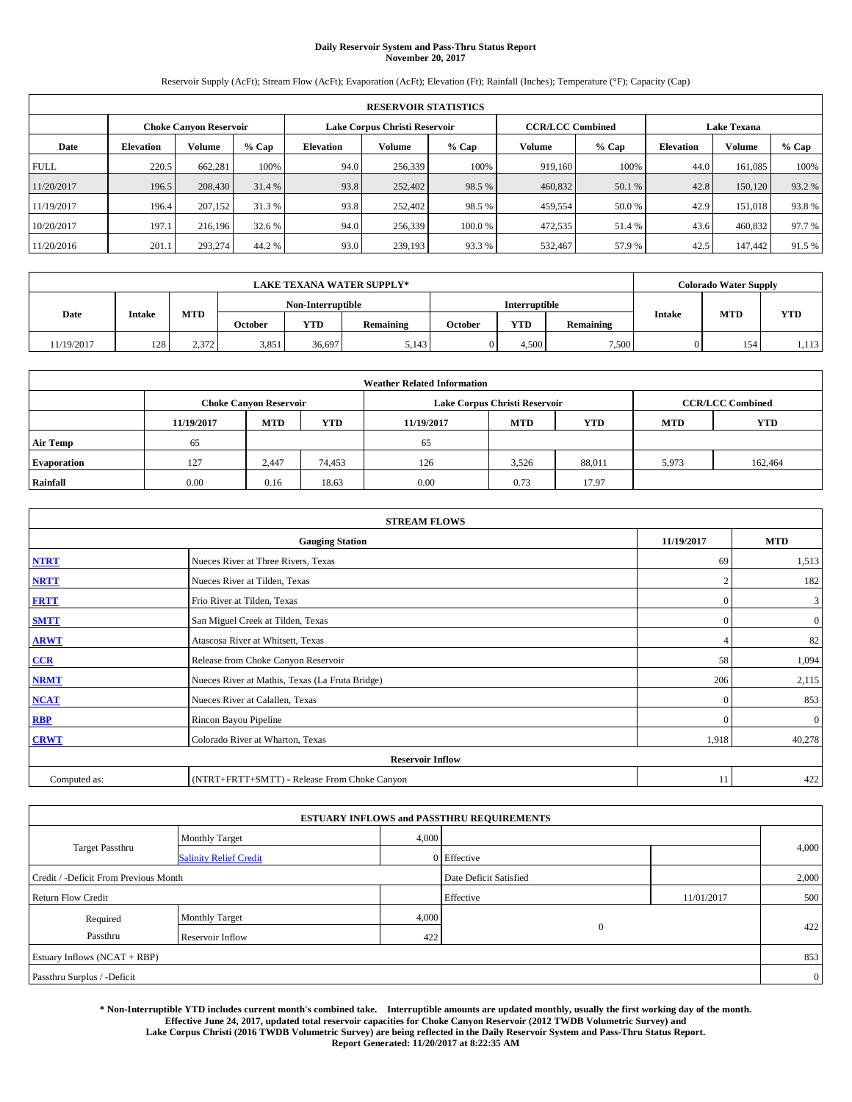# **Daily Reservoir System and Pass-Thru Status Report November 20, 2017**

Reservoir Supply (AcFt); Stream Flow (AcFt); Evaporation (AcFt); Elevation (Ft); Rainfall (Inches); Temperature (°F); Capacity (Cap)

|                               | <b>RESERVOIR STATISTICS</b> |               |         |           |                               |         |                                               |         |                  |               |        |
|-------------------------------|-----------------------------|---------------|---------|-----------|-------------------------------|---------|-----------------------------------------------|---------|------------------|---------------|--------|
| <b>Choke Canvon Reservoir</b> |                             |               |         |           | Lake Corpus Christi Reservoir |         | <b>Lake Texana</b><br><b>CCR/LCC Combined</b> |         |                  |               |        |
| Date                          | <b>Elevation</b>            | <b>Volume</b> | $%$ Cap | Elevation | <b>Volume</b>                 | $%$ Cap | Volume                                        | $%$ Cap | <b>Elevation</b> | <b>Volume</b> | % Cap  |
| <b>FULL</b>                   | 220.5                       | 662.281       | 100%    | 94.0      | 256,339                       | 100%    | 919.160                                       | 100%    | 44.0             | 161,085       | 100%   |
| 11/20/2017                    | 196.5                       | 208,430       | 31.4 %  | 93.8      | 252,402                       | 98.5 %  | 460,832                                       | 50.1 %  | 42.8             | 150,120       | 93.2%  |
| 11/19/2017                    | 196.4                       | 207,152       | 31.3 %  | 93.8      | 252,402                       | 98.5 %  | 459,554                                       | 50.0%   | 42.9             | 151,018       | 93.8%  |
| 10/20/2017                    | 197.1                       | 216.196       | 32.6 %  | 94.0      | 256,339                       | 100.0%  | 472,535                                       | 51.4 %  | 43.6             | 460,832       | 97.7 % |
| 11/20/2016                    | 201.1                       | 293.274       | 44.2 %  | 93.0      | 239,193                       | 93.3 %  | 532,467                                       | 57.9%   | 42.5             | 147.442       | 91.5 % |

|            |        |            |                                           |            | <b>LAKE TEXANA WATER SUPPLY*</b> |                |            |           |               | <b>Colorado Water Supply</b> |            |
|------------|--------|------------|-------------------------------------------|------------|----------------------------------|----------------|------------|-----------|---------------|------------------------------|------------|
|            |        |            | <b>Interruptible</b><br>Non-Interruptible |            |                                  |                |            |           |               |                              |            |
| Date       | Intake | <b>MTD</b> | October                                   | <b>YTD</b> | Remaining                        | <b>October</b> | <b>YTD</b> | Remaining | <b>Intake</b> | <b>MTD</b>                   | <b>YTD</b> |
| 11/19/2017 | 128    | 2,372      | 3,851                                     | 36.697     | 5,143                            |                | 4.500      | 7,500     |               | 154                          | 1,113      |

|                    | <b>Weather Related Information</b> |                                                                                  |        |      |                               |                         |       |         |  |  |  |  |
|--------------------|------------------------------------|----------------------------------------------------------------------------------|--------|------|-------------------------------|-------------------------|-------|---------|--|--|--|--|
|                    |                                    | <b>Choke Canyon Reservoir</b>                                                    |        |      | Lake Corpus Christi Reservoir | <b>CCR/LCC Combined</b> |       |         |  |  |  |  |
|                    | 11/19/2017                         | <b>YTD</b><br><b>MTD</b><br><b>MTD</b><br><b>YTD</b><br>11/19/2017<br><b>MTD</b> |        |      |                               |                         |       |         |  |  |  |  |
| <b>Air Temp</b>    | 65                                 |                                                                                  |        | 65   |                               |                         |       |         |  |  |  |  |
| <b>Evaporation</b> | 127                                | 2.447                                                                            | 74,453 | 126  | 3,526                         | 88,011                  | 5,973 | 162,464 |  |  |  |  |
| Rainfall           | 0.00                               | 0.16                                                                             | 18.63  | 0.00 | 0.73                          | 17.97                   |       |         |  |  |  |  |

| <b>STREAM FLOWS</b> |                                                 |                |              |  |  |  |  |  |
|---------------------|-------------------------------------------------|----------------|--------------|--|--|--|--|--|
|                     | <b>Gauging Station</b>                          | 11/19/2017     | <b>MTD</b>   |  |  |  |  |  |
| <b>NTRT</b>         | Nueces River at Three Rivers, Texas             | 69             | 1,513        |  |  |  |  |  |
| <b>NRTT</b>         | Nueces River at Tilden, Texas                   | $\overline{2}$ | 182          |  |  |  |  |  |
| <b>FRTT</b>         | Frio River at Tilden, Texas                     | $\mathbf{0}$   | 3            |  |  |  |  |  |
| <b>SMTT</b>         | San Miguel Creek at Tilden, Texas               | $\mathbf{0}$   | $\mathbf{0}$ |  |  |  |  |  |
| <b>ARWT</b>         | Atascosa River at Whitsett, Texas               | $\overline{4}$ | 82           |  |  |  |  |  |
| $CCR$               | Release from Choke Canyon Reservoir             | 58             | 1,094        |  |  |  |  |  |
| <b>NRMT</b>         | Nueces River at Mathis, Texas (La Fruta Bridge) | 206            | 2,115        |  |  |  |  |  |
| <b>NCAT</b>         | Nueces River at Calallen, Texas                 | $\Omega$       | 853          |  |  |  |  |  |
| RBP                 | Rincon Bayou Pipeline                           | $\theta$       | $\mathbf{0}$ |  |  |  |  |  |
| <b>CRWT</b>         | Colorado River at Wharton, Texas                | 1,918          | 40,278       |  |  |  |  |  |
|                     | <b>Reservoir Inflow</b>                         |                |              |  |  |  |  |  |
| Computed as:        | (NTRT+FRTT+SMTT) - Release From Choke Canyon    | 11             | 422          |  |  |  |  |  |

|                                       |                               |       | <b>ESTUARY INFLOWS and PASSTHRU REQUIREMENTS</b> |            |                |  |
|---------------------------------------|-------------------------------|-------|--------------------------------------------------|------------|----------------|--|
|                                       | <b>Monthly Target</b>         | 4,000 |                                                  |            |                |  |
| <b>Target Passthru</b>                | <b>Salinity Relief Credit</b> |       | 0 Effective                                      |            | 4,000          |  |
| Credit / -Deficit From Previous Month |                               |       | Date Deficit Satisfied                           |            | 2,000          |  |
| <b>Return Flow Credit</b>             |                               |       | Effective                                        | 11/01/2017 | 500            |  |
| Required                              | <b>Monthly Target</b>         | 4,000 |                                                  |            |                |  |
| Passthru                              | Reservoir Inflow              | 422   | $\overline{0}$                                   |            | 422            |  |
| Estuary Inflows (NCAT + RBP)          |                               |       |                                                  |            | 853            |  |
| Passthru Surplus / -Deficit           |                               |       |                                                  |            | $\overline{0}$ |  |

**\* Non-Interruptible YTD includes current month's combined take. Interruptible amounts are updated monthly, usually the first working day of the month. Effective June 24, 2017, updated total reservoir capacities for Choke Canyon Reservoir (2012 TWDB Volumetric Survey) and Lake Corpus Christi (2016 TWDB Volumetric Survey) are being reflected in the Daily Reservoir System and Pass-Thru Status Report. Report Generated: 11/20/2017 at 8:22:35 AM**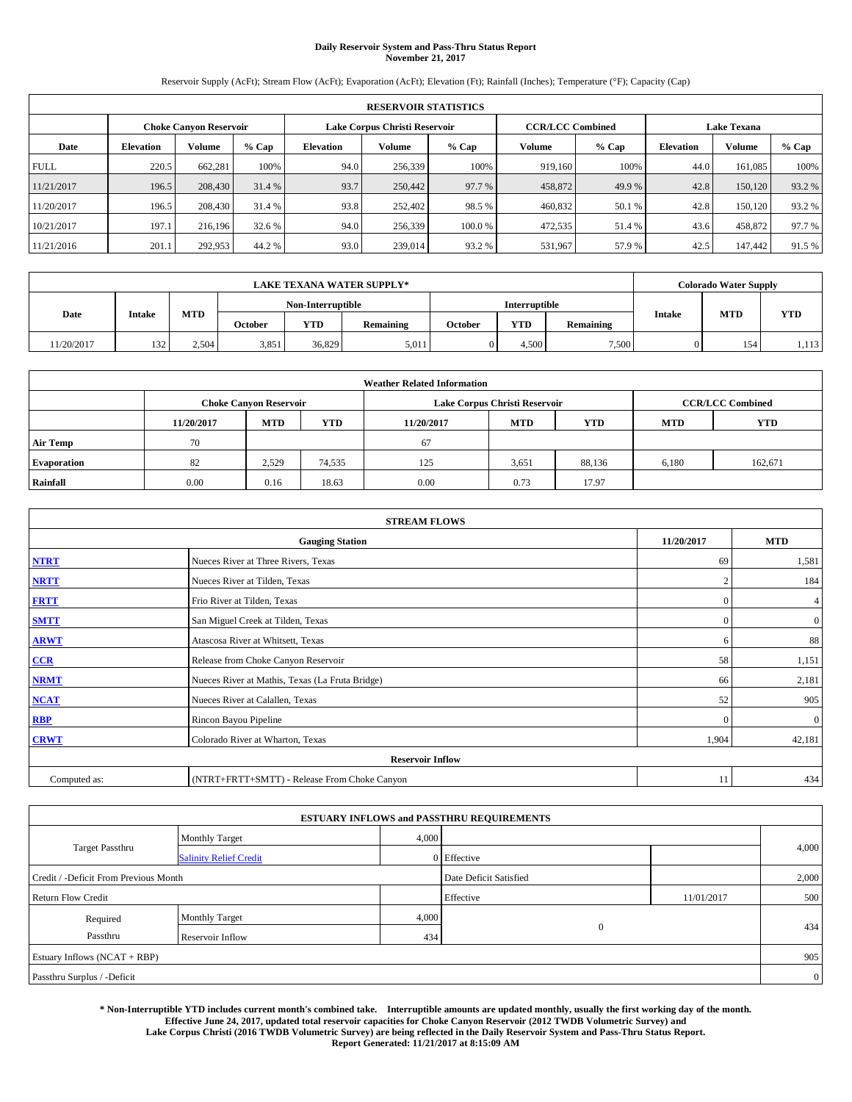# **Daily Reservoir System and Pass-Thru Status Report November 21, 2017**

Reservoir Supply (AcFt); Stream Flow (AcFt); Evaporation (AcFt); Elevation (Ft); Rainfall (Inches); Temperature (°F); Capacity (Cap)

|             | <b>RESERVOIR STATISTICS</b> |                               |         |                               |               |                              |                         |        |                    |               |        |  |
|-------------|-----------------------------|-------------------------------|---------|-------------------------------|---------------|------------------------------|-------------------------|--------|--------------------|---------------|--------|--|
|             |                             | <b>Choke Canvon Reservoir</b> |         | Lake Corpus Christi Reservoir |               |                              | <b>CCR/LCC Combined</b> |        | <b>Lake Texana</b> |               |        |  |
| Date        | <b>Elevation</b>            | <b>Volume</b>                 | $%$ Cap | Elevation                     | <b>Volume</b> | $%$ Cap<br>$%$ Cap<br>Volume |                         |        | <b>Elevation</b>   | <b>Volume</b> | % Cap  |  |
| <b>FULL</b> | 220.5                       | 662.281                       | 100%    | 94.0                          | 256,339       | 100%                         | 919.160                 | 100%   | 44.0               | 161,085       | 100%   |  |
| 11/21/2017  | 196.5                       | 208,430                       | 31.4 %  | 93.7                          | 250,442       | 97.7 %                       | 458,872                 | 49.9%  | 42.8               | 150,120       | 93.2%  |  |
| 11/20/2017  | 196.5                       | 208,430                       | 31.4 %  | 93.8                          | 252,402       | 98.5 %                       | 460,832                 | 50.1 % | 42.8               | 150.120       | 93.2 % |  |
| 10/21/2017  | 197.1                       | 216.196                       | 32.6 %  | 94.0                          | 256,339       | 100.0%                       | 472,535                 | 51.4 % | 43.6               | 458,872       | 97.7 % |  |
| 11/21/2016  | 201.1                       | 292,953                       | 44.2 %  | 93.0                          | 239,014       | 93.2 %                       | 531,967                 | 57.9%  | 42.5               | 147.442       | 91.5 % |  |

|            |               |       |         |                   | <b>LAKE TEXANA WATER SUPPLY*</b> |         |                      |           |               | <b>Colorado Water Supply</b> |            |
|------------|---------------|-------|---------|-------------------|----------------------------------|---------|----------------------|-----------|---------------|------------------------------|------------|
|            |               |       |         | Non-Interruptible |                                  |         | <b>Interruptible</b> |           |               |                              |            |
| Date       | <b>Intake</b> | MTD   | October | <b>YTD</b>        | Remaining                        | October | YTD                  | Remaining | <b>Intake</b> | <b>MTD</b>                   | <b>YTD</b> |
| 11/20/2017 | 132           | 2,504 | 3,851   | 36.829            | 5,011                            |         | 4.500                | 7,500     |               | 154                          | 1,113      |

|                    | <b>Weather Related Information</b>                                                             |                               |        |      |                               |                         |       |            |  |  |  |  |  |
|--------------------|------------------------------------------------------------------------------------------------|-------------------------------|--------|------|-------------------------------|-------------------------|-------|------------|--|--|--|--|--|
|                    |                                                                                                | <b>Choke Canyon Reservoir</b> |        |      | Lake Corpus Christi Reservoir | <b>CCR/LCC Combined</b> |       |            |  |  |  |  |  |
|                    | <b>YTD</b><br><b>MTD</b><br><b>MTD</b><br><b>YTD</b><br>11/20/2017<br>11/20/2017<br><b>MTD</b> |                               |        |      |                               |                         |       | <b>YTD</b> |  |  |  |  |  |
| <b>Air Temp</b>    | 70                                                                                             |                               |        | 67   |                               |                         |       |            |  |  |  |  |  |
| <b>Evaporation</b> | 82                                                                                             | 2,529                         | 74,535 | 125  | 3,651                         | 88,136                  | 6,180 | 162,671    |  |  |  |  |  |
| Rainfall           | 0.00                                                                                           | 0.16                          | 18.63  | 0.00 | 0.73                          | 17.97                   |       |            |  |  |  |  |  |

| <b>STREAM FLOWS</b> |                                                 |                |                |  |  |  |  |  |
|---------------------|-------------------------------------------------|----------------|----------------|--|--|--|--|--|
|                     | <b>Gauging Station</b>                          | 11/20/2017     | <b>MTD</b>     |  |  |  |  |  |
| <b>NTRT</b>         | Nueces River at Three Rivers, Texas             | -69            | 1,581          |  |  |  |  |  |
| <b>NRTT</b>         | Nueces River at Tilden, Texas                   | $\overline{2}$ | 184            |  |  |  |  |  |
| <b>FRTT</b>         | Frio River at Tilden, Texas                     | $\mathbf{0}$   | 4              |  |  |  |  |  |
| <b>SMTT</b>         | San Miguel Creek at Tilden, Texas               | $\mathbf{0}$   | $\overline{0}$ |  |  |  |  |  |
| <b>ARWT</b>         | Atascosa River at Whitsett, Texas               | 6              | 88             |  |  |  |  |  |
| $CCR$               | Release from Choke Canyon Reservoir             | 58             | 1,151          |  |  |  |  |  |
| <b>NRMT</b>         | Nueces River at Mathis, Texas (La Fruta Bridge) | 66             | 2,181          |  |  |  |  |  |
| <b>NCAT</b>         | Nueces River at Calallen, Texas                 | 52             | 905            |  |  |  |  |  |
| <b>RBP</b>          | Rincon Bayou Pipeline                           | $\mathbf{0}$   | $\mathbf{0}$   |  |  |  |  |  |
| <b>CRWT</b>         | Colorado River at Wharton, Texas                | 1,904          | 42,181         |  |  |  |  |  |
|                     | <b>Reservoir Inflow</b>                         |                |                |  |  |  |  |  |
| Computed as:        | (NTRT+FRTT+SMTT) - Release From Choke Canyon    | 11             | 434            |  |  |  |  |  |

|                                       |                               |       | <b>ESTUARY INFLOWS and PASSTHRU REQUIREMENTS</b> |            |                |  |
|---------------------------------------|-------------------------------|-------|--------------------------------------------------|------------|----------------|--|
|                                       | <b>Monthly Target</b>         | 4,000 |                                                  |            |                |  |
| <b>Target Passthru</b>                | <b>Salinity Relief Credit</b> |       | 0 Effective                                      |            | 4,000          |  |
| Credit / -Deficit From Previous Month |                               |       | Date Deficit Satisfied                           |            | 2,000          |  |
| <b>Return Flow Credit</b>             |                               |       | Effective                                        | 11/01/2017 | 500            |  |
| Required                              | <b>Monthly Target</b>         | 4,000 |                                                  |            |                |  |
| Passthru                              | Reservoir Inflow              | 434   | $\mathbf{0}$                                     |            | 434            |  |
| Estuary Inflows (NCAT + RBP)          |                               |       |                                                  |            | 905            |  |
| Passthru Surplus / -Deficit           |                               |       |                                                  |            | $\overline{0}$ |  |

**\* Non-Interruptible YTD includes current month's combined take. Interruptible amounts are updated monthly, usually the first working day of the month. Effective June 24, 2017, updated total reservoir capacities for Choke Canyon Reservoir (2012 TWDB Volumetric Survey) and Lake Corpus Christi (2016 TWDB Volumetric Survey) are being reflected in the Daily Reservoir System and Pass-Thru Status Report. Report Generated: 11/21/2017 at 8:15:09 AM**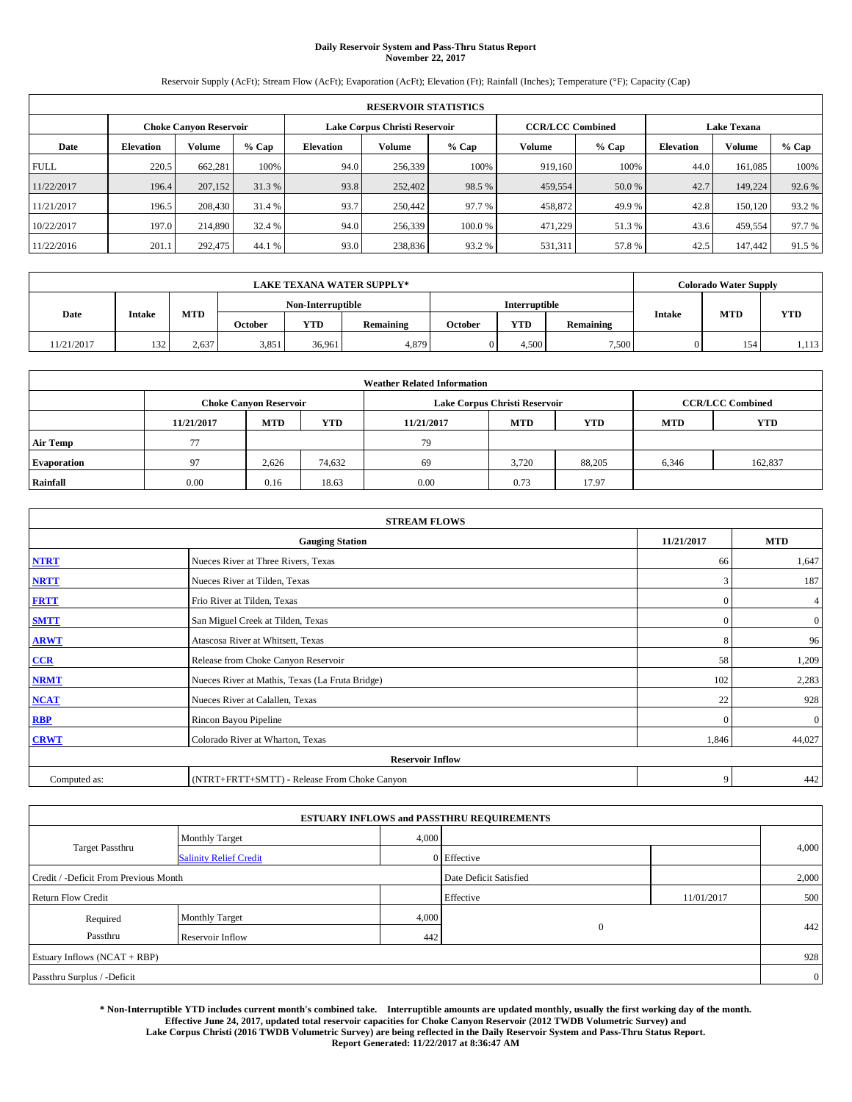# **Daily Reservoir System and Pass-Thru Status Report November 22, 2017**

Reservoir Supply (AcFt); Stream Flow (AcFt); Evaporation (AcFt); Elevation (Ft); Rainfall (Inches); Temperature (°F); Capacity (Cap)

|             | <b>RESERVOIR STATISTICS</b> |                               |         |                               |               |                                     |                         |        |                    |         |        |  |  |
|-------------|-----------------------------|-------------------------------|---------|-------------------------------|---------------|-------------------------------------|-------------------------|--------|--------------------|---------|--------|--|--|
|             |                             | <b>Choke Canvon Reservoir</b> |         | Lake Corpus Christi Reservoir |               |                                     | <b>CCR/LCC Combined</b> |        | <b>Lake Texana</b> |         |        |  |  |
| Date        | <b>Elevation</b>            | Volume                        | $%$ Cap | <b>Elevation</b>              | <b>Volume</b> | $%$ Cap<br><b>Volume</b><br>$%$ Cap |                         |        | <b>Elevation</b>   | Volume  | % Cap  |  |  |
| <b>FULL</b> | 220.5                       | 662.281                       | 100%    | 94.0                          | 256,339       | 100%                                | 919.160                 | 100%   | 44.0               | 161.085 | 100%   |  |  |
| 11/22/2017  | 196.4                       | 207,152                       | 31.3%   | 93.8                          | 252,402       | 98.5 %                              | 459,554                 | 50.0 % | 42.7               | 149,224 | 92.6 % |  |  |
| 11/21/2017  | 196.5                       | 208,430                       | 31.4 %  | 93.7                          | 250.442       | 97.7 %                              | 458,872                 | 49.9%  | 42.8               | 150.120 | 93.2 % |  |  |
| 10/22/2017  | 197.0                       | 214,890                       | 32.4 %  | 94.0                          | 256,339       | 100.0 %                             | 471,229                 | 51.3 % | 43.6               | 459.554 | 97.7 % |  |  |
| 11/22/2016  | 201.1                       | 292,475                       | 44.1 %  | 93.0                          | 238,836       | 93.2 %                              | 531,311                 | 57.8%  | 42.5               | 147,442 | 91.5 % |  |  |

|            |               |       |         |                   | <b>LAKE TEXANA WATER SUPPLY*</b> |         |                      |           |               | <b>Colorado Water Supply</b> |            |
|------------|---------------|-------|---------|-------------------|----------------------------------|---------|----------------------|-----------|---------------|------------------------------|------------|
|            |               |       |         | Non-Interruptible |                                  |         | <b>Interruptible</b> |           |               |                              |            |
| Date       | <b>Intake</b> | MTD   | October | <b>YTD</b>        | Remaining                        | October | YTD                  | Remaining | <b>Intake</b> | <b>MTD</b>                   | <b>YTD</b> |
| 11/21/2017 | 132           | 2,637 | 3,851   | 36.961            | 4,879                            |         | 4.500                | 7,500     |               | 154                          | 1,113      |

|                    | <b>Weather Related Information</b>                                                             |                               |        |      |                               |                         |       |            |  |  |  |  |  |
|--------------------|------------------------------------------------------------------------------------------------|-------------------------------|--------|------|-------------------------------|-------------------------|-------|------------|--|--|--|--|--|
|                    |                                                                                                | <b>Choke Canyon Reservoir</b> |        |      | Lake Corpus Christi Reservoir | <b>CCR/LCC Combined</b> |       |            |  |  |  |  |  |
|                    | <b>YTD</b><br><b>MTD</b><br><b>MTD</b><br><b>YTD</b><br>11/21/2017<br>11/21/2017<br><b>MTD</b> |                               |        |      |                               |                         |       | <b>YTD</b> |  |  |  |  |  |
| <b>Air Temp</b>    |                                                                                                |                               |        | 79   |                               |                         |       |            |  |  |  |  |  |
| <b>Evaporation</b> | 97                                                                                             | 2,626                         | 74,632 | 69   | 3.720                         | 88,205                  | 6,346 | 162,837    |  |  |  |  |  |
| Rainfall           | 0.00                                                                                           | 0.16                          | 18.63  | 0.00 | 0.73                          | 17.97                   |       |            |  |  |  |  |  |

| <b>STREAM FLOWS</b> |                                                 |              |              |  |  |  |  |  |  |  |
|---------------------|-------------------------------------------------|--------------|--------------|--|--|--|--|--|--|--|
|                     | <b>Gauging Station</b>                          |              |              |  |  |  |  |  |  |  |
| <b>NTRT</b>         | Nueces River at Three Rivers, Texas             | 66           | 1,647        |  |  |  |  |  |  |  |
| <b>NRTT</b>         | Nueces River at Tilden, Texas                   | 3            | 187          |  |  |  |  |  |  |  |
| <b>FRTT</b>         | Frio River at Tilden, Texas                     | $\mathbf{0}$ | 4            |  |  |  |  |  |  |  |
| <b>SMTT</b>         | San Miguel Creek at Tilden, Texas               | $\mathbf{0}$ | $\mathbf{0}$ |  |  |  |  |  |  |  |
| <b>ARWT</b>         | Atascosa River at Whitsett, Texas               | 8            | 96           |  |  |  |  |  |  |  |
| $CCR$               | Release from Choke Canyon Reservoir             | 58           | 1,209        |  |  |  |  |  |  |  |
| <b>NRMT</b>         | Nueces River at Mathis, Texas (La Fruta Bridge) | 102          | 2,283        |  |  |  |  |  |  |  |
| <b>NCAT</b>         | Nueces River at Calallen, Texas                 | 22           | 928          |  |  |  |  |  |  |  |
| RBP                 | Rincon Bayou Pipeline                           | $\theta$     | $\mathbf{0}$ |  |  |  |  |  |  |  |
| <b>CRWT</b>         | Colorado River at Wharton, Texas                | 1,846        | 44,027       |  |  |  |  |  |  |  |
|                     | <b>Reservoir Inflow</b>                         |              |              |  |  |  |  |  |  |  |
| Computed as:        | (NTRT+FRTT+SMTT) - Release From Choke Canyon    | 9            | 442          |  |  |  |  |  |  |  |

| <b>ESTUARY INFLOWS and PASSTHRU REQUIREMENTS</b> |                               |       |                        |            |                |  |  |  |  |  |
|--------------------------------------------------|-------------------------------|-------|------------------------|------------|----------------|--|--|--|--|--|
|                                                  | <b>Monthly Target</b>         | 4,000 |                        |            |                |  |  |  |  |  |
| <b>Target Passthru</b>                           | <b>Salinity Relief Credit</b> |       | 0 Effective            |            | 4,000          |  |  |  |  |  |
| Credit / -Deficit From Previous Month            |                               |       | Date Deficit Satisfied |            | 2,000          |  |  |  |  |  |
| <b>Return Flow Credit</b>                        |                               |       | Effective              | 11/01/2017 | 500            |  |  |  |  |  |
| Required                                         | <b>Monthly Target</b>         | 4,000 |                        |            |                |  |  |  |  |  |
| Passthru                                         | Reservoir Inflow              | 442   | $\overline{0}$         |            | 442            |  |  |  |  |  |
| Estuary Inflows (NCAT + RBP)                     |                               |       |                        |            | 928            |  |  |  |  |  |
| Passthru Surplus / -Deficit                      |                               |       |                        |            | $\overline{0}$ |  |  |  |  |  |

**\* Non-Interruptible YTD includes current month's combined take. Interruptible amounts are updated monthly, usually the first working day of the month. Effective June 24, 2017, updated total reservoir capacities for Choke Canyon Reservoir (2012 TWDB Volumetric Survey) and Lake Corpus Christi (2016 TWDB Volumetric Survey) are being reflected in the Daily Reservoir System and Pass-Thru Status Report. Report Generated: 11/22/2017 at 8:36:47 AM**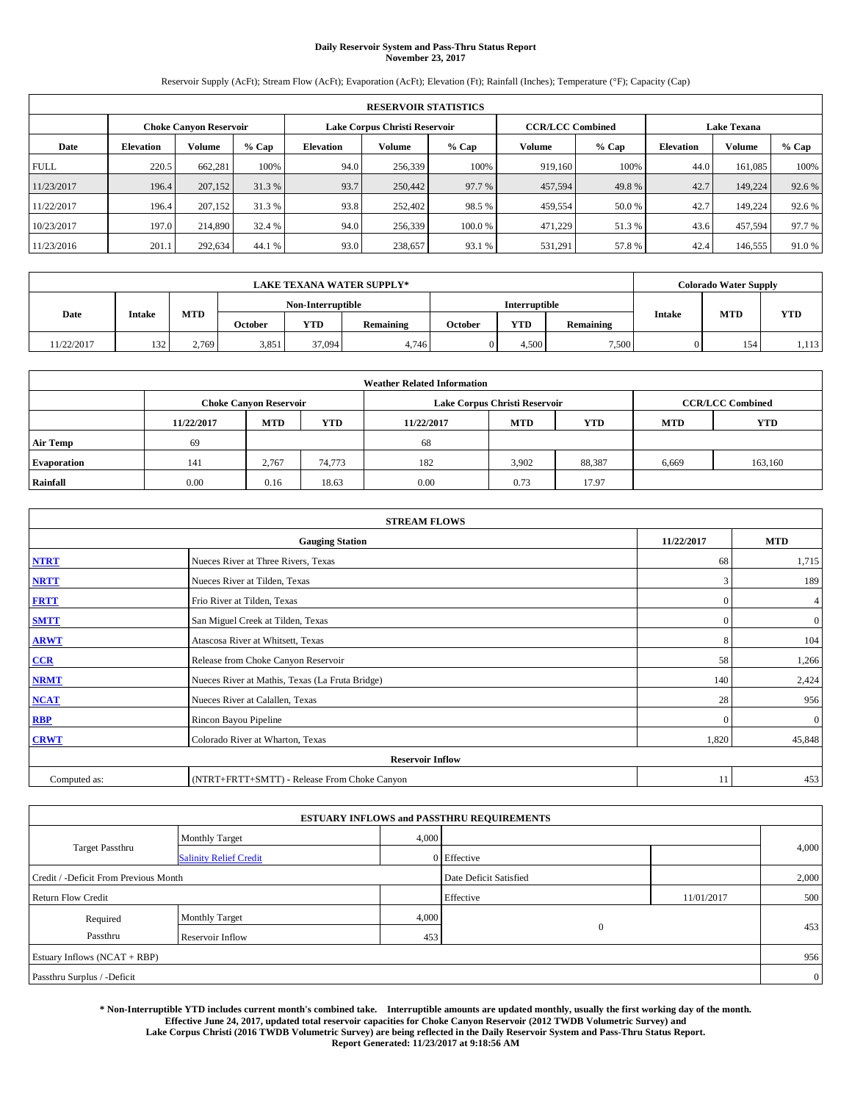# **Daily Reservoir System and Pass-Thru Status Report November 23, 2017**

Reservoir Supply (AcFt); Stream Flow (AcFt); Evaporation (AcFt); Elevation (Ft); Rainfall (Inches); Temperature (°F); Capacity (Cap)

| <b>RESERVOIR STATISTICS</b> |                               |               |         |           |                               |         |                         |         |                    |               |        |
|-----------------------------|-------------------------------|---------------|---------|-----------|-------------------------------|---------|-------------------------|---------|--------------------|---------------|--------|
|                             | <b>Choke Canvon Reservoir</b> |               |         |           | Lake Corpus Christi Reservoir |         | <b>CCR/LCC Combined</b> |         | <b>Lake Texana</b> |               |        |
| Date                        | <b>Elevation</b>              | <b>Volume</b> | $%$ Cap | Elevation | <b>Volume</b>                 | $%$ Cap | Volume                  | $%$ Cap | <b>Elevation</b>   | <b>Volume</b> | % Cap  |
| <b>FULL</b>                 | 220.5                         | 662.281       | 100%    | 94.0      | 256,339                       | 100%    | 919,160                 | 100%    | 44.0               | 161,085       | 100%   |
| 11/23/2017                  | 196.4                         | 207,152       | 31.3%   | 93.7      | 250,442                       | 97.7 %  | 457,594                 | 49.8%   | 42.7               | 149.224       | 92.6%  |
| 11/22/2017                  | 196.4                         | 207,152       | 31.3 %  | 93.8      | 252,402                       | 98.5 %  | 459,554                 | 50.0%   | 42.7               | 149.224       | 92.6%  |
| 10/23/2017                  | 197.0                         | 214,890       | 32.4 %  | 94.0      | 256,339                       | 100.0%  | 471,229                 | 51.3%   | 43.6               | 457.594       | 97.7 % |
| 11/23/2016                  | 201.1                         | 292,634       | 44.1 %  | 93.0      | 238,657                       | 93.1 %  | 531,291                 | 57.8%   | 42.4               | 146,555       | 91.0%  |

| <b>LAKE TEXANA WATER SUPPLY*</b> |               |       |                   |            |           |                      | <b>Colorado Water Supply</b> |           |               |            |            |
|----------------------------------|---------------|-------|-------------------|------------|-----------|----------------------|------------------------------|-----------|---------------|------------|------------|
|                                  |               |       | Non-Interruptible |            |           | <b>Interruptible</b> |                              |           |               |            |            |
| Date                             | <b>Intake</b> | MTD   | October           | <b>YTD</b> | Remaining | October              | YTD                          | Remaining | <b>Intake</b> | <b>MTD</b> | <b>YTD</b> |
| 11/22/2017                       | 132           | 2,769 | 3,851             | 37.094     | 4,746     |                      | 4.500                        | 7,500     |               | 154        | 1,113      |

| <b>Weather Related Information</b> |            |                               |            |            |                               |                         |            |            |  |  |
|------------------------------------|------------|-------------------------------|------------|------------|-------------------------------|-------------------------|------------|------------|--|--|
|                                    |            | <b>Choke Canyon Reservoir</b> |            |            | Lake Corpus Christi Reservoir | <b>CCR/LCC Combined</b> |            |            |  |  |
|                                    | 11/22/2017 | <b>MTD</b>                    | <b>YTD</b> | 11/22/2017 | <b>MTD</b>                    | <b>YTD</b>              | <b>MTD</b> | <b>YTD</b> |  |  |
| <b>Air Temp</b>                    | 69         |                               |            | 68         |                               |                         |            |            |  |  |
| <b>Evaporation</b>                 | 141        | 2,767                         | 74,773     | 182        | 3,902                         | 88,387                  | 6,669      | 163,160    |  |  |
| Rainfall                           | 0.00       | 0.16                          | 18.63      | 0.00       | 0.73                          | 17.97                   |            |            |  |  |

| <b>STREAM FLOWS</b> |                                                 |              |              |  |  |  |  |  |  |  |
|---------------------|-------------------------------------------------|--------------|--------------|--|--|--|--|--|--|--|
|                     | <b>Gauging Station</b>                          |              |              |  |  |  |  |  |  |  |
| <b>NTRT</b>         | Nueces River at Three Rivers, Texas             | 68           | 1,715        |  |  |  |  |  |  |  |
| <b>NRTT</b>         | Nueces River at Tilden, Texas                   | 3            | 189          |  |  |  |  |  |  |  |
| <b>FRTT</b>         | Frio River at Tilden, Texas                     | $\mathbf{0}$ | 4            |  |  |  |  |  |  |  |
| <b>SMTT</b>         | San Miguel Creek at Tilden, Texas               | $\mathbf{0}$ | $\mathbf{0}$ |  |  |  |  |  |  |  |
| <b>ARWT</b>         | Atascosa River at Whitsett, Texas               | 8            | 104          |  |  |  |  |  |  |  |
| $CCR$               | Release from Choke Canyon Reservoir             | 58           | 1,266        |  |  |  |  |  |  |  |
| <b>NRMT</b>         | Nueces River at Mathis, Texas (La Fruta Bridge) | 140          | 2,424        |  |  |  |  |  |  |  |
| <b>NCAT</b>         | Nueces River at Calallen, Texas                 | 28           | 956          |  |  |  |  |  |  |  |
| RBP                 | Rincon Bayou Pipeline                           | $\theta$     | $\mathbf{0}$ |  |  |  |  |  |  |  |
| <b>CRWT</b>         | Colorado River at Wharton, Texas                | 1,820        | 45,848       |  |  |  |  |  |  |  |
|                     | <b>Reservoir Inflow</b>                         |              |              |  |  |  |  |  |  |  |
| Computed as:        | (NTRT+FRTT+SMTT) - Release From Choke Canyon    | 11           | 453          |  |  |  |  |  |  |  |

| <b>ESTUARY INFLOWS and PASSTHRU REQUIREMENTS</b> |                               |                        |                |            |                |  |  |  |  |  |
|--------------------------------------------------|-------------------------------|------------------------|----------------|------------|----------------|--|--|--|--|--|
|                                                  | <b>Monthly Target</b>         | 4,000                  |                |            |                |  |  |  |  |  |
| <b>Target Passthru</b>                           | <b>Salinity Relief Credit</b> |                        | 0 Effective    |            | 4,000          |  |  |  |  |  |
| Credit / -Deficit From Previous Month            |                               | Date Deficit Satisfied |                | 2,000      |                |  |  |  |  |  |
| <b>Return Flow Credit</b>                        |                               |                        | Effective      | 11/01/2017 | 500            |  |  |  |  |  |
| Required                                         | Monthly Target                | 4,000                  |                |            |                |  |  |  |  |  |
| Passthru                                         | Reservoir Inflow              | 453                    | $\overline{0}$ |            | 453            |  |  |  |  |  |
| Estuary Inflows (NCAT + RBP)                     |                               |                        |                |            |                |  |  |  |  |  |
| Passthru Surplus / -Deficit                      |                               |                        |                |            | $\overline{0}$ |  |  |  |  |  |

**\* Non-Interruptible YTD includes current month's combined take. Interruptible amounts are updated monthly, usually the first working day of the month. Effective June 24, 2017, updated total reservoir capacities for Choke Canyon Reservoir (2012 TWDB Volumetric Survey) and Lake Corpus Christi (2016 TWDB Volumetric Survey) are being reflected in the Daily Reservoir System and Pass-Thru Status Report. Report Generated: 11/23/2017 at 9:18:56 AM**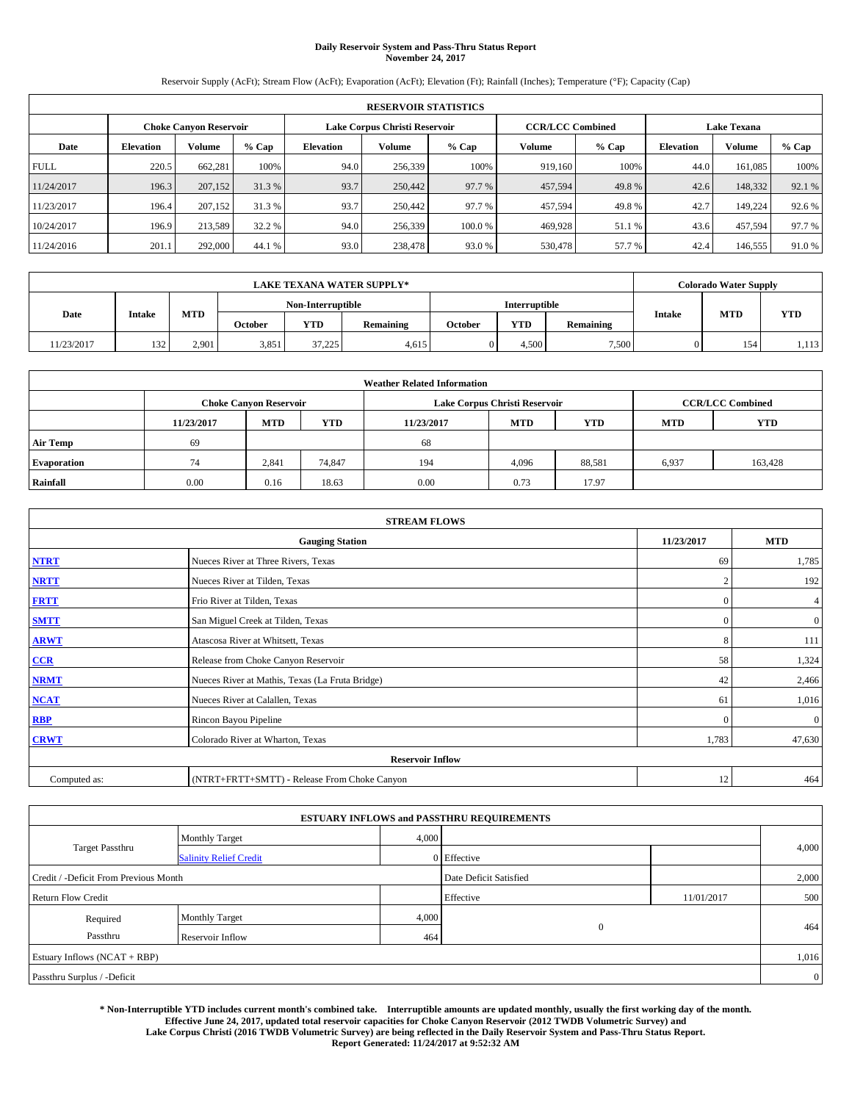# **Daily Reservoir System and Pass-Thru Status Report November 24, 2017**

Reservoir Supply (AcFt); Stream Flow (AcFt); Evaporation (AcFt); Elevation (Ft); Rainfall (Inches); Temperature (°F); Capacity (Cap)

| <b>RESERVOIR STATISTICS</b> |                  |                               |        |           |                               |         |                         |         |                    |               |        |
|-----------------------------|------------------|-------------------------------|--------|-----------|-------------------------------|---------|-------------------------|---------|--------------------|---------------|--------|
|                             |                  | <b>Choke Canvon Reservoir</b> |        |           | Lake Corpus Christi Reservoir |         | <b>CCR/LCC Combined</b> |         | <b>Lake Texana</b> |               |        |
| Date                        | <b>Elevation</b> | <b>Volume</b>                 | % Cap  | Elevation | <b>Volume</b>                 | $%$ Cap | Volume                  | $%$ Cap | <b>Elevation</b>   | <b>Volume</b> | % Cap  |
| <b>FULL</b>                 | 220.5            | 662.281                       | 100%   | 94.0      | 256,339                       | 100%    | 919.160                 | 100%    | 44.0               | 161,085       | 100%   |
| 11/24/2017                  | 196.3            | 207,152                       | 31.3%  | 93.7      | 250,442                       | 97.7 %  | 457,594                 | 49.8%   | 42.6               | 148,332       | 92.1 % |
| 11/23/2017                  | 196.4            | 207,152                       | 31.3 % | 93.7      | 250,442                       | 97.7 %  | 457,594                 | 49.8%   | 42.7               | 149.224       | 92.6 % |
| 10/24/2017                  | 196.9            | 213.589                       | 32.2 % | 94.0      | 256,339                       | 100.0 % | 469,928                 | 51.1 %  | 43.6               | 457,594       | 97.7 % |
| 11/24/2016                  | 201.1            | 292,000                       | 44.1 % | 93.0      | 238,478                       | 93.0 %  | 530,478                 | 57.7 %  | 42.4               | 146,555       | 91.0%  |

| <b>LAKE TEXANA WATER SUPPLY*</b> |               |       |                   |            |           |         |       | <b>Colorado Water Supply</b> |               |            |            |  |  |
|----------------------------------|---------------|-------|-------------------|------------|-----------|---------|-------|------------------------------|---------------|------------|------------|--|--|
|                                  |               |       | Non-Interruptible |            |           |         |       | <b>Interruptible</b>         |               |            |            |  |  |
| Date                             | <b>Intake</b> | MTD   | October           | <b>YTD</b> | Remaining | October | YTD   | Remaining                    | <b>Intake</b> | <b>MTD</b> | <b>YTD</b> |  |  |
| 11/23/2017                       | 132           | 2,901 | 3,851             | 37,225     | 4,615     |         | 4.500 | 7,500                        |               | 154        | 1,113      |  |  |

| <b>Weather Related Information</b> |            |                               |            |            |                               |                         |            |            |  |  |  |
|------------------------------------|------------|-------------------------------|------------|------------|-------------------------------|-------------------------|------------|------------|--|--|--|
|                                    |            | <b>Choke Canyon Reservoir</b> |            |            | Lake Corpus Christi Reservoir | <b>CCR/LCC Combined</b> |            |            |  |  |  |
|                                    | 11/23/2017 | <b>MTD</b>                    | <b>YTD</b> | 11/23/2017 | <b>MTD</b>                    | <b>YTD</b>              | <b>MTD</b> | <b>YTD</b> |  |  |  |
| <b>Air Temp</b>                    | 69         |                               |            | 68         |                               |                         |            |            |  |  |  |
| <b>Evaporation</b>                 | 74         | 2,841                         | 74,847     | 194        | 4,096                         | 88,581                  | 6,937      | 163,428    |  |  |  |
| Rainfall                           | 0.00       | 0.16                          | 18.63      | 0.00       | 0.73                          | 17.97                   |            |            |  |  |  |

| <b>STREAM FLOWS</b> |                                                 |                |              |  |  |  |  |  |  |  |
|---------------------|-------------------------------------------------|----------------|--------------|--|--|--|--|--|--|--|
|                     | <b>Gauging Station</b>                          |                |              |  |  |  |  |  |  |  |
| <b>NTRT</b>         | Nueces River at Three Rivers, Texas             | 69             | 1,785        |  |  |  |  |  |  |  |
| <b>NRTT</b>         | Nueces River at Tilden, Texas                   | $\overline{2}$ | 192          |  |  |  |  |  |  |  |
| <b>FRTT</b>         | Frio River at Tilden, Texas                     | $\mathbf{0}$   | 4            |  |  |  |  |  |  |  |
| <b>SMTT</b>         | San Miguel Creek at Tilden, Texas               | $\mathbf{0}$   | $\mathbf{0}$ |  |  |  |  |  |  |  |
| <b>ARWT</b>         | Atascosa River at Whitsett, Texas               | 8              | 111          |  |  |  |  |  |  |  |
| $CCR$               | Release from Choke Canyon Reservoir             | 58             | 1,324        |  |  |  |  |  |  |  |
| <b>NRMT</b>         | Nueces River at Mathis, Texas (La Fruta Bridge) | 42             | 2,466        |  |  |  |  |  |  |  |
| <b>NCAT</b>         | Nueces River at Calallen, Texas                 | 61             | 1,016        |  |  |  |  |  |  |  |
| RBP                 | Rincon Bayou Pipeline                           | $\theta$       | $\mathbf{0}$ |  |  |  |  |  |  |  |
| <b>CRWT</b>         | Colorado River at Wharton, Texas                | 1,783          | 47,630       |  |  |  |  |  |  |  |
|                     | <b>Reservoir Inflow</b>                         |                |              |  |  |  |  |  |  |  |
| Computed as:        | (NTRT+FRTT+SMTT) - Release From Choke Canyon    | 12             | 464          |  |  |  |  |  |  |  |

| <b>ESTUARY INFLOWS and PASSTHRU REQUIREMENTS</b> |                               |                        |              |            |                |  |  |  |  |  |
|--------------------------------------------------|-------------------------------|------------------------|--------------|------------|----------------|--|--|--|--|--|
|                                                  | <b>Monthly Target</b>         | 4,000                  |              |            |                |  |  |  |  |  |
| <b>Target Passthru</b>                           | <b>Salinity Relief Credit</b> |                        | 0 Effective  |            | 4,000          |  |  |  |  |  |
| Credit / -Deficit From Previous Month            |                               | Date Deficit Satisfied |              | 2,000      |                |  |  |  |  |  |
| <b>Return Flow Credit</b>                        |                               |                        | Effective    | 11/01/2017 | 500            |  |  |  |  |  |
| Required                                         | <b>Monthly Target</b>         | 4,000                  |              |            |                |  |  |  |  |  |
| Passthru                                         | Reservoir Inflow              | 464                    | $\mathbf{0}$ |            | 464            |  |  |  |  |  |
| Estuary Inflows (NCAT + RBP)                     |                               |                        |              |            |                |  |  |  |  |  |
| Passthru Surplus / -Deficit                      |                               |                        |              |            | $\overline{0}$ |  |  |  |  |  |

**\* Non-Interruptible YTD includes current month's combined take. Interruptible amounts are updated monthly, usually the first working day of the month. Effective June 24, 2017, updated total reservoir capacities for Choke Canyon Reservoir (2012 TWDB Volumetric Survey) and Lake Corpus Christi (2016 TWDB Volumetric Survey) are being reflected in the Daily Reservoir System and Pass-Thru Status Report. Report Generated: 11/24/2017 at 9:52:32 AM**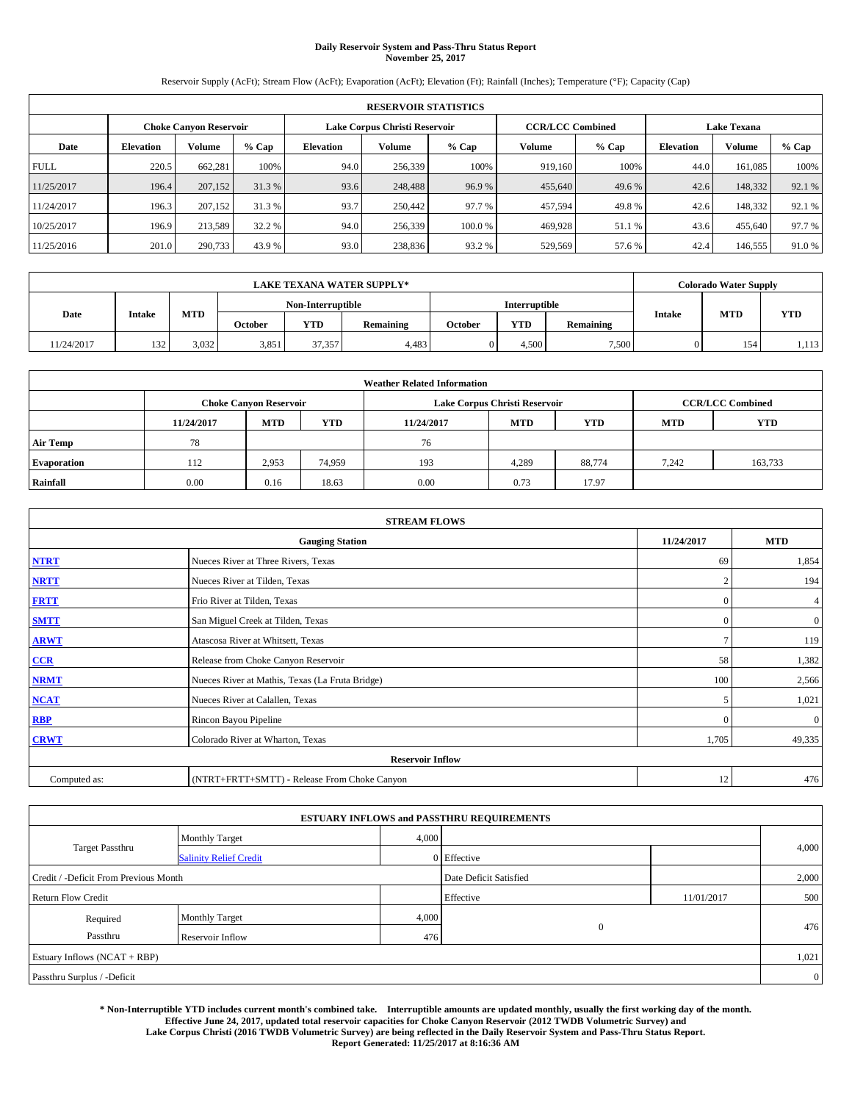# **Daily Reservoir System and Pass-Thru Status Report November 25, 2017**

Reservoir Supply (AcFt); Stream Flow (AcFt); Evaporation (AcFt); Elevation (Ft); Rainfall (Inches); Temperature (°F); Capacity (Cap)

|             | <b>RESERVOIR STATISTICS</b>   |               |        |                               |               |                              |                         |                  |                    |         |        |
|-------------|-------------------------------|---------------|--------|-------------------------------|---------------|------------------------------|-------------------------|------------------|--------------------|---------|--------|
|             | <b>Choke Canvon Reservoir</b> |               |        | Lake Corpus Christi Reservoir |               |                              | <b>CCR/LCC Combined</b> |                  | <b>Lake Texana</b> |         |        |
| Date        | <b>Elevation</b>              | <b>Volume</b> | % Cap  | Elevation                     | <b>Volume</b> | $%$ Cap<br>Volume<br>$%$ Cap |                         | <b>Elevation</b> | Volume             | % Cap   |        |
| <b>FULL</b> | 220.5                         | 662,281       | 100%   | 94.0                          | 256,339       | 100%                         | 919,160                 | 100%             | 44.0               | 161,085 | 100%   |
| 11/25/2017  | 196.4                         | 207,152       | 31.3 % | 93.6                          | 248,488       | 96.9%                        | 455,640                 | 49.6 %           | 42.6               | 148,332 | 92.1 % |
| 11/24/2017  | 196.3                         | 207,152       | 31.3 % | 93.7                          | 250,442       | 97.7 %                       | 457,594                 | 49.8%            | 42.6               | 148.332 | 92.1 % |
| 10/25/2017  | 196.9                         | 213,589       | 32.2 % | 94.0                          | 256,339       | 100.0%                       | 469,928                 | 51.1 %           | 43.6               | 455,640 | 97.7 % |
| 11/25/2016  | 201.0                         | 290,733       | 43.9 % | 93.0                          | 238,836       | 93.2 %                       | 529,569                 | 57.6%            | 42.4               | 146,555 | 91.0%  |

|            | <b>LAKE TEXANA WATER SUPPLY*</b> |       |         |                   |           |         |                      |           |               | <b>Colorado Water Supply</b> |            |  |
|------------|----------------------------------|-------|---------|-------------------|-----------|---------|----------------------|-----------|---------------|------------------------------|------------|--|
|            |                                  |       |         | Non-Interruptible |           |         | <b>Interruptible</b> |           |               |                              |            |  |
| Date       | <b>Intake</b>                    | MTD   | October | <b>YTD</b>        | Remaining | October | <b>YTD</b>           | Remaining | <b>Intake</b> | <b>MTD</b>                   | <b>YTD</b> |  |
| 11/24/2017 | 132                              | 3,032 | 3,851   | 37.357            | 4,483     |         | 4.500                | 7,500     |               | 154                          | 1,113      |  |

| <b>Weather Related Information</b> |            |                               |                                                                                  |      |                               |                         |       |         |  |  |
|------------------------------------|------------|-------------------------------|----------------------------------------------------------------------------------|------|-------------------------------|-------------------------|-------|---------|--|--|
|                                    |            | <b>Choke Canyon Reservoir</b> |                                                                                  |      | Lake Corpus Christi Reservoir | <b>CCR/LCC Combined</b> |       |         |  |  |
|                                    | 11/24/2017 | <b>MTD</b>                    | <b>YTD</b><br><b>YTD</b><br><b>MTD</b><br><b>YTD</b><br>11/24/2017<br><b>MTD</b> |      |                               |                         |       |         |  |  |
| <b>Air Temp</b>                    | 78         |                               |                                                                                  | 76   |                               |                         |       |         |  |  |
| <b>Evaporation</b>                 | 112        | 2,953                         | 74,959                                                                           | 193  | 4,289                         | 88,774                  | 7.242 | 163,733 |  |  |
| Rainfall                           | 0.00       | 0.16                          | 18.63                                                                            | 0.00 | 0.73                          | 17.97                   |       |         |  |  |

| <b>STREAM FLOWS</b> |                                                 |                |                |  |  |  |  |  |  |
|---------------------|-------------------------------------------------|----------------|----------------|--|--|--|--|--|--|
|                     | <b>Gauging Station</b>                          | 11/24/2017     | <b>MTD</b>     |  |  |  |  |  |  |
| <b>NTRT</b>         | Nueces River at Three Rivers, Texas             | -69            | 1,854          |  |  |  |  |  |  |
| <b>NRTT</b>         | Nueces River at Tilden, Texas                   | $\overline{2}$ | 194            |  |  |  |  |  |  |
| <b>FRTT</b>         | Frio River at Tilden, Texas                     | $\mathbf{0}$   | 4              |  |  |  |  |  |  |
| <b>SMTT</b>         | San Miguel Creek at Tilden, Texas               | $\mathbf{0}$   | $\overline{0}$ |  |  |  |  |  |  |
| <b>ARWT</b>         | Atascosa River at Whitsett, Texas               | $\mathcal{I}$  | 119            |  |  |  |  |  |  |
| CCR                 | Release from Choke Canyon Reservoir             | 58             | 1,382          |  |  |  |  |  |  |
| <b>NRMT</b>         | Nueces River at Mathis, Texas (La Fruta Bridge) | 100            | 2,566          |  |  |  |  |  |  |
| <b>NCAT</b>         | Nueces River at Calallen, Texas                 | 5              | 1,021          |  |  |  |  |  |  |
| RBP                 | Rincon Bayou Pipeline                           | $\Omega$       | $\mathbf{0}$   |  |  |  |  |  |  |
| <b>CRWT</b>         | Colorado River at Wharton, Texas                | 1,705          | 49,335         |  |  |  |  |  |  |
|                     | <b>Reservoir Inflow</b>                         |                |                |  |  |  |  |  |  |
| Computed as:        | (NTRT+FRTT+SMTT) - Release From Choke Canyon    |                |                |  |  |  |  |  |  |

|                                       |                               |       | <b>ESTUARY INFLOWS and PASSTHRU REQUIREMENTS</b> |            |                |
|---------------------------------------|-------------------------------|-------|--------------------------------------------------|------------|----------------|
|                                       | <b>Monthly Target</b>         | 4,000 |                                                  |            |                |
| <b>Target Passthru</b>                | <b>Salinity Relief Credit</b> |       | 0 Effective                                      |            | 4,000          |
| Credit / -Deficit From Previous Month |                               |       | Date Deficit Satisfied                           |            | 2,000          |
| <b>Return Flow Credit</b>             |                               |       | Effective                                        | 11/01/2017 | 500            |
| Required                              | <b>Monthly Target</b>         | 4,000 |                                                  |            |                |
| Passthru                              | Reservoir Inflow              | 476   | $\mathbf{0}$                                     |            | 476            |
| Estuary Inflows (NCAT + RBP)          |                               |       |                                                  |            | 1,021          |
| Passthru Surplus / -Deficit           |                               |       |                                                  |            | $\overline{0}$ |

**\* Non-Interruptible YTD includes current month's combined take. Interruptible amounts are updated monthly, usually the first working day of the month. Effective June 24, 2017, updated total reservoir capacities for Choke Canyon Reservoir (2012 TWDB Volumetric Survey) and Lake Corpus Christi (2016 TWDB Volumetric Survey) are being reflected in the Daily Reservoir System and Pass-Thru Status Report. Report Generated: 11/25/2017 at 8:16:36 AM**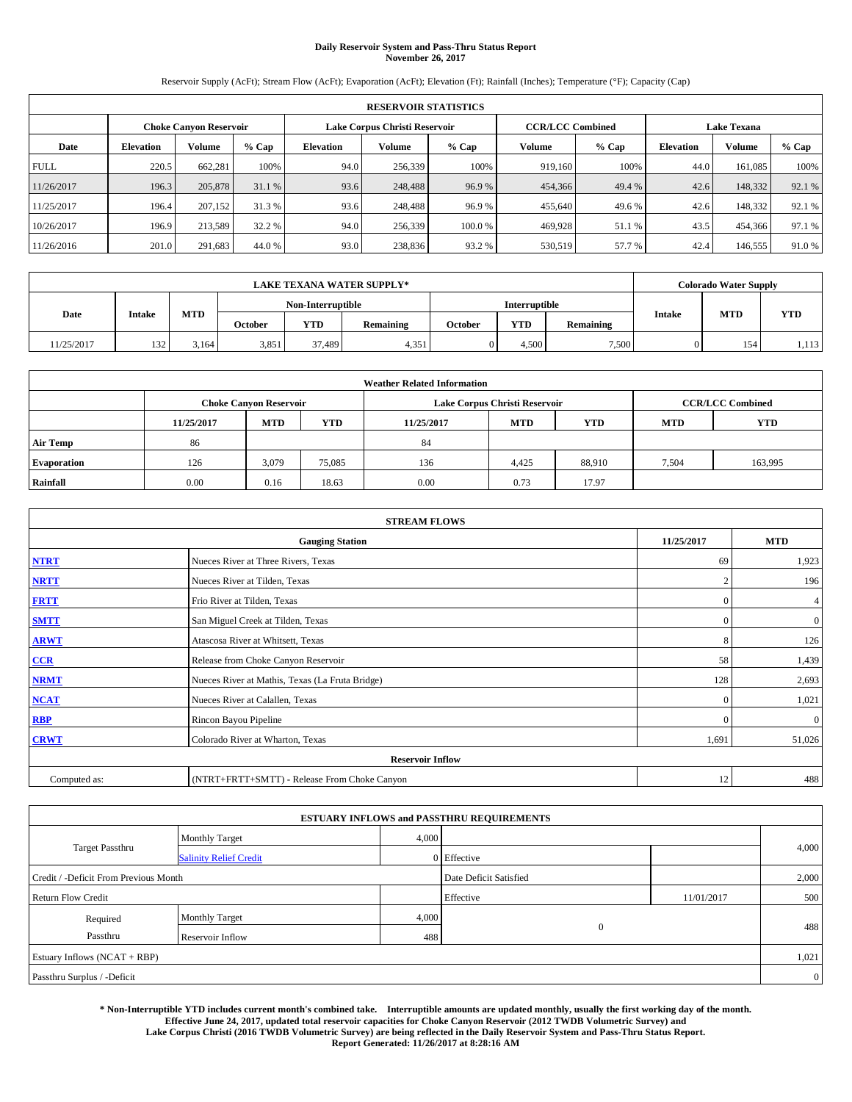# **Daily Reservoir System and Pass-Thru Status Report November 26, 2017**

Reservoir Supply (AcFt); Stream Flow (AcFt); Evaporation (AcFt); Elevation (Ft); Rainfall (Inches); Temperature (°F); Capacity (Cap)

|             | <b>RESERVOIR STATISTICS</b>   |               |        |                               |               |                              |                         |                  |                    |         |        |
|-------------|-------------------------------|---------------|--------|-------------------------------|---------------|------------------------------|-------------------------|------------------|--------------------|---------|--------|
|             | <b>Choke Canvon Reservoir</b> |               |        | Lake Corpus Christi Reservoir |               |                              | <b>CCR/LCC Combined</b> |                  | <b>Lake Texana</b> |         |        |
| Date        | <b>Elevation</b>              | <b>Volume</b> | % Cap  | Elevation                     | <b>Volume</b> | Volume<br>$%$ Cap<br>$%$ Cap |                         | <b>Elevation</b> | <b>Volume</b>      | % Cap   |        |
| <b>FULL</b> | 220.5                         | 662.281       | 100%   | 94.0                          | 256,339       | 100%                         | 919,160                 | 100%             | 44.0               | 161,085 | 100%   |
| 11/26/2017  | 196.3                         | 205,878       | 31.1 % | 93.6                          | 248,488       | 96.9%                        | 454,366                 | 49.4 %           | 42.6               | 148,332 | 92.1 % |
| 11/25/2017  | 196.4                         | 207,152       | 31.3 % | 93.6                          | 248,488       | 96.9%                        | 455,640                 | 49.6%            | 42.6               | 148,332 | 92.1 % |
| 10/26/2017  | 196.9                         | 213.589       | 32.2 % | 94.0                          | 256,339       | 100.0%                       | 469.928                 | 51.1 %           | 43.5               | 454,366 | 97.1 % |
| 11/26/2016  | 201.0                         | 291,683       | 44.0 % | 93.0                          | 238,836       | 93.2 %                       | 530,519                 | 57.7 %           | 42.4               | 146,555 | 91.0%  |

|            | <b>LAKE TEXANA WATER SUPPLY*</b> |       |         |                   |           |         |                      |           |               | <b>Colorado Water Supply</b> |            |  |
|------------|----------------------------------|-------|---------|-------------------|-----------|---------|----------------------|-----------|---------------|------------------------------|------------|--|
|            |                                  |       |         | Non-Interruptible |           |         | <b>Interruptible</b> |           |               |                              |            |  |
| Date       | <b>Intake</b>                    | MTD   | October | <b>YTD</b>        | Remaining | October | <b>YTD</b>           | Remaining | <b>Intake</b> | <b>MTD</b>                   | <b>YTD</b> |  |
| 11/25/2017 | 132                              | 3,164 | 3,851   | 37.489            | 4,351     |         | 4.500                | 7,500     |               | 154                          | 1,113      |  |

| <b>Weather Related Information</b> |            |                               |                                                                    |                               |       |                         |       |         |  |  |
|------------------------------------|------------|-------------------------------|--------------------------------------------------------------------|-------------------------------|-------|-------------------------|-------|---------|--|--|
|                                    |            | <b>Choke Canyon Reservoir</b> |                                                                    | Lake Corpus Christi Reservoir |       | <b>CCR/LCC Combined</b> |       |         |  |  |
|                                    | 11/25/2017 | <b>MTD</b>                    | <b>YTD</b><br><b>MTD</b><br><b>YTD</b><br>11/25/2017<br><b>MTD</b> |                               |       |                         |       |         |  |  |
| <b>Air Temp</b>                    | 86         |                               |                                                                    | 84                            |       |                         |       |         |  |  |
| <b>Evaporation</b>                 | 126        | 3,079                         | 75,085                                                             | 136                           | 4,425 | 88.910                  | 7,504 | 163,995 |  |  |
| Rainfall                           | 0.00       | 0.16                          | 18.63                                                              | 0.00                          | 0.73  | 17.97                   |       |         |  |  |

| <b>STREAM FLOWS</b> |                                                 |                |              |  |  |  |  |  |  |
|---------------------|-------------------------------------------------|----------------|--------------|--|--|--|--|--|--|
|                     | <b>Gauging Station</b>                          | 11/25/2017     | <b>MTD</b>   |  |  |  |  |  |  |
| <b>NTRT</b>         | Nueces River at Three Rivers, Texas             | 69             | 1,923        |  |  |  |  |  |  |
| <b>NRTT</b>         | Nueces River at Tilden, Texas                   | $\overline{2}$ | 196          |  |  |  |  |  |  |
| <b>FRTT</b>         | Frio River at Tilden, Texas                     | $\mathbf{0}$   | 4            |  |  |  |  |  |  |
| <b>SMTT</b>         | San Miguel Creek at Tilden, Texas               | $\mathbf{0}$   | $\mathbf{0}$ |  |  |  |  |  |  |
| <b>ARWT</b>         | Atascosa River at Whitsett, Texas               | 8              | 126          |  |  |  |  |  |  |
| $CCR$               | Release from Choke Canyon Reservoir             | 58             | 1,439        |  |  |  |  |  |  |
| <b>NRMT</b>         | Nueces River at Mathis, Texas (La Fruta Bridge) | 128            | 2,693        |  |  |  |  |  |  |
| <b>NCAT</b>         | Nueces River at Calallen, Texas                 | $\Omega$       | 1,021        |  |  |  |  |  |  |
| RBP                 | Rincon Bayou Pipeline                           | $\Omega$       | $\mathbf{0}$ |  |  |  |  |  |  |
| <b>CRWT</b>         | Colorado River at Wharton, Texas                | 1,691          | 51,026       |  |  |  |  |  |  |
|                     | <b>Reservoir Inflow</b>                         |                |              |  |  |  |  |  |  |
| Computed as:        | (NTRT+FRTT+SMTT) - Release From Choke Canyon    | 12             | 488          |  |  |  |  |  |  |

| <b>ESTUARY INFLOWS and PASSTHRU REQUIREMENTS</b> |                               |                        |              |            |                |  |  |  |  |
|--------------------------------------------------|-------------------------------|------------------------|--------------|------------|----------------|--|--|--|--|
|                                                  | <b>Monthly Target</b>         | 4,000                  |              |            |                |  |  |  |  |
| <b>Target Passthru</b>                           | <b>Salinity Relief Credit</b> |                        | 0 Effective  |            | 4,000          |  |  |  |  |
| Credit / -Deficit From Previous Month            |                               | Date Deficit Satisfied |              | 2,000      |                |  |  |  |  |
| <b>Return Flow Credit</b>                        |                               |                        | Effective    | 11/01/2017 | 500            |  |  |  |  |
| Required                                         | <b>Monthly Target</b>         | 4,000                  |              |            |                |  |  |  |  |
| Passthru                                         | Reservoir Inflow              | 488                    | $\mathbf{0}$ |            | 488            |  |  |  |  |
| Estuary Inflows (NCAT + RBP)                     |                               |                        |              |            | 1,021          |  |  |  |  |
| Passthru Surplus / -Deficit                      |                               |                        |              |            | $\overline{0}$ |  |  |  |  |

**\* Non-Interruptible YTD includes current month's combined take. Interruptible amounts are updated monthly, usually the first working day of the month. Effective June 24, 2017, updated total reservoir capacities for Choke Canyon Reservoir (2012 TWDB Volumetric Survey) and Lake Corpus Christi (2016 TWDB Volumetric Survey) are being reflected in the Daily Reservoir System and Pass-Thru Status Report. Report Generated: 11/26/2017 at 8:28:16 AM**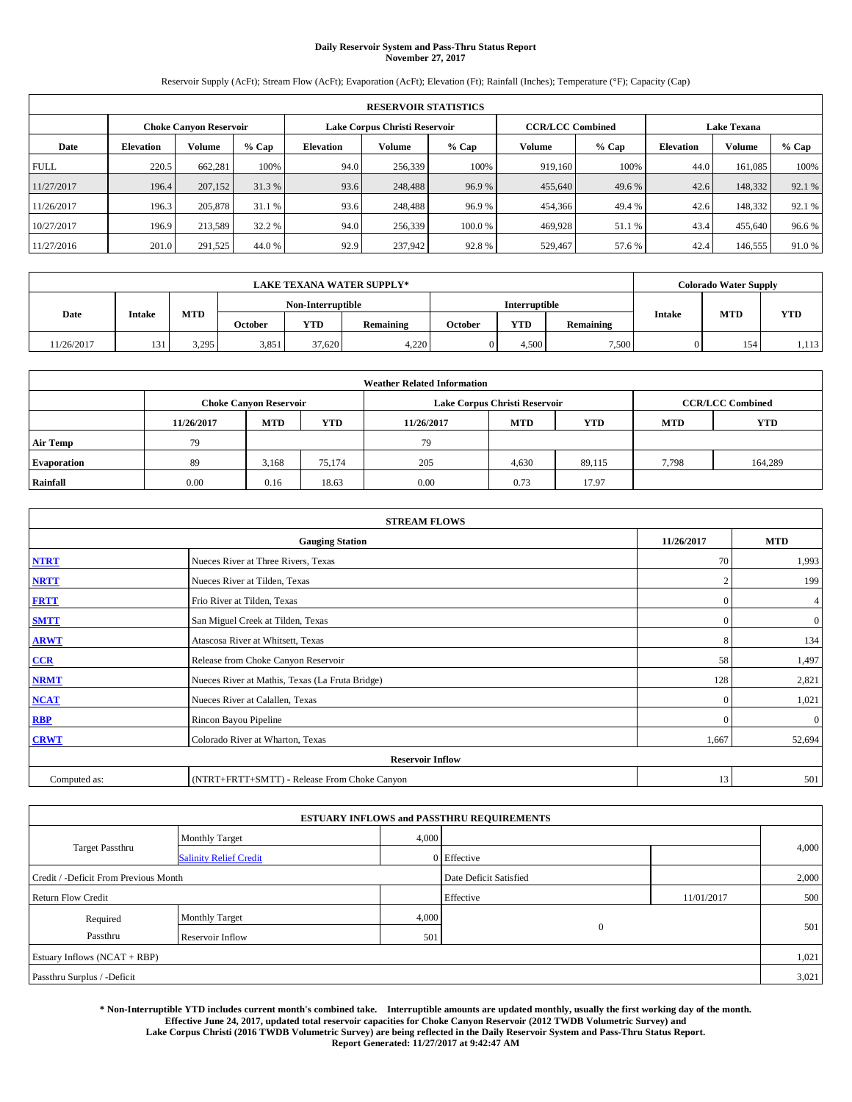# **Daily Reservoir System and Pass-Thru Status Report November 27, 2017**

Reservoir Supply (AcFt); Stream Flow (AcFt); Evaporation (AcFt); Elevation (Ft); Rainfall (Inches); Temperature (°F); Capacity (Cap)

|             | <b>RESERVOIR STATISTICS</b>   |               |         |                               |               |                              |                         |                  |                    |         |        |
|-------------|-------------------------------|---------------|---------|-------------------------------|---------------|------------------------------|-------------------------|------------------|--------------------|---------|--------|
|             | <b>Choke Canvon Reservoir</b> |               |         | Lake Corpus Christi Reservoir |               |                              | <b>CCR/LCC Combined</b> |                  | <b>Lake Texana</b> |         |        |
| Date        | <b>Elevation</b>              | <b>Volume</b> | $%$ Cap | Elevation                     | <b>Volume</b> | Volume<br>$%$ Cap<br>$%$ Cap |                         | <b>Elevation</b> | <b>Volume</b>      | % Cap   |        |
| <b>FULL</b> | 220.5                         | 662.281       | 100%    | 94.0                          | 256,339       | 100%                         | 919,160                 | 100%             | 44.0               | 161,085 | 100%   |
| 11/27/2017  | 196.4                         | 207,152       | 31.3%   | 93.6                          | 248,488       | 96.9%                        | 455,640                 | 49.6 %           | 42.6               | 148,332 | 92.1 % |
| 11/26/2017  | 196.3                         | 205,878       | 31.1 %  | 93.6                          | 248,488       | 96.9%                        | 454,366                 | 49.4 %           | 42.6               | 148,332 | 92.1 % |
| 10/27/2017  | 196.9                         | 213.589       | 32.2 %  | 94.0                          | 256,339       | 100.0%                       | 469.928                 | 51.1 %           | 43.4               | 455,640 | 96.6%  |
| 11/27/2016  | 201.0                         | 291,525       | 44.0 %  | 92.9                          | 237,942       | 92.8%                        | 529,467                 | 57.6%            | 42.4               | 146,555 | 91.0%  |

|            | <b>LAKE TEXANA WATER SUPPLY*</b> |       |         |                   |           |                                    |                      |               |            | <b>Colorado Water Supply</b> |       |  |
|------------|----------------------------------|-------|---------|-------------------|-----------|------------------------------------|----------------------|---------------|------------|------------------------------|-------|--|
|            |                                  |       |         | Non-Interruptible |           |                                    | <b>Interruptible</b> |               |            |                              |       |  |
| Date       | <b>Intake</b>                    | MTD   | October | <b>YTD</b>        | Remaining | <b>YTD</b><br>October<br>Remaining |                      | <b>Intake</b> | <b>MTD</b> | <b>YTD</b>                   |       |  |
| 11/26/2017 | 131                              | 3,295 | 3,851   | 37.620            | 4,220     |                                    | 4.500                | 7,500         |            | 154                          | 1,113 |  |

| <b>Weather Related Information</b> |            |                               |            |            |                               |                         |            |            |  |
|------------------------------------|------------|-------------------------------|------------|------------|-------------------------------|-------------------------|------------|------------|--|
|                                    |            | <b>Choke Canyon Reservoir</b> |            |            | Lake Corpus Christi Reservoir | <b>CCR/LCC Combined</b> |            |            |  |
|                                    | 11/26/2017 | <b>MTD</b>                    | <b>YTD</b> | 11/26/2017 | <b>MTD</b>                    | <b>YTD</b>              | <b>MTD</b> | <b>YTD</b> |  |
| <b>Air Temp</b>                    | 79         |                               |            | 79         |                               |                         |            |            |  |
| <b>Evaporation</b>                 | 89         | 3,168                         | 75,174     | 205        | 4,630                         | 89.115                  | 7,798      | 164,289    |  |
| Rainfall                           | 0.00       | 0.16                          | 18.63      | 0.00       | 0.73                          | 17.97                   |            |            |  |

| <b>STREAM FLOWS</b> |                                                 |                |              |  |  |  |  |  |  |
|---------------------|-------------------------------------------------|----------------|--------------|--|--|--|--|--|--|
|                     | 11/26/2017                                      | <b>MTD</b>     |              |  |  |  |  |  |  |
| <b>NTRT</b>         | Nueces River at Three Rivers, Texas             | 70             | 1,993        |  |  |  |  |  |  |
| <b>NRTT</b>         | Nueces River at Tilden, Texas                   | $\overline{2}$ | 199          |  |  |  |  |  |  |
| <b>FRTT</b>         | Frio River at Tilden, Texas                     | $\mathbf{0}$   | 4            |  |  |  |  |  |  |
| <b>SMTT</b>         | San Miguel Creek at Tilden, Texas               | $\mathbf{0}$   | $\mathbf{0}$ |  |  |  |  |  |  |
| <b>ARWT</b>         | Atascosa River at Whitsett, Texas               | 8              | 134          |  |  |  |  |  |  |
| $CCR$               | Release from Choke Canyon Reservoir             | 58             | 1,497        |  |  |  |  |  |  |
| <b>NRMT</b>         | Nueces River at Mathis, Texas (La Fruta Bridge) | 128            | 2,821        |  |  |  |  |  |  |
| <b>NCAT</b>         | Nueces River at Calallen, Texas                 | $\Omega$       | 1,021        |  |  |  |  |  |  |
| RBP                 | Rincon Bayou Pipeline                           | $\Omega$       | $\mathbf{0}$ |  |  |  |  |  |  |
| <b>CRWT</b>         | Colorado River at Wharton, Texas                | 1,667          | 52,694       |  |  |  |  |  |  |
|                     | <b>Reservoir Inflow</b>                         |                |              |  |  |  |  |  |  |
| Computed as:        | (NTRT+FRTT+SMTT) - Release From Choke Canyon    | 13             | 501          |  |  |  |  |  |  |

|                                       |                               |       | <b>ESTUARY INFLOWS and PASSTHRU REQUIREMENTS</b> |            |       |
|---------------------------------------|-------------------------------|-------|--------------------------------------------------|------------|-------|
|                                       | <b>Monthly Target</b>         | 4,000 |                                                  |            |       |
| <b>Target Passthru</b>                | <b>Salinity Relief Credit</b> |       | 0 Effective                                      |            | 4,000 |
| Credit / -Deficit From Previous Month |                               |       | Date Deficit Satisfied                           |            | 2,000 |
| <b>Return Flow Credit</b>             |                               |       | Effective                                        | 11/01/2017 | 500   |
| Required                              | <b>Monthly Target</b>         | 4,000 |                                                  |            |       |
| Passthru                              | Reservoir Inflow              | 501   | $\mathbf{0}$                                     |            | 501   |
| Estuary Inflows (NCAT + RBP)          |                               |       |                                                  |            | 1,021 |
| Passthru Surplus / -Deficit           |                               |       |                                                  |            | 3,021 |

**\* Non-Interruptible YTD includes current month's combined take. Interruptible amounts are updated monthly, usually the first working day of the month. Effective June 24, 2017, updated total reservoir capacities for Choke Canyon Reservoir (2012 TWDB Volumetric Survey) and Lake Corpus Christi (2016 TWDB Volumetric Survey) are being reflected in the Daily Reservoir System and Pass-Thru Status Report. Report Generated: 11/27/2017 at 9:42:47 AM**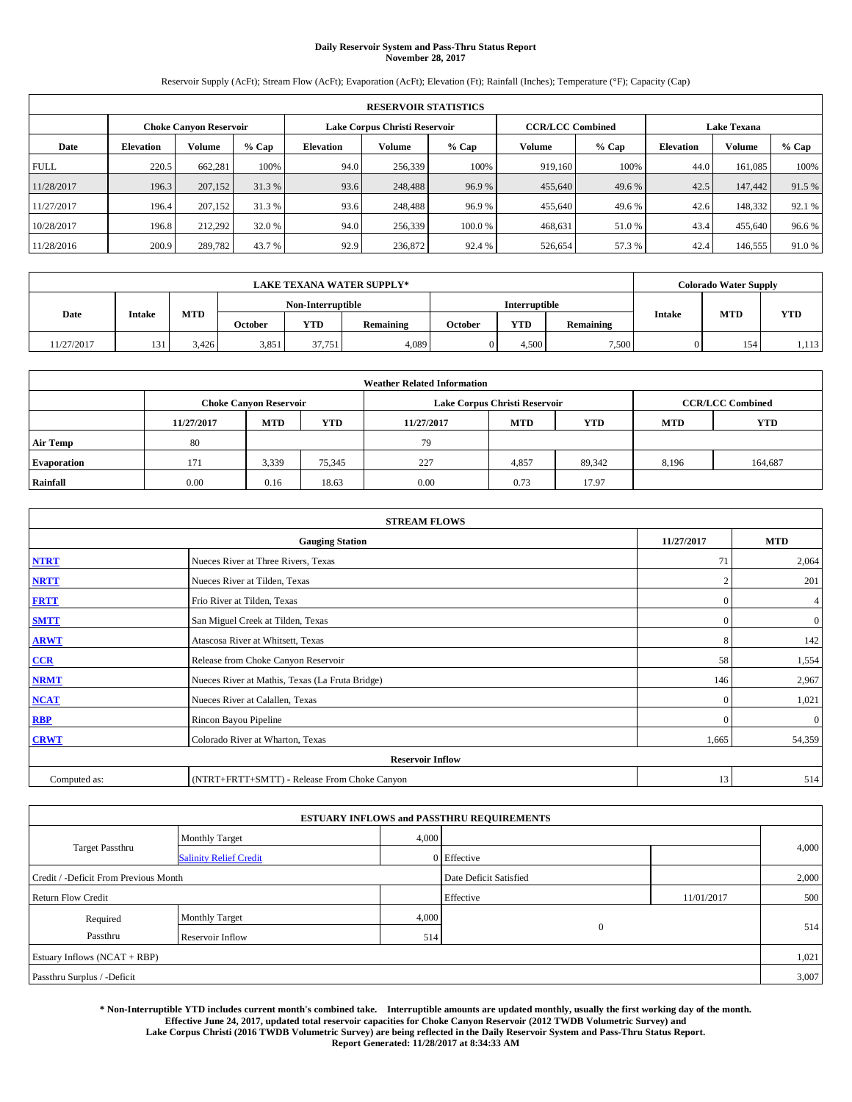# **Daily Reservoir System and Pass-Thru Status Report November 28, 2017**

Reservoir Supply (AcFt); Stream Flow (AcFt); Evaporation (AcFt); Elevation (Ft); Rainfall (Inches); Temperature (°F); Capacity (Cap)

| <b>RESERVOIR STATISTICS</b> |                  |                               |        |                               |         |         |                         |        |                    |         |        |
|-----------------------------|------------------|-------------------------------|--------|-------------------------------|---------|---------|-------------------------|--------|--------------------|---------|--------|
|                             |                  | <b>Choke Canvon Reservoir</b> |        | Lake Corpus Christi Reservoir |         |         | <b>CCR/LCC Combined</b> |        | <b>Lake Texana</b> |         |        |
| Date                        | <b>Elevation</b> | Volume                        | % Cap  | <b>Elevation</b>              | Volume  | $%$ Cap | Volume                  | % Cap  | <b>Elevation</b>   | Volume  | % Cap  |
| <b>FULL</b>                 | 220.5            | 662.281                       | 100%   | 94.0                          | 256,339 | 100%    | 919.160                 | 100%   | 44.0               | 161.085 | 100%   |
| 11/28/2017                  | 196.3            | 207,152                       | 31.3 % | 93.6                          | 248.488 | 96.9%   | 455,640                 | 49.6 % | 42.5               | 147,442 | 91.5 % |
| 11/27/2017                  | 196.4            | 207,152                       | 31.3 % | 93.6                          | 248.488 | 96.9%   | 455,640                 | 49.6 % | 42.6               | 148.332 | 92.1 % |
| 10/28/2017                  | 196.8            | 212,292                       | 32.0 % | 94.0                          | 256,339 | 100.0%  | 468.631                 | 51.0%  | 43.4               | 455,640 | 96.6%  |
| 11/28/2016                  | 200.9            | 289,782                       | 43.7 % | 92.9                          | 236,872 | 92.4 %  | 526,654                 | 57.3 % | 42.4               | 146,555 | 91.0%  |

| <b>LAKE TEXANA WATER SUPPLY*</b> |        |            |         |                   |           |         |                      | <b>Colorado Water Supply</b> |  |                             |            |
|----------------------------------|--------|------------|---------|-------------------|-----------|---------|----------------------|------------------------------|--|-----------------------------|------------|
|                                  |        |            |         | Non-Interruptible |           |         | <b>Interruptible</b> |                              |  |                             | <b>YTD</b> |
| Date                             | Intake | <b>MTD</b> | October | <b>YTD</b>        | Remaining | October | YTD                  | Remaining                    |  | <b>MTD</b><br><b>Intake</b> |            |
| 11/27/2017                       | 131    | 3.426      | 3,851   | 37.751            | 4,089     |         | .500                 | 7,500                        |  | 154                         | 1,113      |

| <b>Weather Related Information</b> |            |                               |            |            |                               |                         |            |            |  |
|------------------------------------|------------|-------------------------------|------------|------------|-------------------------------|-------------------------|------------|------------|--|
|                                    |            | <b>Choke Canyon Reservoir</b> |            |            | Lake Corpus Christi Reservoir | <b>CCR/LCC Combined</b> |            |            |  |
|                                    | 11/27/2017 | <b>MTD</b>                    | <b>YTD</b> | 11/27/2017 | <b>MTD</b>                    | <b>YTD</b>              | <b>MTD</b> | <b>YTD</b> |  |
| <b>Air Temp</b>                    | 80         |                               |            | 79         |                               |                         |            |            |  |
| <b>Evaporation</b>                 | 171        | 3,339                         | 75,345     | 227        | 4,857                         | 89,342                  | 8,196      | 164,687    |  |
| Rainfall                           | 0.00       | 0.16                          | 18.63      | 0.00       | 0.73                          | 17.97                   |            |            |  |

| <b>STREAM FLOWS</b> |                                                 |                |              |  |  |  |  |  |  |
|---------------------|-------------------------------------------------|----------------|--------------|--|--|--|--|--|--|
|                     | 11/27/2017                                      | <b>MTD</b>     |              |  |  |  |  |  |  |
| <b>NTRT</b>         | Nueces River at Three Rivers, Texas             | 71             | 2,064        |  |  |  |  |  |  |
| <b>NRTT</b>         | Nueces River at Tilden, Texas                   | $\overline{2}$ | 201          |  |  |  |  |  |  |
| <b>FRTT</b>         | Frio River at Tilden, Texas                     | $\mathbf{0}$   | 4            |  |  |  |  |  |  |
| <b>SMTT</b>         | San Miguel Creek at Tilden, Texas               | $\mathbf{0}$   | $\mathbf{0}$ |  |  |  |  |  |  |
| <b>ARWT</b>         | Atascosa River at Whitsett, Texas               | 8              | 142          |  |  |  |  |  |  |
| $CCR$               | Release from Choke Canyon Reservoir             | 58             | 1,554        |  |  |  |  |  |  |
| <b>NRMT</b>         | Nueces River at Mathis, Texas (La Fruta Bridge) | 146            | 2,967        |  |  |  |  |  |  |
| <b>NCAT</b>         | Nueces River at Calallen, Texas                 | $\Omega$       | 1,021        |  |  |  |  |  |  |
| RBP                 | Rincon Bayou Pipeline                           | $\Omega$       | $\mathbf{0}$ |  |  |  |  |  |  |
| <b>CRWT</b>         | Colorado River at Wharton, Texas                | 1,665          | 54,359       |  |  |  |  |  |  |
|                     | <b>Reservoir Inflow</b>                         |                |              |  |  |  |  |  |  |
| Computed as:        | (NTRT+FRTT+SMTT) - Release From Choke Canyon    | 13             | 514          |  |  |  |  |  |  |

|                                       |                               |       | <b>ESTUARY INFLOWS and PASSTHRU REQUIREMENTS</b> |            |       |
|---------------------------------------|-------------------------------|-------|--------------------------------------------------|------------|-------|
|                                       | <b>Monthly Target</b>         | 4,000 |                                                  |            |       |
| <b>Target Passthru</b>                | <b>Salinity Relief Credit</b> |       | 0 Effective                                      |            | 4,000 |
| Credit / -Deficit From Previous Month |                               |       | Date Deficit Satisfied                           |            | 2,000 |
| <b>Return Flow Credit</b>             |                               |       | Effective                                        | 11/01/2017 | 500   |
| Required                              | <b>Monthly Target</b>         | 4,000 |                                                  |            |       |
| Passthru                              | Reservoir Inflow              | 514   | $\mathbf{0}$                                     |            | 514   |
| Estuary Inflows (NCAT + RBP)          |                               |       |                                                  |            | 1,021 |
| Passthru Surplus / -Deficit           |                               |       |                                                  |            | 3,007 |

**\* Non-Interruptible YTD includes current month's combined take. Interruptible amounts are updated monthly, usually the first working day of the month. Effective June 24, 2017, updated total reservoir capacities for Choke Canyon Reservoir (2012 TWDB Volumetric Survey) and Lake Corpus Christi (2016 TWDB Volumetric Survey) are being reflected in the Daily Reservoir System and Pass-Thru Status Report. Report Generated: 11/28/2017 at 8:34:33 AM**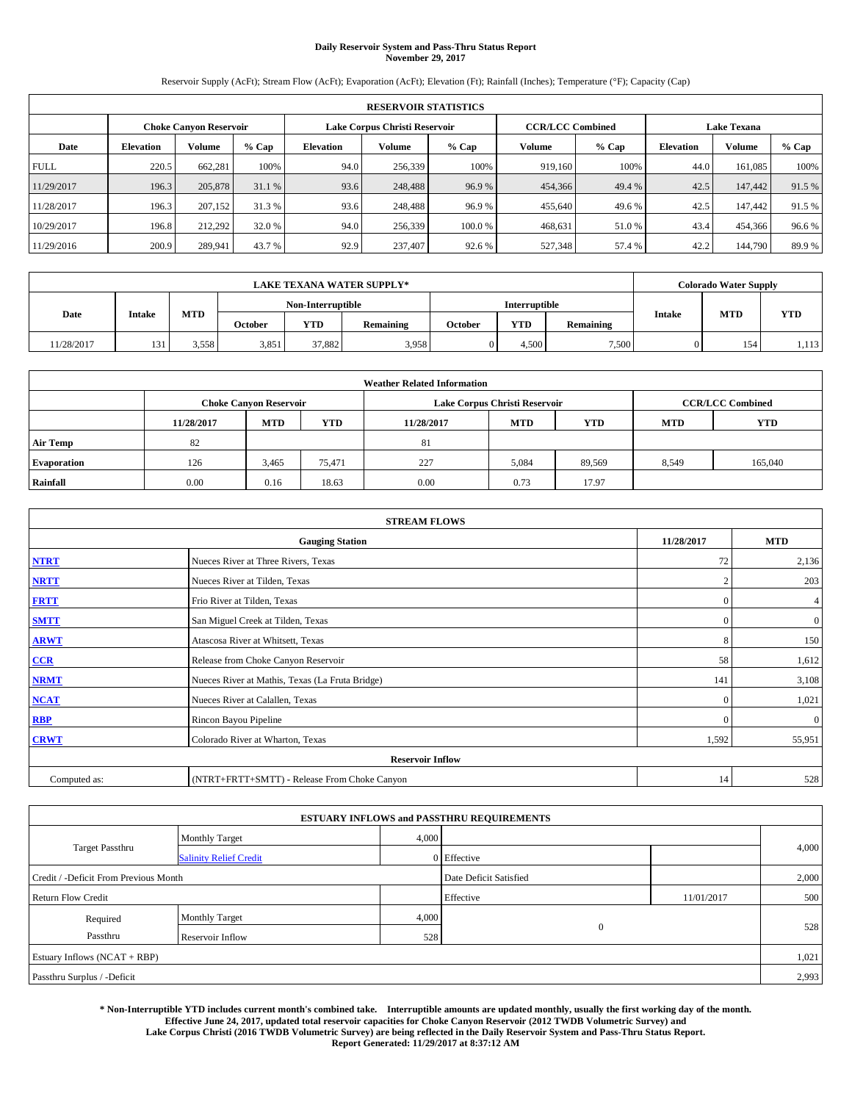# **Daily Reservoir System and Pass-Thru Status Report November 29, 2017**

Reservoir Supply (AcFt); Stream Flow (AcFt); Evaporation (AcFt); Elevation (Ft); Rainfall (Inches); Temperature (°F); Capacity (Cap)

|             | <b>RESERVOIR STATISTICS</b> |                               |        |                               |               |         |                         |         |                    |               |        |
|-------------|-----------------------------|-------------------------------|--------|-------------------------------|---------------|---------|-------------------------|---------|--------------------|---------------|--------|
|             |                             | <b>Choke Canvon Reservoir</b> |        | Lake Corpus Christi Reservoir |               |         | <b>CCR/LCC Combined</b> |         | <b>Lake Texana</b> |               |        |
| Date        | <b>Elevation</b>            | <b>Volume</b>                 | % Cap  | Elevation                     | <b>Volume</b> | $%$ Cap | Volume                  | $%$ Cap | <b>Elevation</b>   | <b>Volume</b> | % Cap  |
| <b>FULL</b> | 220.5                       | 662.281                       | 100%   | 94.0                          | 256,339       | 100%    | 919.160                 | 100%    | 44.0               | 161,085       | 100%   |
| 11/29/2017  | 196.3                       | 205,878                       | 31.1 % | 93.6                          | 248,488       | 96.9%   | 454,366                 | 49.4 %  | 42.5               | 147,442       | 91.5 % |
| 11/28/2017  | 196.3                       | 207,152                       | 31.3 % | 93.6                          | 248,488       | 96.9%   | 455,640                 | 49.6 %  | 42.5               | 147.442       | 91.5 % |
| 10/29/2017  | 196.8                       | 212.292                       | 32.0 % | 94.0                          | 256,339       | 100.0%  | 468.631                 | 51.0%   | 43.4               | 454,366       | 96.6%  |
| 11/29/2016  | 200.9                       | 289.941                       | 43.7 % | 92.9                          | 237,407       | 92.6 %  | 527,348                 | 57.4 %  | 42.2               | 144,790       | 89.9%  |

| <b>LAKE TEXANA WATER SUPPLY*</b> |               |       |         |                   |           |         |                      |           | <b>Colorado Water Supply</b> |            |            |
|----------------------------------|---------------|-------|---------|-------------------|-----------|---------|----------------------|-----------|------------------------------|------------|------------|
|                                  |               |       |         | Non-Interruptible |           |         | <b>Interruptible</b> |           |                              |            |            |
| Date                             | <b>Intake</b> | MTD   | October | <b>YTD</b>        | Remaining | October | <b>YTD</b>           | Remaining | <b>Intake</b>                | <b>MTD</b> | <b>YTD</b> |
| 11/28/2017                       | 131           | 3,558 | 3,851   | 37.882            | 3,958     |         | 4.500                | 7,500     |                              | 154        | 1,113      |

| <b>Weather Related Information</b> |            |                               |            |            |                                                      |                         |       |         |  |
|------------------------------------|------------|-------------------------------|------------|------------|------------------------------------------------------|-------------------------|-------|---------|--|
|                                    |            | <b>Choke Canyon Reservoir</b> |            |            | Lake Corpus Christi Reservoir                        | <b>CCR/LCC Combined</b> |       |         |  |
|                                    | 11/28/2017 | <b>MTD</b>                    | <b>YTD</b> | 11/28/2017 | <b>YTD</b><br><b>MTD</b><br><b>YTD</b><br><b>MTD</b> |                         |       |         |  |
| <b>Air Temp</b>                    | 82         |                               |            | 81         |                                                      |                         |       |         |  |
| <b>Evaporation</b>                 | 126        | 3,465                         | 75,471     | 227        | 5,084                                                | 89,569                  | 8,549 | 165,040 |  |
| Rainfall                           | 0.00       | 0.16                          | 18.63      | 0.00       | 0.73                                                 | 17.97                   |       |         |  |

| <b>STREAM FLOWS</b> |                                                 |                |                |  |  |  |  |  |  |
|---------------------|-------------------------------------------------|----------------|----------------|--|--|--|--|--|--|
|                     | <b>Gauging Station</b>                          | 11/28/2017     | <b>MTD</b>     |  |  |  |  |  |  |
| <b>NTRT</b>         | Nueces River at Three Rivers, Texas             | 72             | 2,136          |  |  |  |  |  |  |
| <b>NRTT</b>         | Nueces River at Tilden, Texas                   | $\overline{2}$ | 203            |  |  |  |  |  |  |
| <b>FRTT</b>         | Frio River at Tilden, Texas                     | $\mathbf{0}$   | 4              |  |  |  |  |  |  |
| <b>SMTT</b>         | San Miguel Creek at Tilden, Texas               | $\mathbf{0}$   | $\overline{0}$ |  |  |  |  |  |  |
| <b>ARWT</b>         | Atascosa River at Whitsett, Texas               | 8              | 150            |  |  |  |  |  |  |
| $CCR$               | Release from Choke Canyon Reservoir             | 58             | 1,612          |  |  |  |  |  |  |
| <b>NRMT</b>         | Nueces River at Mathis, Texas (La Fruta Bridge) | 141            | 3,108          |  |  |  |  |  |  |
| <b>NCAT</b>         | Nueces River at Calallen, Texas                 | $\Omega$       | 1,021          |  |  |  |  |  |  |
| RBP                 | Rincon Bayou Pipeline                           | $\mathbf{0}$   | $\mathbf{0}$   |  |  |  |  |  |  |
| <b>CRWT</b>         | Colorado River at Wharton, Texas                | 1,592          | 55,951         |  |  |  |  |  |  |
|                     | <b>Reservoir Inflow</b>                         |                |                |  |  |  |  |  |  |
| Computed as:        | (NTRT+FRTT+SMTT) - Release From Choke Canyon    | 14             | 528            |  |  |  |  |  |  |

|                                       |                               |       | <b>ESTUARY INFLOWS and PASSTHRU REQUIREMENTS</b> |            |       |
|---------------------------------------|-------------------------------|-------|--------------------------------------------------|------------|-------|
| <b>Target Passthru</b>                | <b>Monthly Target</b>         | 4,000 |                                                  |            | 4,000 |
|                                       | <b>Salinity Relief Credit</b> |       | 0 Effective                                      |            |       |
| Credit / -Deficit From Previous Month |                               |       | Date Deficit Satisfied                           |            | 2,000 |
| <b>Return Flow Credit</b>             |                               |       | Effective                                        | 11/01/2017 | 500   |
| Required                              | <b>Monthly Target</b>         | 4,000 |                                                  |            |       |
| Passthru                              | Reservoir Inflow              | 528   | $\mathbf{0}$                                     |            | 528   |
| Estuary Inflows (NCAT + RBP)          |                               |       |                                                  |            | 1,021 |
| Passthru Surplus / -Deficit           |                               |       |                                                  |            | 2,993 |

**\* Non-Interruptible YTD includes current month's combined take. Interruptible amounts are updated monthly, usually the first working day of the month. Effective June 24, 2017, updated total reservoir capacities for Choke Canyon Reservoir (2012 TWDB Volumetric Survey) and Lake Corpus Christi (2016 TWDB Volumetric Survey) are being reflected in the Daily Reservoir System and Pass-Thru Status Report. Report Generated: 11/29/2017 at 8:37:12 AM**